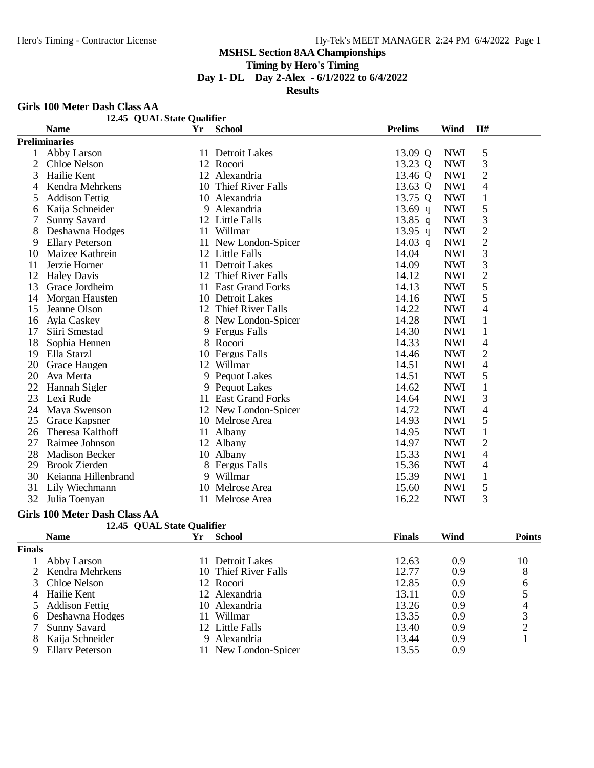# **Timing by Hero's Timing**

**Day 1- DL Day 2-Alex - 6/1/2022 to 6/4/2022**

**Results**

#### **Girls 100 Meter Dash Class AA**

|    | OILIS TOO INCRE DASH CRISS AA<br>12.45 QUAL State Qualifier |    |                      |                |            |                          |
|----|-------------------------------------------------------------|----|----------------------|----------------|------------|--------------------------|
|    | <b>Name</b>                                                 | Yr | <b>School</b>        | <b>Prelims</b> | Wind       | H#                       |
|    | <b>Preliminaries</b>                                        |    |                      |                |            |                          |
| 1  | Abby Larson                                                 |    | 11 Detroit Lakes     | 13.09 Q        | <b>NWI</b> | 5                        |
| 2  | Chloe Nelson                                                |    | 12 Rocori            | 13.23 Q        | <b>NWI</b> | 3                        |
| 3  | Hailie Kent                                                 |    | 12 Alexandria        | 13.46 Q        | <b>NWI</b> | $\overline{2}$           |
| 4  | Kendra Mehrkens                                             |    | 10 Thief River Falls | 13.63 Q        | <b>NWI</b> | $\overline{\mathcal{L}}$ |
| 5  | <b>Addison Fettig</b>                                       |    | 10 Alexandria        | 13.75 Q        | <b>NWI</b> | $\mathbf{1}$             |
| 6  | Kaija Schneider                                             |    | 9 Alexandria         | $13.69$ q      | <b>NWI</b> | 5                        |
| 7  | <b>Sunny Savard</b>                                         |    | 12 Little Falls      | $13.85$ q      | <b>NWI</b> | 3                        |
| 8  | Deshawna Hodges                                             |    | 11 Willmar           | 13.95 q        | <b>NWI</b> | $\overline{2}$           |
| 9  | <b>Ellary Peterson</b>                                      |    | 11 New London-Spicer | 14.03 q        | <b>NWI</b> | $\overline{2}$           |
| 10 | Maizee Kathrein                                             |    | 12 Little Falls      | 14.04          | <b>NWI</b> | 3                        |
| 11 | Jerzie Horner                                               |    | 11 Detroit Lakes     | 14.09          | <b>NWI</b> | 3                        |
| 12 | <b>Haley Davis</b>                                          |    | 12 Thief River Falls | 14.12          | <b>NWI</b> | $\overline{c}$           |
| 13 | Grace Jordheim                                              |    | 11 East Grand Forks  | 14.13          | <b>NWI</b> | 5                        |
| 14 | Morgan Hausten                                              |    | 10 Detroit Lakes     | 14.16          | <b>NWI</b> | 5                        |
| 15 | Jeanne Olson                                                |    | 12 Thief River Falls | 14.22          | <b>NWI</b> | $\overline{\mathcal{L}}$ |
| 16 | Ayla Caskey                                                 |    | 8 New London-Spicer  | 14.28          | <b>NWI</b> | $\mathbf{1}$             |
| 17 | Siiri Smestad                                               |    | 9 Fergus Falls       | 14.30          | <b>NWI</b> | $\mathbf{1}$             |
| 18 | Sophia Hennen                                               |    | 8 Rocori             | 14.33          | <b>NWI</b> | 4                        |
| 19 | Ella Starzl                                                 |    | 10 Fergus Falls      | 14.46          | <b>NWI</b> | $\overline{2}$           |
| 20 | Grace Haugen                                                |    | 12 Willmar           | 14.51          | <b>NWI</b> | $\overline{\mathcal{A}}$ |
| 20 | Ava Merta                                                   |    | 9 Pequot Lakes       | 14.51          | <b>NWI</b> | 5                        |
| 22 | Hannah Sigler                                               |    | 9 Pequot Lakes       | 14.62          | <b>NWI</b> | $\mathbf{1}$             |
| 23 | Lexi Rude                                                   |    | 11 East Grand Forks  | 14.64          | <b>NWI</b> | 3                        |
| 24 | Maya Swenson                                                |    | 12 New London-Spicer | 14.72          | <b>NWI</b> | $\overline{\mathcal{L}}$ |
| 25 | Grace Kapsner                                               |    | 10 Melrose Area      | 14.93          | <b>NWI</b> | 5                        |
| 26 | Theresa Kalthoff                                            |    | 11 Albany            | 14.95          | <b>NWI</b> | $\mathbf{1}$             |
| 27 | Raimee Johnson                                              |    | 12 Albany            | 14.97          | <b>NWI</b> | $\overline{2}$           |
| 28 | <b>Madison Becker</b>                                       |    | 10 Albany            | 15.33          | <b>NWI</b> | $\overline{4}$           |
| 29 | <b>Brook Zierden</b>                                        |    | 8 Fergus Falls       | 15.36          | <b>NWI</b> | $\overline{4}$           |
| 30 | Keianna Hillenbrand                                         |    | 9 Willmar            | 15.39          | <b>NWI</b> | $\mathbf{1}$             |
| 31 | Lily Wiechmann                                              |    | 10 Melrose Area      | 15.60          | <b>NWI</b> | 5                        |
| 32 | Julia Toenyan                                               |    | 11 Melrose Area      | 16.22          | <b>NWI</b> | 3                        |

#### **Girls 100 Meter Dash Class AA 12.45 QUAL State Qualifier**

|               | 12.45 UUAL State Oualitier |    |                      |               |      |               |
|---------------|----------------------------|----|----------------------|---------------|------|---------------|
|               | <b>Name</b>                | Үr | <b>School</b>        | <b>Finals</b> | Wind | <b>Points</b> |
| <b>Finals</b> |                            |    |                      |               |      |               |
|               | Abby Larson                | 11 | <b>Detroit Lakes</b> | 12.63         | 0.9  | 10            |
|               | 2 Kendra Mehrkens          |    | 10 Thief River Falls | 12.77         | 0.9  | 8             |
|               | 3 Chloe Nelson             |    | 12 Rocori            | 12.85         | 0.9  | 6             |
|               | 4 Hailie Kent              |    | 12 Alexandria        | 13.11         | 0.9  |               |
|               | 5 Addison Fettig           |    | 10 Alexandria        | 13.26         | 0.9  |               |
|               | 6 Deshawna Hodges          | 11 | Willmar              | 13.35         | 0.9  |               |
|               | <b>Sunny Savard</b>        |    | 12 Little Falls      | 13.40         | 0.9  | ◠             |
|               | Kaija Schneider            |    | 9 Alexandria         | 13.44         | 0.9  |               |
| 9             | <b>Ellary Peterson</b>     |    | 11 New London-Spicer | 13.55         | 0.9  |               |
|               |                            |    |                      |               |      |               |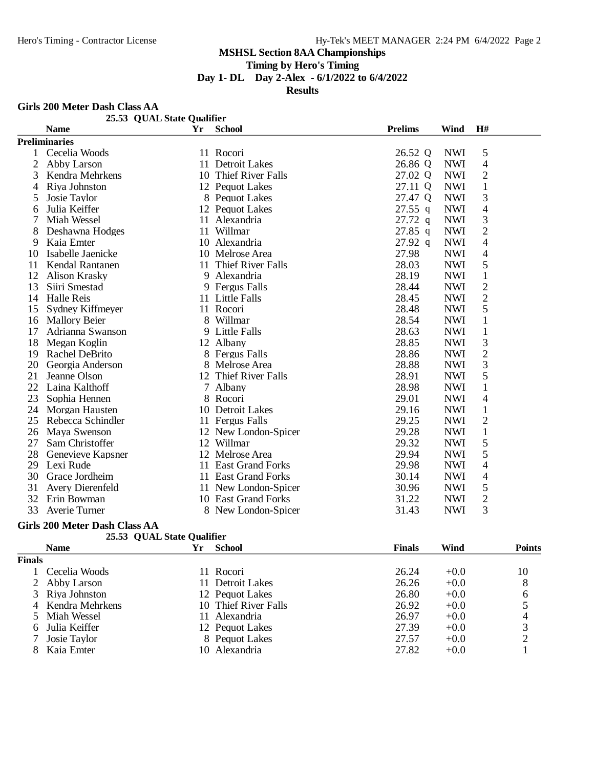# **Timing by Hero's Timing**

**Day 1- DL Day 2-Alex - 6/1/2022 to 6/4/2022**

**Results**

#### **Girls 200 Meter Dash Class AA**

| Giris 200 Meter Dasn Class AA |                            |    |                          |                |            |                |  |
|-------------------------------|----------------------------|----|--------------------------|----------------|------------|----------------|--|
|                               | 25.53 QUAL State Qualifier |    |                          | <b>Prelims</b> |            | H#             |  |
|                               | <b>Name</b>                | Yr | <b>School</b>            |                | Wind       |                |  |
|                               | <b>Preliminaries</b>       |    |                          |                |            |                |  |
| 1                             | Cecelia Woods              |    | 11 Rocori                | 26.52 Q        | <b>NWI</b> | 5              |  |
| $\overline{c}$                | Abby Larson                | 11 | Detroit Lakes            | 26.86 Q        | <b>NWI</b> | 4              |  |
| 3                             | Kendra Mehrkens            |    | 10 Thief River Falls     | 27.02 Q        | <b>NWI</b> | $\overline{2}$ |  |
| 4                             | Riya Johnston              |    | 12 Pequot Lakes          | 27.11 Q        | <b>NWI</b> | $\mathbf{1}$   |  |
| 5                             | Josie Taylor               |    | 8 Pequot Lakes           | 27.47 Q        | <b>NWI</b> | 3              |  |
| 6                             | Julia Keiffer              |    | 12 Pequot Lakes          | $27.55$ q      | <b>NWI</b> | $\overline{4}$ |  |
| 7                             | Miah Wessel                |    | 11 Alexandria            | 27.72 q        | <b>NWI</b> | 3              |  |
| 8                             | Deshawna Hodges            | 11 | Willmar                  | $27.85$ q      | <b>NWI</b> | $\overline{c}$ |  |
| 9                             | Kaia Emter                 |    | 10 Alexandria            | $27.92$ q      | <b>NWI</b> | $\overline{4}$ |  |
| 10                            | Isabelle Jaenicke          |    | 10 Melrose Area          | 27.98          | <b>NWI</b> | $\overline{4}$ |  |
| 11                            | Kendal Rantanen            | 11 | <b>Thief River Falls</b> | 28.03          | <b>NWI</b> | 5              |  |
| 12                            | <b>Alison Krasky</b>       |    | 9 Alexandria             | 28.19          | <b>NWI</b> | $\mathbf{1}$   |  |
| 13                            | Siiri Smestad              |    | 9 Fergus Falls           | 28.44          | <b>NWI</b> | $\overline{c}$ |  |
| 14                            | <b>Halle Reis</b>          |    | 11 Little Falls          | 28.45          | <b>NWI</b> | $\overline{c}$ |  |
| 15                            | Sydney Kiffmeyer           |    | 11 Rocori                | 28.48          | <b>NWI</b> | 5              |  |
| 16                            | <b>Mallory Beier</b>       |    | 8 Willmar                | 28.54          | <b>NWI</b> | $\mathbf{1}$   |  |
| 17                            | Adrianna Swanson           |    | 9 Little Falls           | 28.63          | <b>NWI</b> | $\mathbf{1}$   |  |
| 18                            | Megan Koglin               |    | 12 Albany                | 28.85          | <b>NWI</b> | 3              |  |
| 19                            | Rachel DeBrito             |    | 8 Fergus Falls           | 28.86          | <b>NWI</b> | $\overline{2}$ |  |
| 20                            | Georgia Anderson           |    | 8 Melrose Area           | 28.88          | <b>NWI</b> | 3              |  |
| 21                            | Jeanne Olson               | 12 | Thief River Falls        | 28.91          | <b>NWI</b> | 5              |  |
| 22                            | Laina Kalthoff             |    | 7 Albany                 | 28.98          | <b>NWI</b> | $\mathbf{1}$   |  |
| 23                            | Sophia Hennen              |    | 8 Rocori                 | 29.01          | <b>NWI</b> | 4              |  |
| 24                            | Morgan Hausten             |    | 10 Detroit Lakes         | 29.16          | <b>NWI</b> | $\mathbf{1}$   |  |
| 25                            | Rebecca Schindler          |    | 11 Fergus Falls          | 29.25          | <b>NWI</b> | $\overline{c}$ |  |
| 26                            | Maya Swenson               |    | 12 New London-Spicer     | 29.28          | <b>NWI</b> | $\mathbf{1}$   |  |
| 27                            | Sam Christoffer            |    | 12 Willmar               | 29.32          | <b>NWI</b> | 5              |  |
| 28                            | Genevieve Kapsner          |    | 12 Melrose Area          | 29.94          | <b>NWI</b> | 5              |  |
| 29                            | Lexi Rude                  |    | 11 East Grand Forks      | 29.98          | <b>NWI</b> | 4              |  |
| 30                            | Grace Jordheim             |    | 11 East Grand Forks      | 30.14          | <b>NWI</b> | $\overline{4}$ |  |
| 31                            | Avery Dierenfeld           |    | 11 New London-Spicer     | 30.96          | <b>NWI</b> | 5              |  |
| 32                            | Erin Bowman                |    | 10 East Grand Forks      | 31.22          | <b>NWI</b> | $\overline{c}$ |  |
| 33                            | Averie Turner              |    | 8 New London-Spicer      | 31.43          | <b>NWI</b> | 3              |  |

#### **Girls 200 Meter Dash Class AA**

|  | 25.53 QUAL State Qualifier |  |
|--|----------------------------|--|
|--|----------------------------|--|

|               | <b>Name</b>       | Үr | <b>School</b>        | <b>Finals</b> | Wind   | <b>Points</b> |
|---------------|-------------------|----|----------------------|---------------|--------|---------------|
| <b>Finals</b> |                   |    |                      |               |        |               |
|               | Cecelia Woods     |    | 11 Rocori            | 26.24         | $+0.0$ | 10            |
|               | 2 Abby Larson     |    | 11 Detroit Lakes     | 26.26         | $+0.0$ | 8             |
|               | 3 Riva Johnston   |    | 12 Pequot Lakes      | 26.80         | $+0.0$ | 6             |
|               | 4 Kendra Mehrkens |    | 10 Thief River Falls | 26.92         | $+0.0$ |               |
|               | 5 Miah Wessel     |    | 11 Alexandria        | 26.97         | $+0.0$ |               |
|               | 6 Julia Keiffer   |    | 12 Pequot Lakes      | 27.39         | $+0.0$ |               |
|               | Josie Taylor      |    | 8 Pequot Lakes       | 27.57         | $+0.0$ |               |
|               | Kaia Emter        |    | 10 Alexandria        | 27.82         | $+0.0$ |               |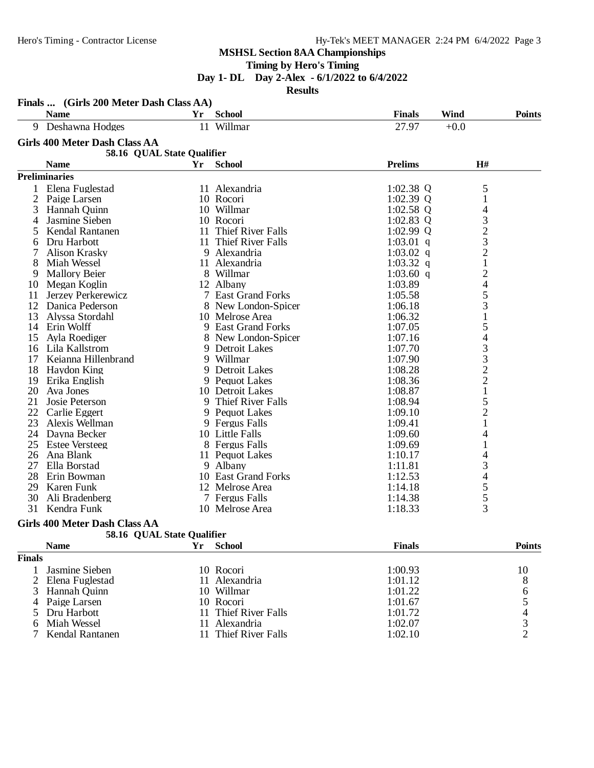**Timing by Hero's Timing**

**Day 1- DL Day 2-Alex - 6/1/2022 to 6/4/2022**

**Results**

|    | <b>Name</b>                          | Yr | <b>School</b>       | <b>Finals</b>  | <b>Wind</b>                                          | <b>Points</b> |
|----|--------------------------------------|----|---------------------|----------------|------------------------------------------------------|---------------|
|    | 9 Deshawna Hodges                    |    | 11 Willmar          | 27.97          | $+0.0$                                               |               |
|    | <b>Girls 400 Meter Dash Class AA</b> |    |                     |                |                                                      |               |
|    | 58.16 QUAL State Qualifier           |    |                     |                |                                                      |               |
|    | <b>Name</b>                          | Yr | <b>School</b>       | <b>Prelims</b> | $\mathbf{H}$ #                                       |               |
|    | <b>Preliminaries</b>                 |    |                     |                |                                                      |               |
| 1  | Elena Fuglestad                      |    | 11 Alexandria       | $1:02.38$ Q    | 5                                                    |               |
| 2  | Paige Larsen                         |    | 10 Rocori           | $1:02.39$ Q    | 1                                                    |               |
| 3  | Hannah Quinn                         |    | 10 Willmar          | $1:02.58$ Q    | 4                                                    |               |
| 4  | Jasmine Sieben                       |    | 10 Rocori           | $1:02.83$ Q    |                                                      |               |
| 5  | Kendal Rantanen                      | 11 | Thief River Falls   | $1:02.99$ Q    | $\begin{array}{c} 3 \\ 2 \\ 3 \\ 2 \\ 1 \end{array}$ |               |
| 6  | Dru Harbott                          | 11 | Thief River Falls   | $1:03.01$ q    |                                                      |               |
| 7  | <b>Alison Krasky</b>                 |    | 9 Alexandria        | 1:03.02 $q$    |                                                      |               |
| 8  | Miah Wessel                          |    | 11 Alexandria       | 1:03.32 q      |                                                      |               |
| 9  | <b>Mallory Beier</b>                 |    | 8 Willmar           | $1:03.60$ q    |                                                      |               |
| 10 | Megan Koglin                         |    | 12 Albany           | 1:03.89        | 2453                                                 |               |
| 11 | Jerzey Perkerewicz                   |    | 7 East Grand Forks  | 1:05.58        |                                                      |               |
| 12 | Danica Pederson                      |    | 8 New London-Spicer | 1:06.18        |                                                      |               |
| 13 | Alyssa Stordahl                      |    | 10 Melrose Area     | 1:06.32        |                                                      |               |
| 14 | Erin Wolff                           |    | 9 East Grand Forks  | 1:07.05        | 5                                                    |               |
| 15 | Ayla Roediger                        |    | 8 New London-Spicer | 1:07.16        | $\overline{\mathcal{L}}$                             |               |
| 16 | Lila Kallstrom                       |    | 9 Detroit Lakes     | 1:07.70        |                                                      |               |
| 17 | Keianna Hillenbrand                  |    | 9 Willmar           | 1:07.90        | $\begin{array}{c} 3 \\ 3 \\ 2 \\ 2 \\ 1 \end{array}$ |               |
| 18 | Haydon King                          |    | 9 Detroit Lakes     | 1:08.28        |                                                      |               |
| 19 | Erika English                        |    | 9 Pequot Lakes      | 1:08.36        |                                                      |               |
| 20 | Ava Jones                            |    | 10 Detroit Lakes    | 1:08.87        |                                                      |               |
| 21 | Josie Peterson                       |    | 9 Thief River Falls | 1:08.94        | 5                                                    |               |
| 22 | Carlie Eggert                        |    | 9 Pequot Lakes      | 1:09.10        | $\overline{c}$                                       |               |
| 23 | Alexis Wellman                       |    | 9 Fergus Falls      | 1:09.41        | $\mathbf{1}$                                         |               |
| 24 | Dayna Becker                         |    | 10 Little Falls     | 1:09.60        | 4                                                    |               |
| 25 | <b>Estee Versteeg</b>                |    | 8 Fergus Falls      | 1:09.69        | 1                                                    |               |
| 26 | Ana Blank                            |    | 11 Pequot Lakes     | 1:10.17        | 4                                                    |               |
| 27 | Ella Borstad                         |    | 9 Albany            | 1:11.81        | 3                                                    |               |
| 28 | Erin Bowman                          |    | 10 East Grand Forks | 1:12.53        | 4                                                    |               |
| 29 | Karen Funk                           |    | 12 Melrose Area     | 1:14.18        | 5                                                    |               |
| 30 | Ali Bradenberg                       |    | 7 Fergus Falls      | 1:14.38        | $rac{5}{3}$                                          |               |
| 31 | Kendra Funk                          |    | 10 Melrose Area     | 1:18.33        |                                                      |               |

#### **Girls 400 Meter Dash Class AA**

|  |  |  | 58.16 QUAL State Qualifier |
|--|--|--|----------------------------|
|--|--|--|----------------------------|

|        | <b>Name</b>       | Yr | School               | <b>Finals</b> | <b>Points</b> |
|--------|-------------------|----|----------------------|---------------|---------------|
| Finals |                   |    |                      |               |               |
|        | Jasmine Sieben    |    | 10 Rocori            | 1:00.93       | 10            |
|        | 2 Elena Fuglestad |    | 11 Alexandria        | 1:01.12       | 8             |
|        | 3 Hannah Ouinn    |    | 10 Willmar           | 1:01.22       | O             |
|        | 4 Paige Larsen    |    | 10 Rocori            | 1:01.67       |               |
|        | 5 Dru Harbott     |    | 11 Thief River Falls | 1:01.72       |               |
| 6.     | Miah Wessel       | 11 | Alexandria           | 1:02.07       |               |
|        | Kendal Rantanen   |    | 11 Thief River Falls | 1:02.10       |               |
|        |                   |    |                      |               |               |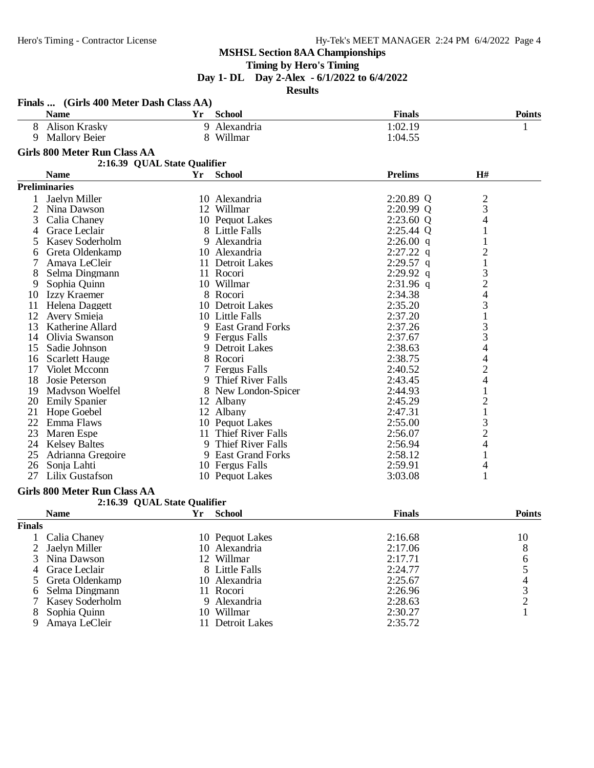# **Timing by Hero's Timing**

**Day 1- DL Day 2-Alex - 6/1/2022 to 6/4/2022**

#### **Results**

| <b>Finals</b><br><b>Name</b><br><b>School</b><br><b>Points</b><br>Yr<br><b>Alison Krasky</b><br>9 Alexandria<br>1:02.19<br>8<br>1<br><b>Mallory Beier</b><br>8 Willmar<br>1:04.55<br>9<br><b>Girls 800 Meter Run Class AA</b><br>2:16.39 QUAL State Qualifier<br><b>Prelims</b><br>H#<br><b>Name</b><br>Yr<br><b>School</b><br><b>Preliminaries</b><br>2:20.89 Q<br>$\overline{\mathbf{c}}$<br>Jaelyn Miller<br>10 Alexandria<br>1<br>3<br>2<br>12 Willmar<br>2:20.99 Q<br>Nina Dawson<br>4<br>$2:23.60$ Q<br>3<br>Calia Chaney<br>10 Pequot Lakes<br>Grace Leclair<br>8 Little Falls<br>2:25.44 Q<br>1<br>4<br>Kasey Soderholm<br>9 Alexandria<br>$2:26.00$ q<br>1<br>5<br>$\overline{c}$<br>$2:27.22$ q<br>Greta Oldenkamp<br>10 Alexandria<br>6<br>$\mathbf{1}$<br>7<br>$2:29.57$ q<br>Amaya LeCleir<br>11 Detroit Lakes<br>3<br>11 Rocori<br>$2:29.92$ q<br>8<br>Selma Dingmann<br>$\overline{c}$<br>10 Willmar<br>Sophia Quinn<br>$2:31.96$ q<br>9<br>4<br>Izzy Kraemer<br>8 Rocori<br>2:34.38<br>10<br>3<br>Helena Daggett<br>10 Detroit Lakes<br>2:35.20<br>11<br>$\mathbf 1$<br>12<br>2:37.20<br>Avery Smieja<br>10 Little Falls<br>3<br>13<br>Katherine Allard<br>9 East Grand Forks<br>2:37.26<br>3<br>2:37.67<br>Olivia Swanson<br>9 Fergus Falls<br>14<br>4<br>2:38.63<br>Sadie Johnson<br>9 Detroit Lakes<br>15<br>4<br>8 Rocori<br>2:38.75<br><b>Scarlett Hauge</b><br>16<br>$\overline{c}$<br>Violet Mcconn<br>7 Fergus Falls<br>2:40.52<br>17<br>4<br>Josie Peterson<br>9 Thief River Falls<br>18<br>2:43.45<br>$\mathbf{1}$<br>8 New London-Spicer<br>2:44.93<br>19<br>Madyson Woelfel<br>$\overline{\mathbf{c}}$<br>2:45.29<br>20 Emily Spanier<br>12 Albany<br>$\mathbf{1}$<br>2:47.31<br>21<br>Hope Goebel<br>12 Albany<br>3<br>22<br>Emma Flaws<br>10 Pequot Lakes<br>2:55.00<br>$\overline{c}$<br>11 Thief River Falls<br>23<br>Maren Espe<br>2:56.07<br>4<br>9 Thief River Falls<br>24 Kelsey Baltes<br>2:56.94<br>2:58.12<br>$\mathbf{1}$<br>25<br>Adrianna Gregoire<br>9 East Grand Forks<br>2:59.91<br>26<br>Sonja Lahti<br>10 Fergus Falls<br>4<br>27<br>Lilix Gustafson<br>10 Pequot Lakes<br>3:03.08<br>1<br><b>Girls 800 Meter Run Class AA</b><br>2:16.39 QUAL State Qualifier<br><b>Name</b><br>Yr<br><b>School</b><br><b>Finals</b><br><b>Points</b><br><b>Finals</b><br>Calia Chaney<br>10 Pequot Lakes<br>2:16.68<br>10<br>8<br>2<br>10 Alexandria<br>2:17.06<br>Jaelyn Miller<br>3<br>12 Willmar<br>2:17.71<br>Nina Dawson<br>6<br>$\begin{array}{c} 5 \\ 4 \\ 3 \\ 2 \end{array}$<br>Grace Leclair<br>8 Little Falls<br>2:24.77<br>4<br>10 Alexandria<br>2:25.67<br>Greta Oldenkamp<br>5<br>2:26.96<br>Selma Dingmann<br>11 Rocori<br>6<br>9 Alexandria<br>2:28.63<br>7<br>Kasey Soderholm<br>$\mathbf{1}$<br>8<br>10 Willmar<br>2:30.27<br>Sophia Ouinn<br>2:35.72<br>9<br>Amaya LeCleir<br>11 Detroit Lakes | Finals  (Girls 400 Meter Dash Class AA) |  |  |  |
|----------------------------------------------------------------------------------------------------------------------------------------------------------------------------------------------------------------------------------------------------------------------------------------------------------------------------------------------------------------------------------------------------------------------------------------------------------------------------------------------------------------------------------------------------------------------------------------------------------------------------------------------------------------------------------------------------------------------------------------------------------------------------------------------------------------------------------------------------------------------------------------------------------------------------------------------------------------------------------------------------------------------------------------------------------------------------------------------------------------------------------------------------------------------------------------------------------------------------------------------------------------------------------------------------------------------------------------------------------------------------------------------------------------------------------------------------------------------------------------------------------------------------------------------------------------------------------------------------------------------------------------------------------------------------------------------------------------------------------------------------------------------------------------------------------------------------------------------------------------------------------------------------------------------------------------------------------------------------------------------------------------------------------------------------------------------------------------------------------------------------------------------------------------------------------------------------------------------------------------------------------------------------------------------------------------------------------------------------------------------------------------------------------------------------------------------------------------------------------------------------------------------------------------------------------------------------------------------------------------------------------------------------------------------------------------------------------------------------------------------------------------------------------------------------------------------------------------------------|-----------------------------------------|--|--|--|
|                                                                                                                                                                                                                                                                                                                                                                                                                                                                                                                                                                                                                                                                                                                                                                                                                                                                                                                                                                                                                                                                                                                                                                                                                                                                                                                                                                                                                                                                                                                                                                                                                                                                                                                                                                                                                                                                                                                                                                                                                                                                                                                                                                                                                                                                                                                                                                                                                                                                                                                                                                                                                                                                                                                                                                                                                                                    |                                         |  |  |  |
|                                                                                                                                                                                                                                                                                                                                                                                                                                                                                                                                                                                                                                                                                                                                                                                                                                                                                                                                                                                                                                                                                                                                                                                                                                                                                                                                                                                                                                                                                                                                                                                                                                                                                                                                                                                                                                                                                                                                                                                                                                                                                                                                                                                                                                                                                                                                                                                                                                                                                                                                                                                                                                                                                                                                                                                                                                                    |                                         |  |  |  |
|                                                                                                                                                                                                                                                                                                                                                                                                                                                                                                                                                                                                                                                                                                                                                                                                                                                                                                                                                                                                                                                                                                                                                                                                                                                                                                                                                                                                                                                                                                                                                                                                                                                                                                                                                                                                                                                                                                                                                                                                                                                                                                                                                                                                                                                                                                                                                                                                                                                                                                                                                                                                                                                                                                                                                                                                                                                    |                                         |  |  |  |
|                                                                                                                                                                                                                                                                                                                                                                                                                                                                                                                                                                                                                                                                                                                                                                                                                                                                                                                                                                                                                                                                                                                                                                                                                                                                                                                                                                                                                                                                                                                                                                                                                                                                                                                                                                                                                                                                                                                                                                                                                                                                                                                                                                                                                                                                                                                                                                                                                                                                                                                                                                                                                                                                                                                                                                                                                                                    |                                         |  |  |  |
|                                                                                                                                                                                                                                                                                                                                                                                                                                                                                                                                                                                                                                                                                                                                                                                                                                                                                                                                                                                                                                                                                                                                                                                                                                                                                                                                                                                                                                                                                                                                                                                                                                                                                                                                                                                                                                                                                                                                                                                                                                                                                                                                                                                                                                                                                                                                                                                                                                                                                                                                                                                                                                                                                                                                                                                                                                                    |                                         |  |  |  |
|                                                                                                                                                                                                                                                                                                                                                                                                                                                                                                                                                                                                                                                                                                                                                                                                                                                                                                                                                                                                                                                                                                                                                                                                                                                                                                                                                                                                                                                                                                                                                                                                                                                                                                                                                                                                                                                                                                                                                                                                                                                                                                                                                                                                                                                                                                                                                                                                                                                                                                                                                                                                                                                                                                                                                                                                                                                    |                                         |  |  |  |
|                                                                                                                                                                                                                                                                                                                                                                                                                                                                                                                                                                                                                                                                                                                                                                                                                                                                                                                                                                                                                                                                                                                                                                                                                                                                                                                                                                                                                                                                                                                                                                                                                                                                                                                                                                                                                                                                                                                                                                                                                                                                                                                                                                                                                                                                                                                                                                                                                                                                                                                                                                                                                                                                                                                                                                                                                                                    |                                         |  |  |  |
|                                                                                                                                                                                                                                                                                                                                                                                                                                                                                                                                                                                                                                                                                                                                                                                                                                                                                                                                                                                                                                                                                                                                                                                                                                                                                                                                                                                                                                                                                                                                                                                                                                                                                                                                                                                                                                                                                                                                                                                                                                                                                                                                                                                                                                                                                                                                                                                                                                                                                                                                                                                                                                                                                                                                                                                                                                                    |                                         |  |  |  |
|                                                                                                                                                                                                                                                                                                                                                                                                                                                                                                                                                                                                                                                                                                                                                                                                                                                                                                                                                                                                                                                                                                                                                                                                                                                                                                                                                                                                                                                                                                                                                                                                                                                                                                                                                                                                                                                                                                                                                                                                                                                                                                                                                                                                                                                                                                                                                                                                                                                                                                                                                                                                                                                                                                                                                                                                                                                    |                                         |  |  |  |
|                                                                                                                                                                                                                                                                                                                                                                                                                                                                                                                                                                                                                                                                                                                                                                                                                                                                                                                                                                                                                                                                                                                                                                                                                                                                                                                                                                                                                                                                                                                                                                                                                                                                                                                                                                                                                                                                                                                                                                                                                                                                                                                                                                                                                                                                                                                                                                                                                                                                                                                                                                                                                                                                                                                                                                                                                                                    |                                         |  |  |  |
|                                                                                                                                                                                                                                                                                                                                                                                                                                                                                                                                                                                                                                                                                                                                                                                                                                                                                                                                                                                                                                                                                                                                                                                                                                                                                                                                                                                                                                                                                                                                                                                                                                                                                                                                                                                                                                                                                                                                                                                                                                                                                                                                                                                                                                                                                                                                                                                                                                                                                                                                                                                                                                                                                                                                                                                                                                                    |                                         |  |  |  |
|                                                                                                                                                                                                                                                                                                                                                                                                                                                                                                                                                                                                                                                                                                                                                                                                                                                                                                                                                                                                                                                                                                                                                                                                                                                                                                                                                                                                                                                                                                                                                                                                                                                                                                                                                                                                                                                                                                                                                                                                                                                                                                                                                                                                                                                                                                                                                                                                                                                                                                                                                                                                                                                                                                                                                                                                                                                    |                                         |  |  |  |
|                                                                                                                                                                                                                                                                                                                                                                                                                                                                                                                                                                                                                                                                                                                                                                                                                                                                                                                                                                                                                                                                                                                                                                                                                                                                                                                                                                                                                                                                                                                                                                                                                                                                                                                                                                                                                                                                                                                                                                                                                                                                                                                                                                                                                                                                                                                                                                                                                                                                                                                                                                                                                                                                                                                                                                                                                                                    |                                         |  |  |  |
|                                                                                                                                                                                                                                                                                                                                                                                                                                                                                                                                                                                                                                                                                                                                                                                                                                                                                                                                                                                                                                                                                                                                                                                                                                                                                                                                                                                                                                                                                                                                                                                                                                                                                                                                                                                                                                                                                                                                                                                                                                                                                                                                                                                                                                                                                                                                                                                                                                                                                                                                                                                                                                                                                                                                                                                                                                                    |                                         |  |  |  |
|                                                                                                                                                                                                                                                                                                                                                                                                                                                                                                                                                                                                                                                                                                                                                                                                                                                                                                                                                                                                                                                                                                                                                                                                                                                                                                                                                                                                                                                                                                                                                                                                                                                                                                                                                                                                                                                                                                                                                                                                                                                                                                                                                                                                                                                                                                                                                                                                                                                                                                                                                                                                                                                                                                                                                                                                                                                    |                                         |  |  |  |
|                                                                                                                                                                                                                                                                                                                                                                                                                                                                                                                                                                                                                                                                                                                                                                                                                                                                                                                                                                                                                                                                                                                                                                                                                                                                                                                                                                                                                                                                                                                                                                                                                                                                                                                                                                                                                                                                                                                                                                                                                                                                                                                                                                                                                                                                                                                                                                                                                                                                                                                                                                                                                                                                                                                                                                                                                                                    |                                         |  |  |  |
|                                                                                                                                                                                                                                                                                                                                                                                                                                                                                                                                                                                                                                                                                                                                                                                                                                                                                                                                                                                                                                                                                                                                                                                                                                                                                                                                                                                                                                                                                                                                                                                                                                                                                                                                                                                                                                                                                                                                                                                                                                                                                                                                                                                                                                                                                                                                                                                                                                                                                                                                                                                                                                                                                                                                                                                                                                                    |                                         |  |  |  |
|                                                                                                                                                                                                                                                                                                                                                                                                                                                                                                                                                                                                                                                                                                                                                                                                                                                                                                                                                                                                                                                                                                                                                                                                                                                                                                                                                                                                                                                                                                                                                                                                                                                                                                                                                                                                                                                                                                                                                                                                                                                                                                                                                                                                                                                                                                                                                                                                                                                                                                                                                                                                                                                                                                                                                                                                                                                    |                                         |  |  |  |
|                                                                                                                                                                                                                                                                                                                                                                                                                                                                                                                                                                                                                                                                                                                                                                                                                                                                                                                                                                                                                                                                                                                                                                                                                                                                                                                                                                                                                                                                                                                                                                                                                                                                                                                                                                                                                                                                                                                                                                                                                                                                                                                                                                                                                                                                                                                                                                                                                                                                                                                                                                                                                                                                                                                                                                                                                                                    |                                         |  |  |  |
|                                                                                                                                                                                                                                                                                                                                                                                                                                                                                                                                                                                                                                                                                                                                                                                                                                                                                                                                                                                                                                                                                                                                                                                                                                                                                                                                                                                                                                                                                                                                                                                                                                                                                                                                                                                                                                                                                                                                                                                                                                                                                                                                                                                                                                                                                                                                                                                                                                                                                                                                                                                                                                                                                                                                                                                                                                                    |                                         |  |  |  |
|                                                                                                                                                                                                                                                                                                                                                                                                                                                                                                                                                                                                                                                                                                                                                                                                                                                                                                                                                                                                                                                                                                                                                                                                                                                                                                                                                                                                                                                                                                                                                                                                                                                                                                                                                                                                                                                                                                                                                                                                                                                                                                                                                                                                                                                                                                                                                                                                                                                                                                                                                                                                                                                                                                                                                                                                                                                    |                                         |  |  |  |
|                                                                                                                                                                                                                                                                                                                                                                                                                                                                                                                                                                                                                                                                                                                                                                                                                                                                                                                                                                                                                                                                                                                                                                                                                                                                                                                                                                                                                                                                                                                                                                                                                                                                                                                                                                                                                                                                                                                                                                                                                                                                                                                                                                                                                                                                                                                                                                                                                                                                                                                                                                                                                                                                                                                                                                                                                                                    |                                         |  |  |  |
|                                                                                                                                                                                                                                                                                                                                                                                                                                                                                                                                                                                                                                                                                                                                                                                                                                                                                                                                                                                                                                                                                                                                                                                                                                                                                                                                                                                                                                                                                                                                                                                                                                                                                                                                                                                                                                                                                                                                                                                                                                                                                                                                                                                                                                                                                                                                                                                                                                                                                                                                                                                                                                                                                                                                                                                                                                                    |                                         |  |  |  |
|                                                                                                                                                                                                                                                                                                                                                                                                                                                                                                                                                                                                                                                                                                                                                                                                                                                                                                                                                                                                                                                                                                                                                                                                                                                                                                                                                                                                                                                                                                                                                                                                                                                                                                                                                                                                                                                                                                                                                                                                                                                                                                                                                                                                                                                                                                                                                                                                                                                                                                                                                                                                                                                                                                                                                                                                                                                    |                                         |  |  |  |
|                                                                                                                                                                                                                                                                                                                                                                                                                                                                                                                                                                                                                                                                                                                                                                                                                                                                                                                                                                                                                                                                                                                                                                                                                                                                                                                                                                                                                                                                                                                                                                                                                                                                                                                                                                                                                                                                                                                                                                                                                                                                                                                                                                                                                                                                                                                                                                                                                                                                                                                                                                                                                                                                                                                                                                                                                                                    |                                         |  |  |  |
|                                                                                                                                                                                                                                                                                                                                                                                                                                                                                                                                                                                                                                                                                                                                                                                                                                                                                                                                                                                                                                                                                                                                                                                                                                                                                                                                                                                                                                                                                                                                                                                                                                                                                                                                                                                                                                                                                                                                                                                                                                                                                                                                                                                                                                                                                                                                                                                                                                                                                                                                                                                                                                                                                                                                                                                                                                                    |                                         |  |  |  |
|                                                                                                                                                                                                                                                                                                                                                                                                                                                                                                                                                                                                                                                                                                                                                                                                                                                                                                                                                                                                                                                                                                                                                                                                                                                                                                                                                                                                                                                                                                                                                                                                                                                                                                                                                                                                                                                                                                                                                                                                                                                                                                                                                                                                                                                                                                                                                                                                                                                                                                                                                                                                                                                                                                                                                                                                                                                    |                                         |  |  |  |
|                                                                                                                                                                                                                                                                                                                                                                                                                                                                                                                                                                                                                                                                                                                                                                                                                                                                                                                                                                                                                                                                                                                                                                                                                                                                                                                                                                                                                                                                                                                                                                                                                                                                                                                                                                                                                                                                                                                                                                                                                                                                                                                                                                                                                                                                                                                                                                                                                                                                                                                                                                                                                                                                                                                                                                                                                                                    |                                         |  |  |  |
|                                                                                                                                                                                                                                                                                                                                                                                                                                                                                                                                                                                                                                                                                                                                                                                                                                                                                                                                                                                                                                                                                                                                                                                                                                                                                                                                                                                                                                                                                                                                                                                                                                                                                                                                                                                                                                                                                                                                                                                                                                                                                                                                                                                                                                                                                                                                                                                                                                                                                                                                                                                                                                                                                                                                                                                                                                                    |                                         |  |  |  |
|                                                                                                                                                                                                                                                                                                                                                                                                                                                                                                                                                                                                                                                                                                                                                                                                                                                                                                                                                                                                                                                                                                                                                                                                                                                                                                                                                                                                                                                                                                                                                                                                                                                                                                                                                                                                                                                                                                                                                                                                                                                                                                                                                                                                                                                                                                                                                                                                                                                                                                                                                                                                                                                                                                                                                                                                                                                    |                                         |  |  |  |
|                                                                                                                                                                                                                                                                                                                                                                                                                                                                                                                                                                                                                                                                                                                                                                                                                                                                                                                                                                                                                                                                                                                                                                                                                                                                                                                                                                                                                                                                                                                                                                                                                                                                                                                                                                                                                                                                                                                                                                                                                                                                                                                                                                                                                                                                                                                                                                                                                                                                                                                                                                                                                                                                                                                                                                                                                                                    |                                         |  |  |  |
|                                                                                                                                                                                                                                                                                                                                                                                                                                                                                                                                                                                                                                                                                                                                                                                                                                                                                                                                                                                                                                                                                                                                                                                                                                                                                                                                                                                                                                                                                                                                                                                                                                                                                                                                                                                                                                                                                                                                                                                                                                                                                                                                                                                                                                                                                                                                                                                                                                                                                                                                                                                                                                                                                                                                                                                                                                                    |                                         |  |  |  |
|                                                                                                                                                                                                                                                                                                                                                                                                                                                                                                                                                                                                                                                                                                                                                                                                                                                                                                                                                                                                                                                                                                                                                                                                                                                                                                                                                                                                                                                                                                                                                                                                                                                                                                                                                                                                                                                                                                                                                                                                                                                                                                                                                                                                                                                                                                                                                                                                                                                                                                                                                                                                                                                                                                                                                                                                                                                    |                                         |  |  |  |
|                                                                                                                                                                                                                                                                                                                                                                                                                                                                                                                                                                                                                                                                                                                                                                                                                                                                                                                                                                                                                                                                                                                                                                                                                                                                                                                                                                                                                                                                                                                                                                                                                                                                                                                                                                                                                                                                                                                                                                                                                                                                                                                                                                                                                                                                                                                                                                                                                                                                                                                                                                                                                                                                                                                                                                                                                                                    |                                         |  |  |  |
|                                                                                                                                                                                                                                                                                                                                                                                                                                                                                                                                                                                                                                                                                                                                                                                                                                                                                                                                                                                                                                                                                                                                                                                                                                                                                                                                                                                                                                                                                                                                                                                                                                                                                                                                                                                                                                                                                                                                                                                                                                                                                                                                                                                                                                                                                                                                                                                                                                                                                                                                                                                                                                                                                                                                                                                                                                                    |                                         |  |  |  |
|                                                                                                                                                                                                                                                                                                                                                                                                                                                                                                                                                                                                                                                                                                                                                                                                                                                                                                                                                                                                                                                                                                                                                                                                                                                                                                                                                                                                                                                                                                                                                                                                                                                                                                                                                                                                                                                                                                                                                                                                                                                                                                                                                                                                                                                                                                                                                                                                                                                                                                                                                                                                                                                                                                                                                                                                                                                    |                                         |  |  |  |
|                                                                                                                                                                                                                                                                                                                                                                                                                                                                                                                                                                                                                                                                                                                                                                                                                                                                                                                                                                                                                                                                                                                                                                                                                                                                                                                                                                                                                                                                                                                                                                                                                                                                                                                                                                                                                                                                                                                                                                                                                                                                                                                                                                                                                                                                                                                                                                                                                                                                                                                                                                                                                                                                                                                                                                                                                                                    |                                         |  |  |  |
|                                                                                                                                                                                                                                                                                                                                                                                                                                                                                                                                                                                                                                                                                                                                                                                                                                                                                                                                                                                                                                                                                                                                                                                                                                                                                                                                                                                                                                                                                                                                                                                                                                                                                                                                                                                                                                                                                                                                                                                                                                                                                                                                                                                                                                                                                                                                                                                                                                                                                                                                                                                                                                                                                                                                                                                                                                                    |                                         |  |  |  |
|                                                                                                                                                                                                                                                                                                                                                                                                                                                                                                                                                                                                                                                                                                                                                                                                                                                                                                                                                                                                                                                                                                                                                                                                                                                                                                                                                                                                                                                                                                                                                                                                                                                                                                                                                                                                                                                                                                                                                                                                                                                                                                                                                                                                                                                                                                                                                                                                                                                                                                                                                                                                                                                                                                                                                                                                                                                    |                                         |  |  |  |
|                                                                                                                                                                                                                                                                                                                                                                                                                                                                                                                                                                                                                                                                                                                                                                                                                                                                                                                                                                                                                                                                                                                                                                                                                                                                                                                                                                                                                                                                                                                                                                                                                                                                                                                                                                                                                                                                                                                                                                                                                                                                                                                                                                                                                                                                                                                                                                                                                                                                                                                                                                                                                                                                                                                                                                                                                                                    |                                         |  |  |  |
|                                                                                                                                                                                                                                                                                                                                                                                                                                                                                                                                                                                                                                                                                                                                                                                                                                                                                                                                                                                                                                                                                                                                                                                                                                                                                                                                                                                                                                                                                                                                                                                                                                                                                                                                                                                                                                                                                                                                                                                                                                                                                                                                                                                                                                                                                                                                                                                                                                                                                                                                                                                                                                                                                                                                                                                                                                                    |                                         |  |  |  |
|                                                                                                                                                                                                                                                                                                                                                                                                                                                                                                                                                                                                                                                                                                                                                                                                                                                                                                                                                                                                                                                                                                                                                                                                                                                                                                                                                                                                                                                                                                                                                                                                                                                                                                                                                                                                                                                                                                                                                                                                                                                                                                                                                                                                                                                                                                                                                                                                                                                                                                                                                                                                                                                                                                                                                                                                                                                    |                                         |  |  |  |
|                                                                                                                                                                                                                                                                                                                                                                                                                                                                                                                                                                                                                                                                                                                                                                                                                                                                                                                                                                                                                                                                                                                                                                                                                                                                                                                                                                                                                                                                                                                                                                                                                                                                                                                                                                                                                                                                                                                                                                                                                                                                                                                                                                                                                                                                                                                                                                                                                                                                                                                                                                                                                                                                                                                                                                                                                                                    |                                         |  |  |  |
|                                                                                                                                                                                                                                                                                                                                                                                                                                                                                                                                                                                                                                                                                                                                                                                                                                                                                                                                                                                                                                                                                                                                                                                                                                                                                                                                                                                                                                                                                                                                                                                                                                                                                                                                                                                                                                                                                                                                                                                                                                                                                                                                                                                                                                                                                                                                                                                                                                                                                                                                                                                                                                                                                                                                                                                                                                                    |                                         |  |  |  |
|                                                                                                                                                                                                                                                                                                                                                                                                                                                                                                                                                                                                                                                                                                                                                                                                                                                                                                                                                                                                                                                                                                                                                                                                                                                                                                                                                                                                                                                                                                                                                                                                                                                                                                                                                                                                                                                                                                                                                                                                                                                                                                                                                                                                                                                                                                                                                                                                                                                                                                                                                                                                                                                                                                                                                                                                                                                    |                                         |  |  |  |
|                                                                                                                                                                                                                                                                                                                                                                                                                                                                                                                                                                                                                                                                                                                                                                                                                                                                                                                                                                                                                                                                                                                                                                                                                                                                                                                                                                                                                                                                                                                                                                                                                                                                                                                                                                                                                                                                                                                                                                                                                                                                                                                                                                                                                                                                                                                                                                                                                                                                                                                                                                                                                                                                                                                                                                                                                                                    |                                         |  |  |  |
|                                                                                                                                                                                                                                                                                                                                                                                                                                                                                                                                                                                                                                                                                                                                                                                                                                                                                                                                                                                                                                                                                                                                                                                                                                                                                                                                                                                                                                                                                                                                                                                                                                                                                                                                                                                                                                                                                                                                                                                                                                                                                                                                                                                                                                                                                                                                                                                                                                                                                                                                                                                                                                                                                                                                                                                                                                                    |                                         |  |  |  |
|                                                                                                                                                                                                                                                                                                                                                                                                                                                                                                                                                                                                                                                                                                                                                                                                                                                                                                                                                                                                                                                                                                                                                                                                                                                                                                                                                                                                                                                                                                                                                                                                                                                                                                                                                                                                                                                                                                                                                                                                                                                                                                                                                                                                                                                                                                                                                                                                                                                                                                                                                                                                                                                                                                                                                                                                                                                    |                                         |  |  |  |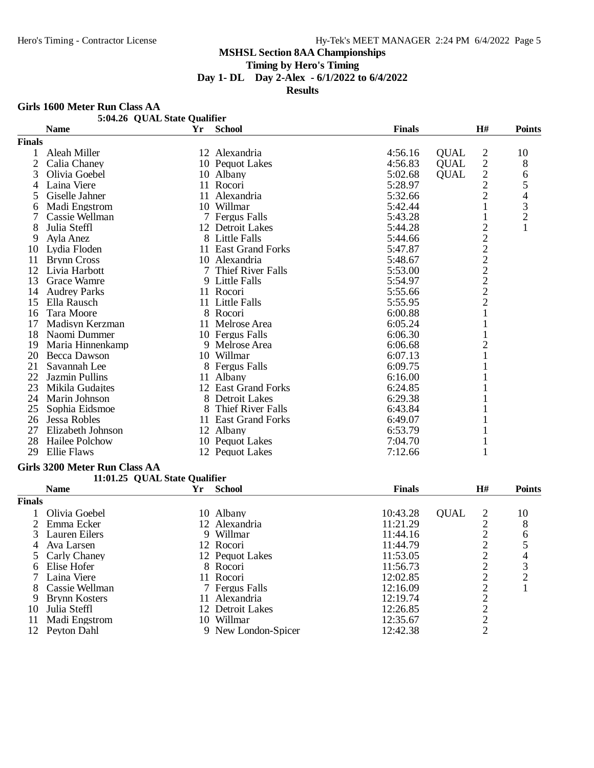**Timing by Hero's Timing**

**Day 1- DL Day 2-Alex - 6/1/2022 to 6/4/2022**

**Results**

#### **Girls 1600 Meter Run Class AA**

|                | 5:04.26 QUAL State Qualifier  |    |                     |               |             |                                                   |                |
|----------------|-------------------------------|----|---------------------|---------------|-------------|---------------------------------------------------|----------------|
|                | <b>Name</b>                   | Yr | <b>School</b>       | <b>Finals</b> |             | H#                                                | <b>Points</b>  |
| <b>Finals</b>  |                               |    |                     |               |             |                                                   |                |
| 1              | Aleah Miller                  |    | 12 Alexandria       | 4:56.16       | <b>QUAL</b> | 2                                                 | 10             |
| $\overline{2}$ | Calia Chaney                  |    | 10 Pequot Lakes     | 4:56.83       | <b>QUAL</b> | $\sqrt{2}$                                        | 8              |
| 3              | Olivia Goebel                 |    | 10 Albany           | 5:02.68       | <b>QUAL</b> | $\overline{c}$                                    | 6              |
| 4              | Laina Viere                   |    | 11 Rocori           | 5:28.97       |             | $\overline{c}$                                    | 5              |
| 5              | Giselle Jahner                |    | 11 Alexandria       | 5:32.66       |             | $\mathbf{2}$                                      | 4              |
| 6              | Madi Engstrom                 |    | 10 Willmar          | 5:42.44       |             | 1                                                 | 3              |
|                | Cassie Wellman                |    | 7 Fergus Falls      | 5:43.28       |             | 1                                                 | $\overline{c}$ |
| 8              | Julia Steffl                  |    | 12 Detroit Lakes    | 5:44.28       |             | 2                                                 | 1              |
| 9              | Ayla Anez                     |    | 8 Little Falls      | 5:44.66       |             | $\overline{c}$                                    |                |
|                | 10 Lydia Floden               |    | 11 East Grand Forks | 5:47.87       |             | $\overline{c}$                                    |                |
| 11             | <b>Brynn Cross</b>            |    | 10 Alexandria       | 5:48.67       |             |                                                   |                |
|                | 12 Livia Harbott              |    | 7 Thief River Falls | 5:53.00       |             |                                                   |                |
| 13             | <b>Grace Wamre</b>            |    | 9 Little Falls      | 5:54.97       |             | $\begin{array}{c}\n2 \\ 2 \\ 2 \\ 2\n\end{array}$ |                |
| 14             | <b>Audrey Parks</b>           |    | 11 Rocori           | 5:55.66       |             |                                                   |                |
| 15             | Ella Rausch                   |    | 11 Little Falls     | 5:55.95       |             |                                                   |                |
| 16             | Tara Moore                    |    | 8 Rocori            | 6:00.88       |             | $\mathbf 1$                                       |                |
| 17             | Madisyn Kerzman               |    | 11 Melrose Area     | 6:05.24       |             | $\mathbf{1}$                                      |                |
| 18             | Naomi Dummer                  |    | 10 Fergus Falls     | 6:06.30       |             |                                                   |                |
| 19             | Maria Hinnenkamp              |    | 9 Melrose Area      | 6:06.68       |             | 2                                                 |                |
| 20             | Becca Dawson                  |    | 10 Willmar          | 6:07.13       |             | 1                                                 |                |
| 21             | Savannah Lee                  |    | 8 Fergus Falls      | 6:09.75       |             | 1                                                 |                |
| 22             | Jazmin Pullins                |    | 11 Albany           | 6:16.00       |             |                                                   |                |
|                | 23 Mikila Gudajtes            |    | 12 East Grand Forks | 6:24.85       |             |                                                   |                |
|                | 24 Marin Johnson              |    | 8 Detroit Lakes     | 6:29.38       |             |                                                   |                |
| 25             | Sophia Eidsmoe                |    | 8 Thief River Falls | 6:43.84       |             |                                                   |                |
| 26             | Jessa Robles                  |    | 11 East Grand Forks | 6:49.07       |             | 1                                                 |                |
| 27             | Elizabeth Johnson             |    | 12 Albany           | 6:53.79       |             |                                                   |                |
| 28             | Hailee Polchow                |    | 10 Pequot Lakes     | 7:04.70       |             | 1                                                 |                |
| 29             | <b>Ellie Flaws</b>            |    | 12 Pequot Lakes     | 7:12.66       |             | 1                                                 |                |
|                | Girls 3200 Meter Run Class AA |    |                     |               |             |                                                   |                |
|                | 11:01.25 QUAL State Qualifier |    |                     |               |             |                                                   |                |
|                | <b>Name</b>                   | Yr | <b>School</b>       | <b>Finals</b> |             | H#                                                | <b>Points</b>  |
| <b>Finals</b>  |                               |    |                     |               |             |                                                   |                |
|                | Olivia Goebel                 |    | 10 Albany           | 10:43.28      | <b>QUAL</b> | 2                                                 | 10             |
| 2              | Emma Ecker                    |    | 12 Alexandria       | 11:21.29      |             | $\overline{c}$                                    | 8              |
| 3              | Lauren Eilers                 |    | 9 Willmar           | 11:44.16      |             | $\overline{c}$                                    | 6              |
|                | 4 Ava Larsen                  |    | 12 Rocori           | 11:44.79      |             | $\overline{c}$                                    | 5              |
| 5              | Carly Chaney                  |    | 12 Pequot Lakes     | 11:53.05      |             | 2                                                 | 4              |
| 6              | Elise Hofer                   |    | 8 Rocori            | 11:56.73      |             | 2                                                 | 3              |
|                | Laina Viere                   |    | 11 Rocori           | 12:02.85      |             | 2                                                 | $\overline{c}$ |
|                | Cassie Wellman                |    | 7 Fergus Falls      | 12:16.09      |             | $\overline{c}$                                    |                |
| 9              | <b>Brynn Kosters</b>          |    | 11 Alexandria       | 12:19.74      |             | $\overline{2}$                                    |                |
| 10             | Julia Steffl                  |    | 12 Detroit Lakes    | 12:26.85      |             | $\mathbf{2}$                                      |                |
|                | 11 Madi Engstrom              |    | 10 Willmar          | 12:35.67      |             | $\overline{2}$                                    |                |

12 Peyton Dahl 9 New London-Spicer 12:42.38 2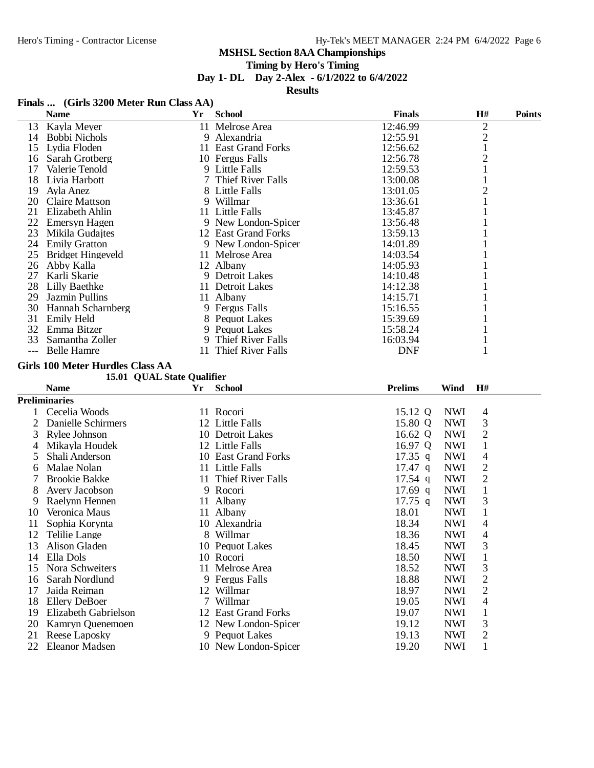# **Timing by Hero's Timing**

# **Day 1- DL Day 2-Alex - 6/1/2022 to 6/4/2022**

#### **Results**

# **Finals ... (Girls 3200 Meter Run Class AA)**

|          | <b>Name</b>                             | <b>Yr</b> | <b>School</b>                          | <b>Finals</b>  | $\mathbf{H}$ #           | <b>Points</b>            |
|----------|-----------------------------------------|-----------|----------------------------------------|----------------|--------------------------|--------------------------|
|          | 13 Kayla Meyer                          |           | 11 Melrose Area                        | 12:46.99       |                          | $\overline{c}$           |
|          | 14 Bobbi Nichols                        |           | 9 Alexandria                           | 12:55.91       |                          | $\overline{c}$           |
| 15       | Lydia Floden                            |           | 11 East Grand Forks                    | 12:56.62       |                          | $\mathbf{1}$             |
| 16       | Sarah Grotberg                          |           | 10 Fergus Falls                        | 12:56.78       |                          | $\overline{c}$           |
| 17       | Valerie Tenold                          |           | 9 Little Falls                         | 12:59.53       |                          | 1                        |
| 18       | Livia Harbott                           |           | 7 Thief River Falls                    | 13:00.08       |                          | 1                        |
| 19       | Ayla Anez                               |           | 8 Little Falls                         | 13:01.05       |                          | $\overline{2}$           |
| 20       | <b>Claire Mattson</b>                   |           | 9 Willmar                              | 13:36.61       |                          | $\mathbf{1}$             |
| 21       | Elizabeth Ahlin                         |           | 11 Little Falls                        | 13:45.87       |                          | 1                        |
|          | 22 Emersyn Hagen                        |           | 9 New London-Spicer                    | 13:56.48       |                          | 1                        |
| 23       | Mikila Gudajtes                         |           | 12 East Grand Forks                    | 13:59.13       |                          |                          |
| 24       | <b>Emily Gratton</b>                    |           | 9 New London-Spicer                    | 14:01.89       |                          | 1                        |
| 25       | <b>Bridget Hingeveld</b>                |           | 11 Melrose Area                        | 14:03.54       |                          | 1                        |
| 26       | Abby Kalla                              |           | 12 Albany                              | 14:05.93       |                          |                          |
|          | 27 Karli Skarie                         |           | 9 Detroit Lakes                        | 14:10.48       |                          |                          |
|          | 28 Lilly Baethke                        |           | 11 Detroit Lakes                       | 14:12.38       |                          |                          |
| 29       | Jazmin Pullins                          |           | 11 Albany                              | 14:15.71       |                          |                          |
| 30       | Hannah Scharnberg                       |           | 9 Fergus Falls                         | 15:16.55       |                          | 1                        |
| 31       | <b>Emily Held</b>                       |           | 8 Pequot Lakes                         | 15:39.69       |                          | 1                        |
| 32       | Emma Bitzer                             |           | 9 Pequot Lakes                         | 15:58.24       |                          | 1                        |
| 33       | Samantha Zoller                         |           | 9 Thief River Falls                    | 16:03.94       |                          | 1                        |
| $---$    | <b>Belle Hamre</b>                      |           | 11 Thief River Falls                   | <b>DNF</b>     |                          | 1                        |
|          | <b>Girls 100 Meter Hurdles Class AA</b> |           |                                        |                |                          |                          |
|          | 15.01 QUAL State Qualifier              |           |                                        |                |                          |                          |
|          |                                         |           |                                        |                |                          |                          |
|          | <b>Name</b>                             | Yr        | <b>School</b>                          | <b>Prelims</b> | H#<br>Wind               |                          |
|          |                                         |           |                                        |                |                          |                          |
|          | <b>Preliminaries</b>                    |           |                                        |                |                          |                          |
| 1        | Cecelia Woods                           |           | 11 Rocori                              | 15.12 Q        | <b>NWI</b>               | $\overline{4}$           |
| 2        | Danielle Schirmers                      |           | 12 Little Falls                        | 15.80 Q        | <b>NWI</b>               | 3                        |
| 3        | Rylee Johnson                           |           | 10 Detroit Lakes                       | 16.62 Q        | <b>NWI</b>               | $\sqrt{2}$               |
| 4        | Mikayla Houdek                          |           | 12 Little Falls                        | 16.97 Q        | <b>NWI</b>               | $\mathbf{1}$             |
| 5        | Shali Anderson                          |           | 10 East Grand Forks                    | $17.35$ q      | <b>NWI</b>               | 4                        |
| 6        | Malae Nolan                             |           | 11 Little Falls                        | $17.47$ q      | <b>NWI</b>               | $\mathbf{2}$             |
| 7        | <b>Brookie Bakke</b>                    |           | 11 Thief River Falls                   | $17.54$ q      | <b>NWI</b>               | $\overline{2}$           |
| 8        | Avery Jacobson                          |           | 9 Rocori                               | $17.69$ q      | <b>NWI</b>               | $\mathbf{1}$             |
| 9        | Raelynn Hennen                          |           | 11 Albany                              | $17.75$ q      | <b>NWI</b>               | 3                        |
| 10       | Veronica Maus                           |           | 11 Albany                              | 18.01          | <b>NWI</b>               | $\mathbf{1}$             |
| 11       | Sophia Korynta                          |           | 10 Alexandria                          | 18.34          | <b>NWI</b>               | 4                        |
| 12       | Telilie Lange                           |           | 8 Willmar                              | 18.36          | <b>NWI</b>               | $\overline{\mathcal{L}}$ |
|          | 13 Alison Gladen                        |           | 10 Pequot Lakes                        | 18.45          | <b>NWI</b>               | 3                        |
| 14       | Ella Dols                               |           | 10 Rocori                              | 18.50          | <b>NWI</b>               | $\mathbf{1}$             |
| 15       | Nora Schweiters                         |           | 11 Melrose Area                        | 18.52          | <b>NWI</b>               | 3                        |
| 16       | Sarah Nordlund                          |           | 9 Fergus Falls                         | 18.88          | <b>NWI</b>               | $\overline{c}$           |
| 17       | Jaida Reiman                            |           | 12 Willmar                             | 18.97          | <b>NWI</b>               | $\mathbf{2}$             |
| 18       | <b>Ellery DeBoer</b>                    |           | 7 Willmar                              | 19.05          | <b>NWI</b>               | 4                        |
| 19       | Elizabeth Gabrielson                    |           | 12 East Grand Forks                    | 19.07          | <b>NWI</b>               | $\mathbf{1}$             |
| 20       | Kamryn Quenemoen                        |           | 12 New London-Spicer                   | 19.12          | <b>NWI</b>               | 3                        |
| 21<br>22 | Reese Laposky<br>Eleanor Madsen         |           | 9 Pequot Lakes<br>10 New London-Spicer | 19.13<br>19.20 | <b>NWI</b><br><b>NWI</b> | 2                        |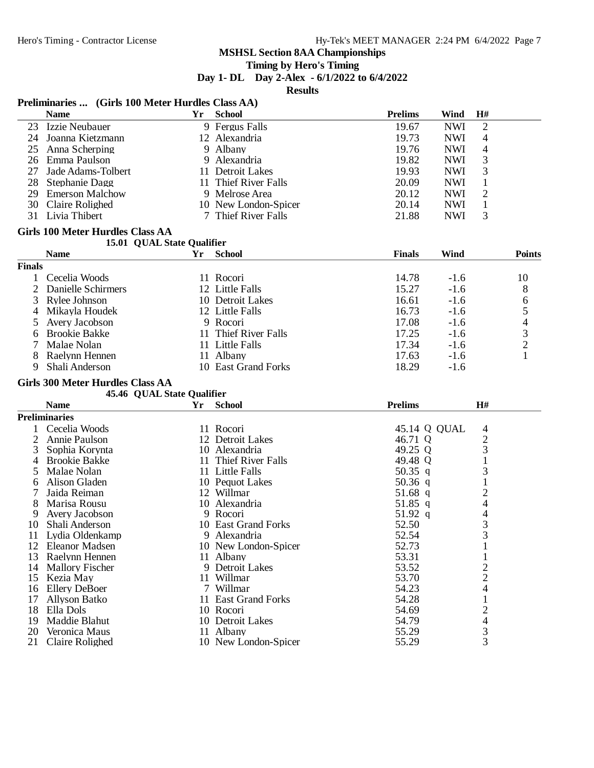#### **Timing by Hero's Timing**

**Day 1- DL Day 2-Alex - 6/1/2022 to 6/4/2022**

**Results**

# Preliminaries ... *(Cirls 100 Meter Hurdles Class AA)*

| Yr<br><b>School</b><br><b>Prelims</b><br>Wind<br>H#<br><b>Name</b><br>9 Fergus Falls<br>19.67<br><b>NWI</b><br>2<br>23 Izzie Neubauer<br>24 Joanna Kietzmann<br>12 Alexandria<br>19.73<br><b>NWI</b><br>4<br>4<br>25<br>Anna Scherping<br>9 Albany<br>19.76<br><b>NWI</b><br>3<br>26 Emma Paulson<br>9 Alexandria<br>19.82<br><b>NWI</b><br>3<br>27 Jade Adams-Tolbert<br>11 Detroit Lakes<br>19.93<br><b>NWI</b><br>28 Stephanie Dagg<br>20.09<br><b>NWI</b><br>$\mathbf{1}$<br>11 Thief River Falls<br>20.12<br>29 Emerson Malchow<br><b>NWI</b><br>2<br>9 Melrose Area<br>20.14<br>30<br>Claire Rolighed<br>10 New London-Spicer<br><b>NWI</b><br>$\mathbf{1}$<br>31 Livia Thibert<br>21.88<br>3<br>7 Thief River Falls<br><b>NWI</b><br><b>Girls 100 Meter Hurdles Class AA</b><br>15.01 QUAL State Qualifier<br><b>Name</b><br><b>Wind</b><br>Yr<br><b>School</b><br><b>Finals</b><br><b>Points</b><br><b>Finals</b><br>Cecelia Woods<br>11 Rocori<br>14.78<br>10<br>1<br>$-1.6$<br>$\overline{2}$<br>12 Little Falls<br>15.27<br>Danielle Schirmers<br>$-1.6$<br>8<br>16.61<br>3<br>Rylee Johnson<br>10 Detroit Lakes<br>$-1.6$<br>6<br>5<br>12 Little Falls<br>16.73<br>Mikayla Houdek<br>$-1.6$<br>4<br>4<br>Avery Jacobson<br>9 Rocori<br>17.08<br>5<br>$-1.6$<br>3<br><b>Brookie Bakke</b><br>11 Thief River Falls<br>17.25<br>$-1.6$<br>6<br>$\overline{2}$<br>Malae Nolan<br>17.34<br>11 Little Falls<br>$-1.6$<br>7<br>$\mathbf{1}$<br>8<br>Raelynn Hennen<br>11 Albany<br>17.63<br>$-1.6$<br>Shali Anderson<br>10 East Grand Forks<br>18.29<br>9<br>$-1.6$<br><b>Girls 300 Meter Hurdles Class AA</b><br>45.46 QUAL State Qualifier<br><b>Prelims</b><br>H#<br><b>Name</b><br>Yr<br><b>School</b><br><b>Preliminaries</b><br>Cecelia Woods<br>11 Rocori<br>45.14 Q QUAL<br>4<br>$\mathbf{1}$<br>$\overline{2}$<br>12 Detroit Lakes<br>2<br>Annie Paulson<br>46.71 Q<br>3<br>49.25 Q<br>3<br>10 Alexandria<br>Sophia Korynta<br>$\mathbf{1}$<br><b>Brookie Bakke</b><br>11 Thief River Falls<br>49.48 Q<br>4<br>3<br>Malae Nolan<br>11 Little Falls<br>50.35 q<br>5<br>$\mathbf{1}$<br>Alison Gladen<br>50.36 $q$<br>10 Pequot Lakes<br>6<br>$\overline{c}$<br>7<br>Jaida Reiman<br>12 Willmar<br>$51.68$ q<br>$\overline{4}$<br>8<br>Marisa Rousu<br>10 Alexandria<br>51.85 q<br>4<br>Avery Jacobson<br>9 Rocori<br>51.92 q<br>9<br>3<br>52.50<br>10 Shali Anderson<br>10 East Grand Forks<br>3<br>52.54<br>11 Lydia Oldenkamp<br>9 Alexandria<br>52.73<br>$\mathbf{1}$<br>12 Eleanor Madsen<br>10 New London-Spicer<br>53.31<br>13 Raelynn Hennen<br>11 Albany<br>1<br>$\frac{2}{2}$<br>14 Mallory Fischer<br>9 Detroit Lakes<br>53.52<br>15<br>Kezia May<br>11 Willmar<br>53.70<br>$\overline{\mathcal{L}}$<br><b>Ellery DeBoer</b><br>7 Willmar<br>54.23<br>16<br>$\mathbf{1}$<br>54.28<br>17<br>11 East Grand Forks<br><b>Allyson Batko</b> | I reminiaries  (Girls Too Meter Tituluies Class AA) |  |  |  |
|---------------------------------------------------------------------------------------------------------------------------------------------------------------------------------------------------------------------------------------------------------------------------------------------------------------------------------------------------------------------------------------------------------------------------------------------------------------------------------------------------------------------------------------------------------------------------------------------------------------------------------------------------------------------------------------------------------------------------------------------------------------------------------------------------------------------------------------------------------------------------------------------------------------------------------------------------------------------------------------------------------------------------------------------------------------------------------------------------------------------------------------------------------------------------------------------------------------------------------------------------------------------------------------------------------------------------------------------------------------------------------------------------------------------------------------------------------------------------------------------------------------------------------------------------------------------------------------------------------------------------------------------------------------------------------------------------------------------------------------------------------------------------------------------------------------------------------------------------------------------------------------------------------------------------------------------------------------------------------------------------------------------------------------------------------------------------------------------------------------------------------------------------------------------------------------------------------------------------------------------------------------------------------------------------------------------------------------------------------------------------------------------------------------------------------------------------------------------------------------------------------------------------------------------------------------------------------------------------------------------------------------------------------------------------------------------------------------------------------------------------------------------------------------------------------------------------------------------------------------|-----------------------------------------------------|--|--|--|
|                                                                                                                                                                                                                                                                                                                                                                                                                                                                                                                                                                                                                                                                                                                                                                                                                                                                                                                                                                                                                                                                                                                                                                                                                                                                                                                                                                                                                                                                                                                                                                                                                                                                                                                                                                                                                                                                                                                                                                                                                                                                                                                                                                                                                                                                                                                                                                                                                                                                                                                                                                                                                                                                                                                                                                                                                                                               |                                                     |  |  |  |
|                                                                                                                                                                                                                                                                                                                                                                                                                                                                                                                                                                                                                                                                                                                                                                                                                                                                                                                                                                                                                                                                                                                                                                                                                                                                                                                                                                                                                                                                                                                                                                                                                                                                                                                                                                                                                                                                                                                                                                                                                                                                                                                                                                                                                                                                                                                                                                                                                                                                                                                                                                                                                                                                                                                                                                                                                                                               |                                                     |  |  |  |
|                                                                                                                                                                                                                                                                                                                                                                                                                                                                                                                                                                                                                                                                                                                                                                                                                                                                                                                                                                                                                                                                                                                                                                                                                                                                                                                                                                                                                                                                                                                                                                                                                                                                                                                                                                                                                                                                                                                                                                                                                                                                                                                                                                                                                                                                                                                                                                                                                                                                                                                                                                                                                                                                                                                                                                                                                                                               |                                                     |  |  |  |
|                                                                                                                                                                                                                                                                                                                                                                                                                                                                                                                                                                                                                                                                                                                                                                                                                                                                                                                                                                                                                                                                                                                                                                                                                                                                                                                                                                                                                                                                                                                                                                                                                                                                                                                                                                                                                                                                                                                                                                                                                                                                                                                                                                                                                                                                                                                                                                                                                                                                                                                                                                                                                                                                                                                                                                                                                                                               |                                                     |  |  |  |
|                                                                                                                                                                                                                                                                                                                                                                                                                                                                                                                                                                                                                                                                                                                                                                                                                                                                                                                                                                                                                                                                                                                                                                                                                                                                                                                                                                                                                                                                                                                                                                                                                                                                                                                                                                                                                                                                                                                                                                                                                                                                                                                                                                                                                                                                                                                                                                                                                                                                                                                                                                                                                                                                                                                                                                                                                                                               |                                                     |  |  |  |
|                                                                                                                                                                                                                                                                                                                                                                                                                                                                                                                                                                                                                                                                                                                                                                                                                                                                                                                                                                                                                                                                                                                                                                                                                                                                                                                                                                                                                                                                                                                                                                                                                                                                                                                                                                                                                                                                                                                                                                                                                                                                                                                                                                                                                                                                                                                                                                                                                                                                                                                                                                                                                                                                                                                                                                                                                                                               |                                                     |  |  |  |
|                                                                                                                                                                                                                                                                                                                                                                                                                                                                                                                                                                                                                                                                                                                                                                                                                                                                                                                                                                                                                                                                                                                                                                                                                                                                                                                                                                                                                                                                                                                                                                                                                                                                                                                                                                                                                                                                                                                                                                                                                                                                                                                                                                                                                                                                                                                                                                                                                                                                                                                                                                                                                                                                                                                                                                                                                                                               |                                                     |  |  |  |
|                                                                                                                                                                                                                                                                                                                                                                                                                                                                                                                                                                                                                                                                                                                                                                                                                                                                                                                                                                                                                                                                                                                                                                                                                                                                                                                                                                                                                                                                                                                                                                                                                                                                                                                                                                                                                                                                                                                                                                                                                                                                                                                                                                                                                                                                                                                                                                                                                                                                                                                                                                                                                                                                                                                                                                                                                                                               |                                                     |  |  |  |
|                                                                                                                                                                                                                                                                                                                                                                                                                                                                                                                                                                                                                                                                                                                                                                                                                                                                                                                                                                                                                                                                                                                                                                                                                                                                                                                                                                                                                                                                                                                                                                                                                                                                                                                                                                                                                                                                                                                                                                                                                                                                                                                                                                                                                                                                                                                                                                                                                                                                                                                                                                                                                                                                                                                                                                                                                                                               |                                                     |  |  |  |
|                                                                                                                                                                                                                                                                                                                                                                                                                                                                                                                                                                                                                                                                                                                                                                                                                                                                                                                                                                                                                                                                                                                                                                                                                                                                                                                                                                                                                                                                                                                                                                                                                                                                                                                                                                                                                                                                                                                                                                                                                                                                                                                                                                                                                                                                                                                                                                                                                                                                                                                                                                                                                                                                                                                                                                                                                                                               |                                                     |  |  |  |
|                                                                                                                                                                                                                                                                                                                                                                                                                                                                                                                                                                                                                                                                                                                                                                                                                                                                                                                                                                                                                                                                                                                                                                                                                                                                                                                                                                                                                                                                                                                                                                                                                                                                                                                                                                                                                                                                                                                                                                                                                                                                                                                                                                                                                                                                                                                                                                                                                                                                                                                                                                                                                                                                                                                                                                                                                                                               |                                                     |  |  |  |
|                                                                                                                                                                                                                                                                                                                                                                                                                                                                                                                                                                                                                                                                                                                                                                                                                                                                                                                                                                                                                                                                                                                                                                                                                                                                                                                                                                                                                                                                                                                                                                                                                                                                                                                                                                                                                                                                                                                                                                                                                                                                                                                                                                                                                                                                                                                                                                                                                                                                                                                                                                                                                                                                                                                                                                                                                                                               |                                                     |  |  |  |
|                                                                                                                                                                                                                                                                                                                                                                                                                                                                                                                                                                                                                                                                                                                                                                                                                                                                                                                                                                                                                                                                                                                                                                                                                                                                                                                                                                                                                                                                                                                                                                                                                                                                                                                                                                                                                                                                                                                                                                                                                                                                                                                                                                                                                                                                                                                                                                                                                                                                                                                                                                                                                                                                                                                                                                                                                                                               |                                                     |  |  |  |
|                                                                                                                                                                                                                                                                                                                                                                                                                                                                                                                                                                                                                                                                                                                                                                                                                                                                                                                                                                                                                                                                                                                                                                                                                                                                                                                                                                                                                                                                                                                                                                                                                                                                                                                                                                                                                                                                                                                                                                                                                                                                                                                                                                                                                                                                                                                                                                                                                                                                                                                                                                                                                                                                                                                                                                                                                                                               |                                                     |  |  |  |
|                                                                                                                                                                                                                                                                                                                                                                                                                                                                                                                                                                                                                                                                                                                                                                                                                                                                                                                                                                                                                                                                                                                                                                                                                                                                                                                                                                                                                                                                                                                                                                                                                                                                                                                                                                                                                                                                                                                                                                                                                                                                                                                                                                                                                                                                                                                                                                                                                                                                                                                                                                                                                                                                                                                                                                                                                                                               |                                                     |  |  |  |
|                                                                                                                                                                                                                                                                                                                                                                                                                                                                                                                                                                                                                                                                                                                                                                                                                                                                                                                                                                                                                                                                                                                                                                                                                                                                                                                                                                                                                                                                                                                                                                                                                                                                                                                                                                                                                                                                                                                                                                                                                                                                                                                                                                                                                                                                                                                                                                                                                                                                                                                                                                                                                                                                                                                                                                                                                                                               |                                                     |  |  |  |
|                                                                                                                                                                                                                                                                                                                                                                                                                                                                                                                                                                                                                                                                                                                                                                                                                                                                                                                                                                                                                                                                                                                                                                                                                                                                                                                                                                                                                                                                                                                                                                                                                                                                                                                                                                                                                                                                                                                                                                                                                                                                                                                                                                                                                                                                                                                                                                                                                                                                                                                                                                                                                                                                                                                                                                                                                                                               |                                                     |  |  |  |
|                                                                                                                                                                                                                                                                                                                                                                                                                                                                                                                                                                                                                                                                                                                                                                                                                                                                                                                                                                                                                                                                                                                                                                                                                                                                                                                                                                                                                                                                                                                                                                                                                                                                                                                                                                                                                                                                                                                                                                                                                                                                                                                                                                                                                                                                                                                                                                                                                                                                                                                                                                                                                                                                                                                                                                                                                                                               |                                                     |  |  |  |
|                                                                                                                                                                                                                                                                                                                                                                                                                                                                                                                                                                                                                                                                                                                                                                                                                                                                                                                                                                                                                                                                                                                                                                                                                                                                                                                                                                                                                                                                                                                                                                                                                                                                                                                                                                                                                                                                                                                                                                                                                                                                                                                                                                                                                                                                                                                                                                                                                                                                                                                                                                                                                                                                                                                                                                                                                                                               |                                                     |  |  |  |
|                                                                                                                                                                                                                                                                                                                                                                                                                                                                                                                                                                                                                                                                                                                                                                                                                                                                                                                                                                                                                                                                                                                                                                                                                                                                                                                                                                                                                                                                                                                                                                                                                                                                                                                                                                                                                                                                                                                                                                                                                                                                                                                                                                                                                                                                                                                                                                                                                                                                                                                                                                                                                                                                                                                                                                                                                                                               |                                                     |  |  |  |
|                                                                                                                                                                                                                                                                                                                                                                                                                                                                                                                                                                                                                                                                                                                                                                                                                                                                                                                                                                                                                                                                                                                                                                                                                                                                                                                                                                                                                                                                                                                                                                                                                                                                                                                                                                                                                                                                                                                                                                                                                                                                                                                                                                                                                                                                                                                                                                                                                                                                                                                                                                                                                                                                                                                                                                                                                                                               |                                                     |  |  |  |
|                                                                                                                                                                                                                                                                                                                                                                                                                                                                                                                                                                                                                                                                                                                                                                                                                                                                                                                                                                                                                                                                                                                                                                                                                                                                                                                                                                                                                                                                                                                                                                                                                                                                                                                                                                                                                                                                                                                                                                                                                                                                                                                                                                                                                                                                                                                                                                                                                                                                                                                                                                                                                                                                                                                                                                                                                                                               |                                                     |  |  |  |
|                                                                                                                                                                                                                                                                                                                                                                                                                                                                                                                                                                                                                                                                                                                                                                                                                                                                                                                                                                                                                                                                                                                                                                                                                                                                                                                                                                                                                                                                                                                                                                                                                                                                                                                                                                                                                                                                                                                                                                                                                                                                                                                                                                                                                                                                                                                                                                                                                                                                                                                                                                                                                                                                                                                                                                                                                                                               |                                                     |  |  |  |
|                                                                                                                                                                                                                                                                                                                                                                                                                                                                                                                                                                                                                                                                                                                                                                                                                                                                                                                                                                                                                                                                                                                                                                                                                                                                                                                                                                                                                                                                                                                                                                                                                                                                                                                                                                                                                                                                                                                                                                                                                                                                                                                                                                                                                                                                                                                                                                                                                                                                                                                                                                                                                                                                                                                                                                                                                                                               |                                                     |  |  |  |
|                                                                                                                                                                                                                                                                                                                                                                                                                                                                                                                                                                                                                                                                                                                                                                                                                                                                                                                                                                                                                                                                                                                                                                                                                                                                                                                                                                                                                                                                                                                                                                                                                                                                                                                                                                                                                                                                                                                                                                                                                                                                                                                                                                                                                                                                                                                                                                                                                                                                                                                                                                                                                                                                                                                                                                                                                                                               |                                                     |  |  |  |
|                                                                                                                                                                                                                                                                                                                                                                                                                                                                                                                                                                                                                                                                                                                                                                                                                                                                                                                                                                                                                                                                                                                                                                                                                                                                                                                                                                                                                                                                                                                                                                                                                                                                                                                                                                                                                                                                                                                                                                                                                                                                                                                                                                                                                                                                                                                                                                                                                                                                                                                                                                                                                                                                                                                                                                                                                                                               |                                                     |  |  |  |
|                                                                                                                                                                                                                                                                                                                                                                                                                                                                                                                                                                                                                                                                                                                                                                                                                                                                                                                                                                                                                                                                                                                                                                                                                                                                                                                                                                                                                                                                                                                                                                                                                                                                                                                                                                                                                                                                                                                                                                                                                                                                                                                                                                                                                                                                                                                                                                                                                                                                                                                                                                                                                                                                                                                                                                                                                                                               |                                                     |  |  |  |
|                                                                                                                                                                                                                                                                                                                                                                                                                                                                                                                                                                                                                                                                                                                                                                                                                                                                                                                                                                                                                                                                                                                                                                                                                                                                                                                                                                                                                                                                                                                                                                                                                                                                                                                                                                                                                                                                                                                                                                                                                                                                                                                                                                                                                                                                                                                                                                                                                                                                                                                                                                                                                                                                                                                                                                                                                                                               |                                                     |  |  |  |
|                                                                                                                                                                                                                                                                                                                                                                                                                                                                                                                                                                                                                                                                                                                                                                                                                                                                                                                                                                                                                                                                                                                                                                                                                                                                                                                                                                                                                                                                                                                                                                                                                                                                                                                                                                                                                                                                                                                                                                                                                                                                                                                                                                                                                                                                                                                                                                                                                                                                                                                                                                                                                                                                                                                                                                                                                                                               |                                                     |  |  |  |
|                                                                                                                                                                                                                                                                                                                                                                                                                                                                                                                                                                                                                                                                                                                                                                                                                                                                                                                                                                                                                                                                                                                                                                                                                                                                                                                                                                                                                                                                                                                                                                                                                                                                                                                                                                                                                                                                                                                                                                                                                                                                                                                                                                                                                                                                                                                                                                                                                                                                                                                                                                                                                                                                                                                                                                                                                                                               |                                                     |  |  |  |
|                                                                                                                                                                                                                                                                                                                                                                                                                                                                                                                                                                                                                                                                                                                                                                                                                                                                                                                                                                                                                                                                                                                                                                                                                                                                                                                                                                                                                                                                                                                                                                                                                                                                                                                                                                                                                                                                                                                                                                                                                                                                                                                                                                                                                                                                                                                                                                                                                                                                                                                                                                                                                                                                                                                                                                                                                                                               |                                                     |  |  |  |
|                                                                                                                                                                                                                                                                                                                                                                                                                                                                                                                                                                                                                                                                                                                                                                                                                                                                                                                                                                                                                                                                                                                                                                                                                                                                                                                                                                                                                                                                                                                                                                                                                                                                                                                                                                                                                                                                                                                                                                                                                                                                                                                                                                                                                                                                                                                                                                                                                                                                                                                                                                                                                                                                                                                                                                                                                                                               |                                                     |  |  |  |
|                                                                                                                                                                                                                                                                                                                                                                                                                                                                                                                                                                                                                                                                                                                                                                                                                                                                                                                                                                                                                                                                                                                                                                                                                                                                                                                                                                                                                                                                                                                                                                                                                                                                                                                                                                                                                                                                                                                                                                                                                                                                                                                                                                                                                                                                                                                                                                                                                                                                                                                                                                                                                                                                                                                                                                                                                                                               |                                                     |  |  |  |
|                                                                                                                                                                                                                                                                                                                                                                                                                                                                                                                                                                                                                                                                                                                                                                                                                                                                                                                                                                                                                                                                                                                                                                                                                                                                                                                                                                                                                                                                                                                                                                                                                                                                                                                                                                                                                                                                                                                                                                                                                                                                                                                                                                                                                                                                                                                                                                                                                                                                                                                                                                                                                                                                                                                                                                                                                                                               |                                                     |  |  |  |
|                                                                                                                                                                                                                                                                                                                                                                                                                                                                                                                                                                                                                                                                                                                                                                                                                                                                                                                                                                                                                                                                                                                                                                                                                                                                                                                                                                                                                                                                                                                                                                                                                                                                                                                                                                                                                                                                                                                                                                                                                                                                                                                                                                                                                                                                                                                                                                                                                                                                                                                                                                                                                                                                                                                                                                                                                                                               |                                                     |  |  |  |
|                                                                                                                                                                                                                                                                                                                                                                                                                                                                                                                                                                                                                                                                                                                                                                                                                                                                                                                                                                                                                                                                                                                                                                                                                                                                                                                                                                                                                                                                                                                                                                                                                                                                                                                                                                                                                                                                                                                                                                                                                                                                                                                                                                                                                                                                                                                                                                                                                                                                                                                                                                                                                                                                                                                                                                                                                                                               |                                                     |  |  |  |
|                                                                                                                                                                                                                                                                                                                                                                                                                                                                                                                                                                                                                                                                                                                                                                                                                                                                                                                                                                                                                                                                                                                                                                                                                                                                                                                                                                                                                                                                                                                                                                                                                                                                                                                                                                                                                                                                                                                                                                                                                                                                                                                                                                                                                                                                                                                                                                                                                                                                                                                                                                                                                                                                                                                                                                                                                                                               |                                                     |  |  |  |
|                                                                                                                                                                                                                                                                                                                                                                                                                                                                                                                                                                                                                                                                                                                                                                                                                                                                                                                                                                                                                                                                                                                                                                                                                                                                                                                                                                                                                                                                                                                                                                                                                                                                                                                                                                                                                                                                                                                                                                                                                                                                                                                                                                                                                                                                                                                                                                                                                                                                                                                                                                                                                                                                                                                                                                                                                                                               |                                                     |  |  |  |
|                                                                                                                                                                                                                                                                                                                                                                                                                                                                                                                                                                                                                                                                                                                                                                                                                                                                                                                                                                                                                                                                                                                                                                                                                                                                                                                                                                                                                                                                                                                                                                                                                                                                                                                                                                                                                                                                                                                                                                                                                                                                                                                                                                                                                                                                                                                                                                                                                                                                                                                                                                                                                                                                                                                                                                                                                                                               |                                                     |  |  |  |
|                                                                                                                                                                                                                                                                                                                                                                                                                                                                                                                                                                                                                                                                                                                                                                                                                                                                                                                                                                                                                                                                                                                                                                                                                                                                                                                                                                                                                                                                                                                                                                                                                                                                                                                                                                                                                                                                                                                                                                                                                                                                                                                                                                                                                                                                                                                                                                                                                                                                                                                                                                                                                                                                                                                                                                                                                                                               |                                                     |  |  |  |
|                                                                                                                                                                                                                                                                                                                                                                                                                                                                                                                                                                                                                                                                                                                                                                                                                                                                                                                                                                                                                                                                                                                                                                                                                                                                                                                                                                                                                                                                                                                                                                                                                                                                                                                                                                                                                                                                                                                                                                                                                                                                                                                                                                                                                                                                                                                                                                                                                                                                                                                                                                                                                                                                                                                                                                                                                                                               |                                                     |  |  |  |
|                                                                                                                                                                                                                                                                                                                                                                                                                                                                                                                                                                                                                                                                                                                                                                                                                                                                                                                                                                                                                                                                                                                                                                                                                                                                                                                                                                                                                                                                                                                                                                                                                                                                                                                                                                                                                                                                                                                                                                                                                                                                                                                                                                                                                                                                                                                                                                                                                                                                                                                                                                                                                                                                                                                                                                                                                                                               |                                                     |  |  |  |
|                                                                                                                                                                                                                                                                                                                                                                                                                                                                                                                                                                                                                                                                                                                                                                                                                                                                                                                                                                                                                                                                                                                                                                                                                                                                                                                                                                                                                                                                                                                                                                                                                                                                                                                                                                                                                                                                                                                                                                                                                                                                                                                                                                                                                                                                                                                                                                                                                                                                                                                                                                                                                                                                                                                                                                                                                                                               |                                                     |  |  |  |
|                                                                                                                                                                                                                                                                                                                                                                                                                                                                                                                                                                                                                                                                                                                                                                                                                                                                                                                                                                                                                                                                                                                                                                                                                                                                                                                                                                                                                                                                                                                                                                                                                                                                                                                                                                                                                                                                                                                                                                                                                                                                                                                                                                                                                                                                                                                                                                                                                                                                                                                                                                                                                                                                                                                                                                                                                                                               |                                                     |  |  |  |
|                                                                                                                                                                                                                                                                                                                                                                                                                                                                                                                                                                                                                                                                                                                                                                                                                                                                                                                                                                                                                                                                                                                                                                                                                                                                                                                                                                                                                                                                                                                                                                                                                                                                                                                                                                                                                                                                                                                                                                                                                                                                                                                                                                                                                                                                                                                                                                                                                                                                                                                                                                                                                                                                                                                                                                                                                                                               |                                                     |  |  |  |
|                                                                                                                                                                                                                                                                                                                                                                                                                                                                                                                                                                                                                                                                                                                                                                                                                                                                                                                                                                                                                                                                                                                                                                                                                                                                                                                                                                                                                                                                                                                                                                                                                                                                                                                                                                                                                                                                                                                                                                                                                                                                                                                                                                                                                                                                                                                                                                                                                                                                                                                                                                                                                                                                                                                                                                                                                                                               |                                                     |  |  |  |

18 Ella Dols 10 Rocori 54.69 2<br>19 Maddie Blahut 10 Detroit Lakes 54.79 4<br>20 Veronica Maus 11 Albany 55.29 3

20 Veronica Maus 11 Albany 55.29 3<br>21 Claire Rolighed 10 New London-Spicer 55.29 3 10 New London-Spicer

19 Maddie Blahut 10 Detroit Lakes 54.79<br>20 Veronica Maus 11 Albany 55.29

11 East Grand Forks 54.28 1<br>10 Rocori 54.69 2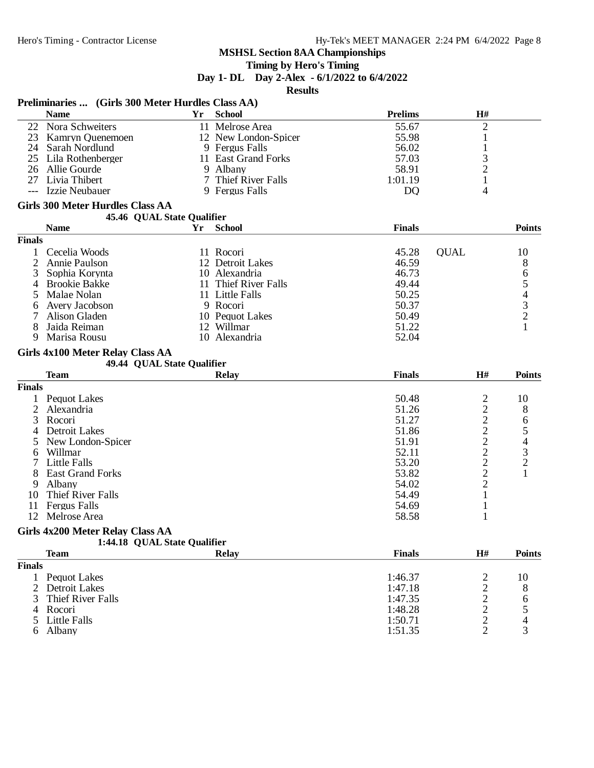#### **Timing by Hero's Timing**

**Day 1- DL Day 2-Alex - 6/1/2022 to 6/4/2022**

**Results**

|                | Preliminaries  (Girls 300 Meter Hurdles Class AA)              |     |                      |                    |                                                   |                                                 |
|----------------|----------------------------------------------------------------|-----|----------------------|--------------------|---------------------------------------------------|-------------------------------------------------|
|                | <b>Name</b>                                                    | Yr  | <b>School</b>        | <b>Prelims</b>     | H#                                                |                                                 |
|                | 22 Nora Schweiters                                             |     | 11 Melrose Area      | 55.67              | $\mathbf{2}$                                      |                                                 |
|                | 23 Kamryn Quenemoen                                            |     | 12 New London-Spicer | 55.98              | $\mathbf{1}$                                      |                                                 |
|                | 24 Sarah Nordlund                                              |     | 9 Fergus Falls       | 56.02              | $\mathbf{1}$                                      |                                                 |
|                | 25 Lila Rothenberger                                           |     | 11 East Grand Forks  | 57.03              | 3                                                 |                                                 |
| 26             | Allie Gourde                                                   | 9   | Albany               | 58.91              | $\overline{c}$                                    |                                                 |
| 27             | Livia Thibert                                                  |     | 7 Thief River Falls  | 1:01.19            | $\mathbf{1}$                                      |                                                 |
|                | Izzie Neubauer                                                 |     | 9 Fergus Falls       | D <sub>Q</sub>     | 4                                                 |                                                 |
|                | <b>Girls 300 Meter Hurdles Class AA</b>                        |     |                      |                    |                                                   |                                                 |
|                | 45.46 QUAL State Qualifier                                     |     |                      |                    |                                                   |                                                 |
|                | <b>Name</b>                                                    | Yr  | <b>School</b>        | <b>Finals</b>      |                                                   | <b>Points</b>                                   |
| <b>Finals</b>  |                                                                |     |                      |                    |                                                   |                                                 |
| 1              | Cecelia Woods                                                  |     | 11 Rocori            | 45.28              | <b>QUAL</b>                                       | 10                                              |
| 2              | Annie Paulson                                                  |     | 12 Detroit Lakes     | 46.59              |                                                   | 8                                               |
| 3              | Sophia Korynta                                                 |     | 10 Alexandria        | 46.73              |                                                   | 6                                               |
| 4              | <b>Brookie Bakke</b>                                           | 11. | Thief River Falls    | 49.44              |                                                   |                                                 |
| 5              | Malae Nolan                                                    |     | 11 Little Falls      | 50.25              |                                                   |                                                 |
|                |                                                                |     | 9 Rocori             | 50.37              |                                                   |                                                 |
| 6              | Avery Jacobson                                                 |     |                      |                    |                                                   | $\begin{array}{c} 5 \\ 4 \\ 3 \\ 2 \end{array}$ |
| 7              | Alison Gladen                                                  |     | 10 Pequot Lakes      | 50.49              |                                                   |                                                 |
| 8              | Jaida Reiman                                                   |     | 12 Willmar           | 51.22              |                                                   | 1                                               |
| 9              | Marisa Rousu                                                   |     | 10 Alexandria        | 52.04              |                                                   |                                                 |
|                | Girls 4x100 Meter Relay Class AA<br>49.44 QUAL State Qualifier |     |                      |                    |                                                   |                                                 |
|                | <b>Team</b>                                                    |     | <b>Relay</b>         | <b>Finals</b>      | H#                                                | <b>Points</b>                                   |
| <b>Finals</b>  |                                                                |     |                      |                    |                                                   |                                                 |
|                |                                                                |     |                      |                    |                                                   |                                                 |
|                |                                                                |     |                      |                    |                                                   |                                                 |
| $\mathbf{1}$   | Pequot Lakes                                                   |     |                      | 50.48              | 2                                                 | 10                                              |
| $\overline{2}$ | Alexandria                                                     |     |                      | 51.26              | $\overline{c}$                                    | 8                                               |
| 3              | Rocori                                                         |     |                      | 51.27              |                                                   | 6                                               |
| 4              | Detroit Lakes                                                  |     |                      | 51.86              |                                                   |                                                 |
| 5              | New London-Spicer                                              |     |                      | 51.91              |                                                   |                                                 |
| 6              | Willmar                                                        |     |                      | 52.11              |                                                   |                                                 |
| 7              | <b>Little Falls</b>                                            |     |                      | 53.20              |                                                   | $\frac{5}{4}$<br>$\frac{3}{2}$                  |
| 8              | <b>East Grand Forks</b>                                        |     |                      | 53.82              | $\frac{2}{2}$ $\frac{2}{2}$ $\frac{2}{2}$         | $\mathbf{1}$                                    |
| 9              | Albany                                                         |     |                      | 54.02              | $\overline{2}$                                    |                                                 |
| 10             | Thief River Falls                                              |     |                      | 54.49              | $\mathbf{1}$                                      |                                                 |
| 11             | <b>Fergus Falls</b>                                            |     |                      | 54.69              | $\mathbf{1}$                                      |                                                 |
| 12             | Melrose Area                                                   |     |                      | 58.58              | 1                                                 |                                                 |
|                | Girls 4x200 Meter Relay Class AA                               |     |                      |                    |                                                   |                                                 |
|                | 1:44.18 QUAL State Qualifier                                   |     |                      |                    |                                                   |                                                 |
|                | <b>Team</b>                                                    |     | <b>Relay</b>         | <b>Finals</b>      | H#                                                |                                                 |
| <b>Finals</b>  |                                                                |     |                      |                    |                                                   |                                                 |
|                | 1 Pequot Lakes                                                 |     |                      | 1:46.37            | $\overline{c}$                                    | 10                                              |
| 2              | Detroit Lakes                                                  |     |                      | 1:47.18            |                                                   | <b>Points</b><br>8                              |
| 3              | Thief River Falls                                              |     |                      | 1:47.35            |                                                   | 6                                               |
|                | 4 Rocori                                                       |     |                      | 1:48.28            |                                                   | 5                                               |
| 5              | Little Falls<br>6 Albany                                       |     |                      | 1:50.71<br>1:51.35 | $\begin{array}{c}\n2 \\ 2 \\ 2 \\ 2\n\end{array}$ | $\overline{\mathcal{L}}$<br>3                   |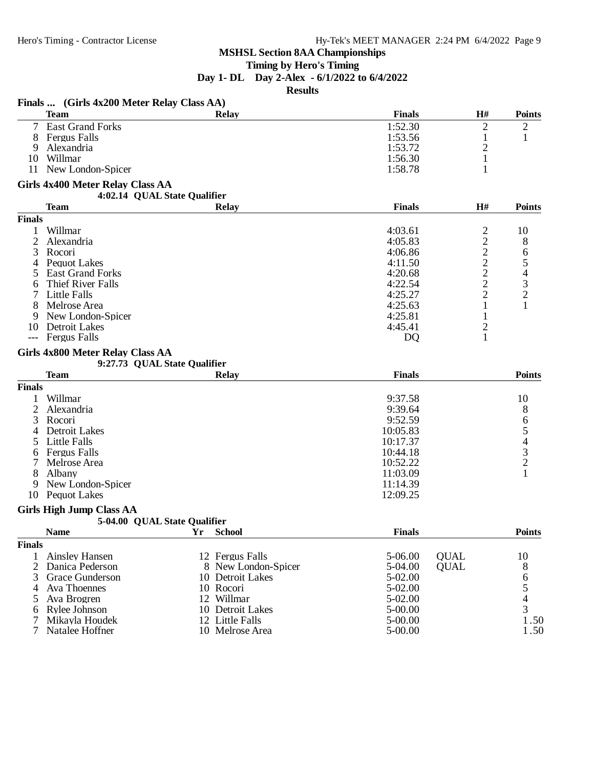#### **Timing by Hero's Timing**

**Day 1- DL Day 2-Alex - 6/1/2022 to 6/4/2022**

**Results**

#### **Finals ... (Girls 4x200 Meter Relay Class AA)**

|               | <b>Team</b>                                                          | <b>Relay</b> | <b>Finals</b>                         | H#     | <b>Points</b> |
|---------------|----------------------------------------------------------------------|--------------|---------------------------------------|--------|---------------|
|               | <b>East Grand Forks</b>                                              |              | 1:52.30                               | ∍      | 2             |
| 8             | <b>Fergus Falls</b>                                                  |              | 1:53.56                               |        |               |
| 9             | Alexandria                                                           |              | 1:53.72                               | ◠      |               |
| 10            | Willmar                                                              |              | 1:56.30                               |        |               |
| 11            | New London-Spicer                                                    |              | 1:58.78                               |        |               |
|               | Girls 4x400 Meter Relay Class AA<br>4:02.14 QUAL State Qualifier     |              |                                       |        |               |
|               | <b>Team</b>                                                          | <b>Relay</b> | <b>Finals</b>                         | H#     | <b>Points</b> |
| <b>Finals</b> |                                                                      |              |                                       |        |               |
|               | Willmar                                                              |              | 4:03.61                               | 2      | 10            |
|               | Alexandria                                                           |              | 4:05.83                               | ◠      | 8             |
| 3             | Rocori                                                               |              | 4:06.86                               | ◠      | 6             |
| 4             | Pequot Lakes                                                         |              | 4:11.50                               | ⌒      |               |
|               | <b>East Grand Forks</b>                                              |              | 4:20.68                               |        | 4             |
|               | $TH: \mathcal{L} \cap \mathcal{L} \cup \mathcal{L} \cup \mathcal{L}$ |              | $\Lambda$ $\Omega$ $\Omega$ $\Lambda$ | $\sim$ | ⌒             |

#### 6 Thief River Falls 4:22.54 2 3<br>
7 Little Falls 4:25.27 2 2 7 Little Falls 4:25.27 2 2 8 Melrose Area 4:25.63 1 1 1<br>9 New London-Spicer 4:25.81 1 1 9 New London-Spicer 4:25.81 1<br>
10 Detroit Lakes 4:45.41 2 10 Detroit Lakes 4:45.41 2<br>
--- Fergus Falls DO 1

--- Fergus Falls

#### **Girls 4x800 Meter Relay Class AA**

# **9:27.73 QUAL State Qualifier**

|               | <b>Team</b>       | <b>Relay</b> | <b>Finals</b> | <b>Points</b> |
|---------------|-------------------|--------------|---------------|---------------|
| <b>Finals</b> |                   |              |               |               |
|               | Willmar           |              | 9:37.58       | 10            |
|               | Alexandria        |              | 9:39.64       | 8             |
|               | 3 Rocori          |              | 9:52.59       | 6             |
| 4             | Detroit Lakes     |              | 10:05.83      |               |
|               | 5 Little Falls    |              | 10:17.37      |               |
| 6             | Fergus Falls      |              | 10:44.18      | 2             |
|               | Melrose Area      |              | 10:52.22      |               |
| 8             | Albany            |              | 11:03.09      |               |
| 9             | New London-Spicer |              | 11:14.39      |               |
| 10            | Pequot Lakes      |              | 12:09.25      |               |

#### **Girls High Jump Class AA**

| ---------                    |  |  |
|------------------------------|--|--|
| 5-04.00 QUAL State Qualifier |  |  |
|                              |  |  |

|               | <b>Name</b>       | <b>School</b>       | <b>Finals</b> |             | <b>Points</b> |
|---------------|-------------------|---------------------|---------------|-------------|---------------|
| <b>Finals</b> |                   |                     |               |             |               |
|               | Ainsley Hansen    | 12 Fergus Falls     | 5-06.00       | <b>OUAL</b> | 10            |
|               | 2 Danica Pederson | 8 New London-Spicer | 5-04.00       | <b>OUAL</b> | 8             |
|               | 3 Grace Gunderson | 10 Detroit Lakes    | 5-02.00       |             | 6             |
|               | 4 Ava Thoennes    | 10 Rocori           | 5-02.00       |             |               |
|               | 5 Ava Brogren     | 12 Willmar          | 5-02.00       |             |               |
|               | 6 Rylee Johnson   | 10 Detroit Lakes    | 5-00.00       |             |               |
|               | 7 Mikayla Houdek  | 12 Little Falls     | 5-00.00       |             | 1.50          |
|               | Natalee Hoffner   | 10 Melrose Area     | 5-00.00       |             | 1.50          |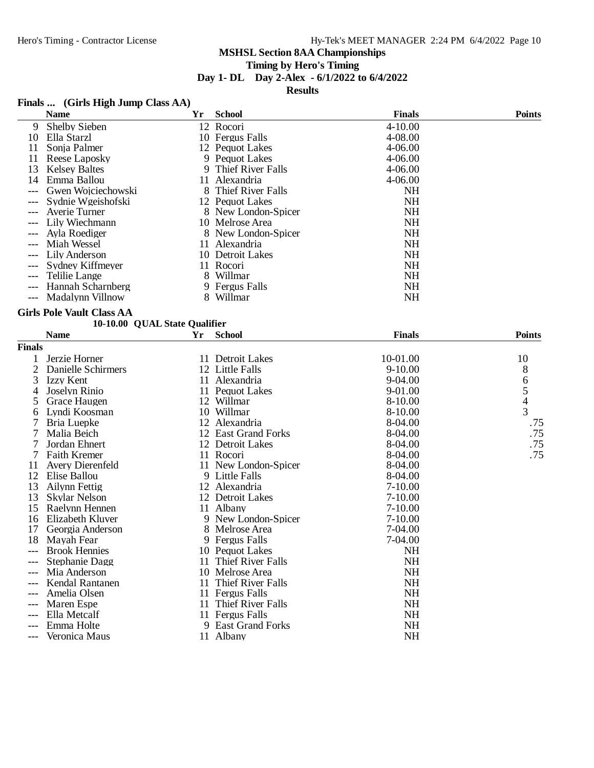# **Timing by Hero's Timing**

#### **Day 1- DL Day 2-Alex - 6/1/2022 to 6/4/2022**

**Results**

# **Finals ... (Girls High Jump Class AA)**

|    | <b>Name</b>             | Yr  | <b>School</b>       | <b>Finals</b> | <b>Points</b> |
|----|-------------------------|-----|---------------------|---------------|---------------|
| 9  | <b>Shelby Sieben</b>    |     | 12 Rocori           | $4 - 10.00$   |               |
| 10 | Ella Starzl             |     | 10 Fergus Falls     | 4-08.00       |               |
| 11 | Sonja Palmer            |     | 12 Pequot Lakes     | 4-06.00       |               |
| 11 | Reese Laposky           |     | 9 Pequot Lakes      | $4 - 06.00$   |               |
| 13 | <b>Kelsey Baltes</b>    |     | 9 Thief River Falls | $4 - 06.00$   |               |
| 14 | Emma Ballou             |     | 11 Alexandria       | $4 - 06.00$   |               |
|    | Gwen Wojciechowski      |     | 8 Thief River Falls | <b>NH</b>     |               |
|    | Sydnie Wgeishofski      |     | 12 Pequot Lakes     | <b>NH</b>     |               |
|    | Averie Turner           |     | 8 New London-Spicer | <b>NH</b>     |               |
|    | Lily Wiechmann          |     | 10 Melrose Area     | <b>NH</b>     |               |
|    | Avla Roediger           |     | 8 New London-Spicer | <b>NH</b>     |               |
|    | Miah Wessel             | 11. | Alexandria          | <b>NH</b>     |               |
|    | Lily Anderson           |     | 10 Detroit Lakes    | <b>NH</b>     |               |
|    | Sydney Kiffmeyer        |     | 11 Rocori           | <b>NH</b>     |               |
|    | Telilie Lange           | 8.  | Willmar             | <b>NH</b>     |               |
|    | Hannah Scharnberg       |     | 9 Fergus Falls      | <b>NH</b>     |               |
|    | <b>Madalynn Villnow</b> | 8   | Willmar             | NH            |               |

#### **Girls Pole Vault Class AA**

#### **10-10.00 QUAL State Qualifier**

|               | <b>Name</b>             | Yr | <b>School</b>        | <b>Finals</b> | <b>Points</b> |
|---------------|-------------------------|----|----------------------|---------------|---------------|
| <b>Finals</b> |                         |    |                      |               |               |
|               | Jerzie Horner           |    | 11 Detroit Lakes     | 10-01.00      | 10            |
| 2             | Danielle Schirmers      |    | 12 Little Falls      | $9-10.00$     | 8             |
| 3             | Izzy Kent               |    | 11 Alexandria        | 9-04.00       | 6             |
| 4             | Joselyn Rinio           |    | 11 Pequot Lakes      | 9-01.00       |               |
| 5             | Grace Haugen            |    | 12 Willmar           | 8-10.00       | $\frac{5}{4}$ |
| 6             | Lyndi Koosman           |    | 10 Willmar           | 8-10.00       |               |
|               | Bria Luepke             |    | 12 Alexandria        | 8-04.00       | .75           |
| 7             | Malia Beich             |    | 12 East Grand Forks  | 8-04.00       | .75           |
|               | Jordan Ehnert           |    | 12 Detroit Lakes     | $8-04.00$     | .75           |
| 7             | <b>Faith Kremer</b>     |    | 11 Rocori            | 8-04.00       | .75           |
| 11            | <b>Avery Dierenfeld</b> |    | 11 New London-Spicer | 8-04.00       |               |
| 12            | Elise Ballou            |    | 9 Little Falls       | $8-04.00$     |               |
| 13            | Ailynn Fettig           |    | 12 Alexandria        | $7-10.00$     |               |
| 13            | Skylar Nelson           |    | 12 Detroit Lakes     | 7-10.00       |               |
| 15            | Raelynn Hennen          |    | 11 Albany            | $7-10.00$     |               |
| 16            | Elizabeth Kluver        |    | 9 New London-Spicer  | $7 - 10.00$   |               |
| 17            | Georgia Anderson        |    | 8 Melrose Area       | 7-04.00       |               |
| 18            | Mayah Fear              |    | 9 Fergus Falls       | 7-04.00       |               |
| $---$         | <b>Brook Hennies</b>    |    | 10 Pequot Lakes      | <b>NH</b>     |               |
|               | Stephanie Dagg          |    | 11 Thief River Falls | NH            |               |
| $---$         | Mia Anderson            |    | 10 Melrose Area      | <b>NH</b>     |               |
|               | Kendal Rantanen         | 11 | Thief River Falls    | <b>NH</b>     |               |
|               | Amelia Olsen            |    | 11 Fergus Falls      | <b>NH</b>     |               |
| $---$         | Maren Espe              |    | 11 Thief River Falls | <b>NH</b>     |               |
| $---$         | Ella Metcalf            |    | 11 Fergus Falls      | <b>NH</b>     |               |
| $---$         | Emma Holte              |    | 9 East Grand Forks   | <b>NH</b>     |               |
| ---           | Veronica Maus           |    | 11 Albany            | <b>NH</b>     |               |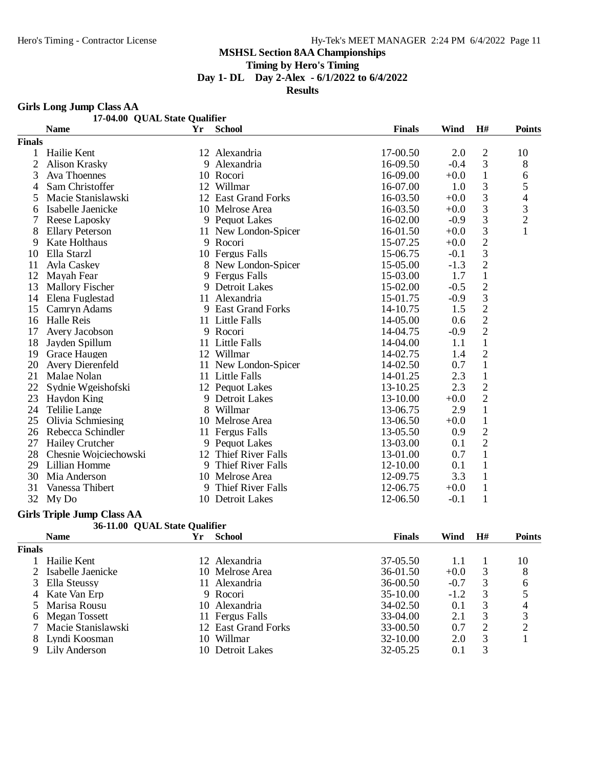**Timing by Hero's Timing**

**Day 1- DL Day 2-Alex - 6/1/2022 to 6/4/2022**

**Results**

#### **Girls Long Jump Class AA**

|               |                         | 17-04.00 QUAL State Qualifier |                      |               |        |                |                |
|---------------|-------------------------|-------------------------------|----------------------|---------------|--------|----------------|----------------|
|               | <b>Name</b>             | Yr                            | <b>School</b>        | <b>Finals</b> | Wind   | H#             | <b>Points</b>  |
| <b>Finals</b> |                         |                               |                      |               |        |                |                |
|               | Hailie Kent             |                               | 12 Alexandria        | 17-00.50      | 2.0    | $\mathfrak{2}$ | 10             |
| 2             | <b>Alison Krasky</b>    |                               | 9 Alexandria         | 16-09.50      | $-0.4$ | 3              | 8              |
| 3             | Ava Thoennes            |                               | 10 Rocori            | 16-09.00      | $+0.0$ | $\mathbf{1}$   | 6              |
| 4             | Sam Christoffer         |                               | 12 Willmar           | 16-07.00      | 1.0    | $\mathfrak{Z}$ | 5              |
| 5             | Macie Stanislawski      |                               | 12 East Grand Forks  | 16-03.50      | $+0.0$ | 3              | 4              |
| 6             | Isabelle Jaenicke       |                               | 10 Melrose Area      | 16-03.50      | $+0.0$ | 3              | 3              |
|               | Reese Laposky           |                               | 9 Pequot Lakes       | 16-02.00      | $-0.9$ | 3              | $\overline{c}$ |
| 8             | <b>Ellary Peterson</b>  |                               | 11 New London-Spicer | 16-01.50      | $+0.0$ | $\mathfrak{Z}$ | 1              |
| 9             | Kate Holthaus           |                               | 9 Rocori             | 15-07.25      | $+0.0$ | $\overline{2}$ |                |
| 10            | Ella Starzl             |                               | 10 Fergus Falls      | 15-06.75      | $-0.1$ | $\mathfrak{Z}$ |                |
| 11            | Ayla Caskey             |                               | 8 New London-Spicer  | 15-05.00      | $-1.3$ | $\sqrt{2}$     |                |
| 12            | Mayah Fear              |                               | 9 Fergus Falls       | 15-03.00      | 1.7    | $\mathbf{1}$   |                |
| 13            | <b>Mallory Fischer</b>  |                               | 9 Detroit Lakes      | 15-02.00      | $-0.5$ | $\overline{2}$ |                |
| 14            | Elena Fuglestad         | 11                            | Alexandria           | 15-01.75      | $-0.9$ | 3              |                |
| 15            | Camryn Adams            |                               | 9 East Grand Forks   | 14-10.75      | 1.5    | $\overline{2}$ |                |
| 16            | <b>Halle Reis</b>       |                               | 11 Little Falls      | 14-05.00      | 0.6    | $\overline{2}$ |                |
| 17            | Avery Jacobson          |                               | 9 Rocori             | 14-04.75      | $-0.9$ | $\overline{2}$ |                |
| 18            | Jayden Spillum          |                               | 11 Little Falls      | 14-04.00      | 1.1    | $\mathbf{1}$   |                |
| 19            | Grace Haugen            |                               | 12 Willmar           | 14-02.75      | 1.4    | $\overline{2}$ |                |
| 20            | <b>Avery Dierenfeld</b> |                               | 11 New London-Spicer | 14-02.50      | 0.7    | $\mathbf{1}$   |                |
| 21            | Malae Nolan             |                               | 11 Little Falls      | 14-01.25      | 2.3    | $\mathbf{1}$   |                |
| 22            | Sydnie Wgeishofski      |                               | 12 Pequot Lakes      | 13-10.25      | 2.3    | $\overline{2}$ |                |
| 23            | Haydon King             |                               | 9 Detroit Lakes      | 13-10.00      | $+0.0$ | $\overline{2}$ |                |
| 24            | <b>Telilie Lange</b>    |                               | 8 Willmar            | 13-06.75      | 2.9    | $\mathbf{1}$   |                |
| 25            | Olivia Schmiesing       |                               | 10 Melrose Area      | 13-06.50      | $+0.0$ | $\mathbf 1$    |                |
| 26            | Rebecca Schindler       |                               | 11 Fergus Falls      | 13-05.50      | 0.9    | $\sqrt{2}$     |                |
| 27            | Hailey Crutcher         |                               | 9 Pequot Lakes       | 13-03.00      | 0.1    | $\overline{2}$ |                |
| 28            | Chesnie Wojciechowski   | 12                            | Thief River Falls    | 13-01.00      | 0.7    | $\mathbf{1}$   |                |
| 29            | Lillian Homme           |                               | 9 Thief River Falls  | 12-10.00      | 0.1    | $\mathbf{1}$   |                |
| 30            | Mia Anderson            |                               | 10 Melrose Area      | 12-09.75      | 3.3    | $\mathbf{1}$   |                |
| 31            | Vanessa Thibert         |                               | 9 Thief River Falls  | 12-06.75      | $+0.0$ | $\mathbf{1}$   |                |
| 32            | My Do                   |                               | 10 Detroit Lakes     | 12-06.50      | $-0.1$ | 1              |                |

#### **Girls Triple Jump Class AA**

|               | 36-11.00 QUAL State Qualifier |     |                      |               |        |    |               |
|---------------|-------------------------------|-----|----------------------|---------------|--------|----|---------------|
|               | <b>Name</b>                   | Υr  | <b>School</b>        | <b>Finals</b> | Wind   | H# | <b>Points</b> |
| <b>Finals</b> |                               |     |                      |               |        |    |               |
|               | Hailie Kent                   |     | 12 Alexandria        | 37-05.50      |        |    | 10            |
|               | 2 Isabelle Jaenicke           |     | 10 Melrose Area      | $36-01.50$    | $+0.0$ | 3  | 8             |
|               | 3 Ella Steussy                |     | 11 Alexandria        | 36-00.50      | $-0.7$ | 3  | 6             |
|               | 4 Kate Van Erp                |     | 9 Rocori             | $35-10.00$    | $-1.2$ | 3  |               |
|               | 5 Marisa Rousu                |     | 10 Alexandria        | 34-02.50      | 0.1    | 3  |               |
|               | 6 Megan Tossett               |     | 11 Fergus Falls      | 33-04.00      | 2.1    | 3  | 3             |
|               | Macie Stanislawski            |     | 12 East Grand Forks  | 33-00.50      | 0.7    | 2  | ↑             |
|               | Lyndi Koosman                 | 10  | Willmar              | $32 - 10.00$  | 2.0    | 3  |               |
| 9             | Lily Anderson                 | 10. | <b>Detroit Lakes</b> | 32-05.25      | 0.1    | 3  |               |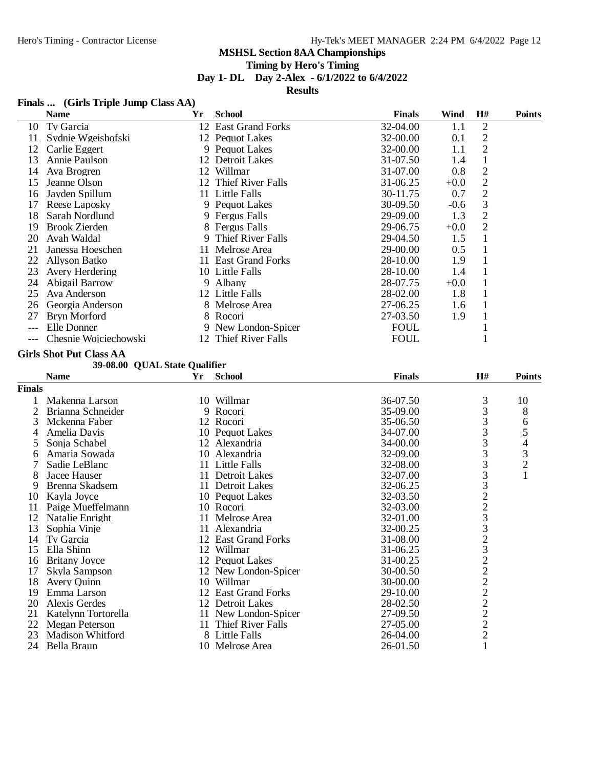# **Timing by Hero's Timing**

**Day 1- DL Day 2-Alex - 6/1/2022 to 6/4/2022**

**Results**

# **Finals ... (Girls Triple Jump Class AA)**

|                | <b>Name</b>                    | Yr | <b>School</b>        | <b>Finals</b> | Wind   | $\mathbf{H}$ # | <b>Points</b> |
|----------------|--------------------------------|----|----------------------|---------------|--------|----------------|---------------|
| 10             | Ty Garcia                      |    | 12 East Grand Forks  | 32-04.00      | 1.1    | $\mathbf 2$    |               |
| 11             | Sydnie Wgeishofski             |    | 12 Pequot Lakes      | 32-00.00      | 0.1    | $\sqrt{2}$     |               |
| 12             | Carlie Eggert                  |    | 9 Pequot Lakes       | 32-00.00      | 1.1    | $\overline{c}$ |               |
| 13             | Annie Paulson                  |    | 12 Detroit Lakes     | 31-07.50      | 1.4    | $\mathbf{1}$   |               |
| 14             | Ava Brogren                    |    | 12 Willmar           | 31-07.00      | 0.8    |                |               |
| 15             | Jeanne Olson                   |    | 12 Thief River Falls | 31-06.25      | $+0.0$ | $\frac{2}{2}$  |               |
| 16             | Jayden Spillum                 |    | 11 Little Falls      | 30-11.75      | 0.7    | $\overline{c}$ |               |
| 17             | Reese Laposky                  |    | 9 Pequot Lakes       | 30-09.50      | $-0.6$ | 3              |               |
| 18             | Sarah Nordlund                 |    | 9 Fergus Falls       | 29-09.00      | 1.3    | $\overline{c}$ |               |
| 19             | <b>Brook Zierden</b>           |    | 8 Fergus Falls       | 29-06.75      | $+0.0$ | $\overline{2}$ |               |
| 20             | Avah Waldal                    | 9  | Thief River Falls    | 29-04.50      | 1.5    | $\mathbf{1}$   |               |
| 21             | Janessa Hoeschen               |    | 11 Melrose Area      | 29-00.00      | 0.5    | $\mathbf{1}$   |               |
| 22             | <b>Allyson Batko</b>           |    | 11 East Grand Forks  | 28-10.00      | 1.9    | $\mathbf{1}$   |               |
| 23             | Avery Herdering                |    | 10 Little Falls      | 28-10.00      | 1.4    | $\mathbf{1}$   |               |
| 24             | Abigail Barrow                 |    | 9 Albany             | 28-07.75      | $+0.0$ | $\mathbf{1}$   |               |
| 25             | Ava Anderson                   |    | 12 Little Falls      | 28-02.00      | 1.8    | $\mathbf{1}$   |               |
|                |                                |    |                      |               |        |                |               |
| 26             | Georgia Anderson               |    | 8 Melrose Area       | 27-06.25      | 1.6    | $\mathbf{1}$   |               |
| 27             | Bryn Morford                   |    | 8 Rocori             | 27-03.50      | 1.9    | $\mathbf{1}$   |               |
| $---$          | Elle Donner                    |    | 9 New London-Spicer  | <b>FOUL</b>   |        | $\mathbf 1$    |               |
|                | Chesnie Wojciechowski          |    | 12 Thief River Falls | <b>FOUL</b>   |        | 1              |               |
|                | <b>Girls Shot Put Class AA</b> |    |                      |               |        |                |               |
|                | 39-08.00 QUAL State Qualifier  |    |                      |               |        |                |               |
|                | <b>Name</b>                    | Yr | <b>School</b>        | <b>Finals</b> |        | H#             | <b>Points</b> |
| Finals         |                                |    |                      |               |        |                |               |
| 1              | Makenna Larson                 |    | 10 Willmar           | 36-07.50      |        | 3              | 10            |
| $\overline{c}$ | Brianna Schneider              |    | 9 Rocori             | 35-09.00      |        | 3              | 8             |
| 3              | Mckenna Faber                  |    | 12 Rocori            | 35-06.50      |        | 3              | 6             |
| 4              | Amelia Davis                   |    | 10 Pequot Lakes      | 34-07.00      |        | $\frac{3}{3}$  |               |
| 5              | Sonja Schabel                  |    | 12 Alexandria        | 34-00.00      |        |                |               |
| 6              | Amaria Sowada                  |    | 10 Alexandria        | 32-09.00      |        | $\frac{3}{3}$  | 54321         |
| 7              | Sadie LeBlanc                  |    | 11 Little Falls      | 32-08.00      |        |                |               |
| 8              | Jacee Hauser                   |    | 11 Detroit Lakes     | 32-07.00      |        | 332233         |               |
| 9              | Brenna Skadsem                 |    | 11 Detroit Lakes     | 32-06.25      |        |                |               |
| 10             | Kayla Joyce                    |    | 10 Pequot Lakes      | 32-03.50      |        |                |               |
| 11             | Paige Mueffelmann              |    | 10 Rocori            | 32-03.00      |        |                |               |
| 12             | Natalie Enright                |    | 11 Melrose Area      | 32-01.00      |        |                |               |
| 13             | Sophia Vinje                   | 11 | Alexandria           | 32-00.25      |        |                |               |
| 14             | Ty Garcia                      |    | 12 East Grand Forks  | 31-08.00      |        | $\overline{2}$ |               |
| 15             | Ella Shinn                     |    | 12 Willmar           | 31-06.25      |        | 3              |               |
| 16             | <b>Britany Joyce</b>           |    | 12 Pequot Lakes      | 31-00.25      |        |                |               |
| 17             | Skyla Sampson                  |    | 12 New London-Spicer | 30-00.50      |        |                |               |
| 18             | Avery Quinn                    |    | 10 Willmar           | 30-00.00      |        |                |               |
| 19             | Emma Larson                    |    | 12 East Grand Forks  | 29-10.00      |        |                |               |
| 20             | Alexis Gerdes                  |    | 12 Detroit Lakes     | 28-02.50      |        |                |               |
| 21             | Katelynn Tortorella            |    | 11 New London-Spicer | 27-09.50      |        |                |               |
| 22             | <b>Megan Peterson</b>          |    | 11 Thief River Falls | 27-05.00      |        | 22222222       |               |
| 23             | <b>Madison Whitford</b>        |    | 8 Little Falls       | 26-04.00      |        |                |               |
| 24             | Bella Braun                    |    | 10 Melrose Area      | 26-01.50      |        | 1              |               |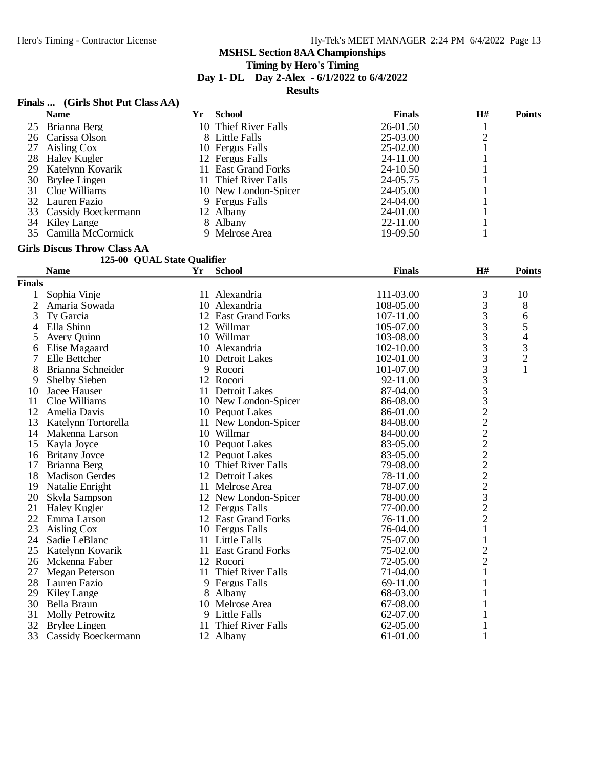# **Timing by Hero's Timing**

**Day 1- DL Day 2-Alex - 6/1/2022 to 6/4/2022**

**Results**

# **Finals ... (Girls Shot Put Class AA)**

| <b>Name</b>            | Yr | <b>School</b> | <b>Finals</b>                                                                                                                                                                                                    | H# | <b>Points</b> |
|------------------------|----|---------------|------------------------------------------------------------------------------------------------------------------------------------------------------------------------------------------------------------------|----|---------------|
| 25 Brianna Berg        |    |               | 26-01.50                                                                                                                                                                                                         |    |               |
| Carissa Olson          |    |               | 25-03.00                                                                                                                                                                                                         |    |               |
| 27 Aisling Cox         |    |               | 25-02.00                                                                                                                                                                                                         |    |               |
| 28 Haley Kugler        |    |               | 24-11.00                                                                                                                                                                                                         |    |               |
| 29 Katelynn Kovarik    |    |               | 24-10.50                                                                                                                                                                                                         |    |               |
| 30 Brylee Lingen       |    |               | 24-05.75                                                                                                                                                                                                         |    |               |
| 31 Cloe Williams       |    |               | 24-05.00                                                                                                                                                                                                         |    |               |
| 32 Lauren Fazio        |    |               | 24-04.00                                                                                                                                                                                                         |    |               |
| 33 Cassidy Boeckermann |    |               | 24-01.00                                                                                                                                                                                                         |    |               |
| 34 Kiley Lange         |    |               | 22-11.00                                                                                                                                                                                                         |    |               |
| 35 Camilla McCormick   |    |               | $19-09.50$                                                                                                                                                                                                       |    |               |
|                        |    |               | 10 Thief River Falls<br>8 Little Falls<br>10 Fergus Falls<br>12 Fergus Falls<br>11 East Grand Forks<br>11 Thief River Falls<br>10 New London-Spicer<br>9 Fergus Falls<br>12 Albany<br>8 Albany<br>9 Melrose Area |    |               |

# **Girls Discus Throw Class AA**

#### **125-00 QUAL State Qualifier**

|                | <b>Name</b>            | Yr | <b>School</b>        | <b>Finals</b> | H#             | <b>Points</b> |
|----------------|------------------------|----|----------------------|---------------|----------------|---------------|
| Finals         |                        |    |                      |               |                |               |
| 1              | Sophia Vinje           |    | 11 Alexandria        | 111-03.00     | 3              | 10            |
| $\overline{2}$ | Amaria Sowada          |    | 10 Alexandria        | 108-05.00     | 3              | 8             |
| 3              | Ty Garcia              |    | 12 East Grand Forks  | 107-11.00     | 3              | 6             |
| 4              | Ella Shinn             |    | 12 Willmar           | 105-07.00     | 3              | 5             |
| 5              | Avery Quinn            |    | 10 Willmar           | 103-08.00     | 3              | 4             |
| 6              | Elise Magaard          |    | 10 Alexandria        | 102-10.00     | $\frac{3}{3}$  | $\frac{3}{2}$ |
| 7              | Elle Bettcher          |    | 10 Detroit Lakes     | 102-01.00     |                |               |
| 8              | Brianna Schneider      |    | 9 Rocori             | 101-07.00     |                | 1             |
| 9              | <b>Shelby Sieben</b>   |    | 12 Rocori            | 92-11.00      |                |               |
| 10             | Jacee Hauser           |    | 11 Detroit Lakes     | 87-04.00      | 333322222222   |               |
| 11             | Cloe Williams          |    | 10 New London-Spicer | 86-08.00      |                |               |
| 12             | Amelia Davis           |    | 10 Pequot Lakes      | 86-01.00      |                |               |
| 13             | Katelynn Tortorella    |    | 11 New London-Spicer | 84-08.00      |                |               |
| 14             | Makenna Larson         |    | 10 Willmar           | 84-00.00      |                |               |
| 15             | Kayla Joyce            |    | 10 Pequot Lakes      | 83-05.00      |                |               |
| 16             | <b>Britany Joyce</b>   |    | 12 Pequot Lakes      | 83-05.00      |                |               |
| 17             | Brianna Berg           |    | 10 Thief River Falls | 79-08.00      |                |               |
| 18             | <b>Madison Gerdes</b>  |    | 12 Detroit Lakes     | 78-11.00      |                |               |
| 19             | Natalie Enright        |    | 11 Melrose Area      | 78-07.00      |                |               |
| 20             | Skyla Sampson          |    | 12 New London-Spicer | 78-00.00      |                |               |
| 21             | <b>Haley Kugler</b>    |    | 12 Fergus Falls      | 77-00.00      | $\overline{c}$ |               |
| 22             | Emma Larson            |    | 12 East Grand Forks  | 76-11.00      | $\overline{2}$ |               |
| 23             | Aisling Cox            |    | 10 Fergus Falls      | 76-04.00      | $\mathbf{1}$   |               |
| 24             | Sadie LeBlanc          |    | 11 Little Falls      | 75-07.00      | $\mathbf{1}$   |               |
| 25             | Katelynn Kovarik       |    | 11 East Grand Forks  | 75-02.00      |                |               |
| 26             | Mckenna Faber          |    | 12 Rocori            | 72-05.00      | $\frac{2}{2}$  |               |
| 27             | <b>Megan Peterson</b>  |    | 11 Thief River Falls | 71-04.00      | $\mathbf{1}$   |               |
| 28             | Lauren Fazio           |    | 9 Fergus Falls       | 69-11.00      | $\mathbf{1}$   |               |
| 29             | Kiley Lange            | 8  | Albany               | 68-03.00      |                |               |
| 30             | Bella Braun            |    | 10 Melrose Area      | 67-08.00      |                |               |
| 31             | <b>Molly Petrowitz</b> |    | 9 Little Falls       | 62-07.00      |                |               |
| 32             | Brylee Lingen          |    | 11 Thief River Falls | 62-05.00      |                |               |
| 33             | Cassidy Boeckermann    |    | 12 Albany            | 61-01.00      | 1              |               |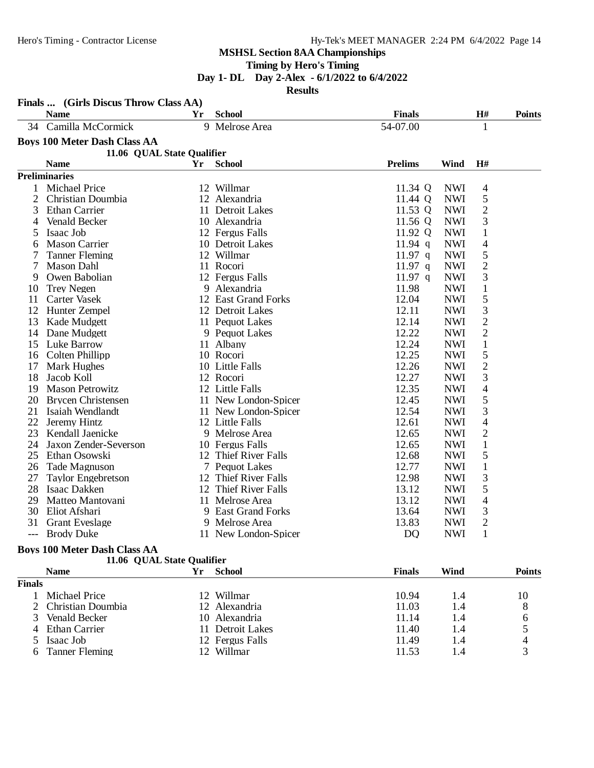**Timing by Hero's Timing**

**Day 1- DL Day 2-Alex - 6/1/2022 to 6/4/2022**

**Results**

|     | Finals  (Girls Discus Throw Class AA) |    |                      |                |            |                |               |
|-----|---------------------------------------|----|----------------------|----------------|------------|----------------|---------------|
|     | <b>Name</b>                           | Yr | <b>School</b>        | <b>Finals</b>  |            | H#             | <b>Points</b> |
| 34  | Camilla McCormick                     |    | 9 Melrose Area       | 54-07.00       |            | $\mathbf{1}$   |               |
|     | <b>Boys 100 Meter Dash Class AA</b>   |    |                      |                |            |                |               |
|     | 11.06 QUAL State Qualifier            |    |                      |                |            |                |               |
|     | <b>Name</b>                           | Yr | <b>School</b>        | <b>Prelims</b> | Wind       | H#             |               |
|     | <b>Preliminaries</b>                  |    |                      |                |            |                |               |
| 1   | <b>Michael Price</b>                  |    | 12 Willmar           | 11.34 Q        | <b>NWI</b> | $\overline{4}$ |               |
| 2   | Christian Doumbia                     |    | 12 Alexandria        | 11.44 Q        | <b>NWI</b> | 5              |               |
| 3   | <b>Ethan Carrier</b>                  |    | 11 Detroit Lakes     | 11.53 Q        | <b>NWI</b> | $\overline{2}$ |               |
| 4   | Venald Becker                         |    | 10 Alexandria        | 11.56 Q        | <b>NWI</b> | 3              |               |
| 5   | Isaac Job                             |    | 12 Fergus Falls      | 11.92 Q        | <b>NWI</b> | $\mathbf{1}$   |               |
| 6   | <b>Mason Carrier</b>                  |    | 10 Detroit Lakes     | $11.94$ q      | <b>NWI</b> | 4              |               |
| 7   | <b>Tanner Fleming</b>                 |    | 12 Willmar           | $11.97$ q      | <b>NWI</b> | 5              |               |
| 7   | <b>Mason Dahl</b>                     |    | 11 Rocori            | $11.97$ q      | <b>NWI</b> | $\overline{2}$ |               |
| 9   | Owen Babolian                         |    | 12 Fergus Falls      | $11.97$ q      | <b>NWI</b> | 3              |               |
| 10  | <b>Trey Negen</b>                     | 9  | Alexandria           | 11.98          | <b>NWI</b> | $\,1$          |               |
| 11  | Carter Vasek                          |    | 12 East Grand Forks  | 12.04          | <b>NWI</b> | 5              |               |
| 12  | Hunter Zempel                         |    | 12 Detroit Lakes     | 12.11          | <b>NWI</b> | 3              |               |
| 13  | Kade Mudgett                          |    | 11 Pequot Lakes      | 12.14          | <b>NWI</b> | $\overline{c}$ |               |
| 14  | Dane Mudgett                          |    | 9 Pequot Lakes       | 12.22          | <b>NWI</b> | $\mathbf{2}$   |               |
| 15  | <b>Luke Barrow</b>                    |    | 11 Albany            | 12.24          | <b>NWI</b> | $\mathbf{1}$   |               |
| 16  | Colten Phillipp                       |    | 10 Rocori            | 12.25          | <b>NWI</b> | 5              |               |
| 17  | Mark Hughes                           |    | 10 Little Falls      | 12.26          | <b>NWI</b> | $\overline{c}$ |               |
| 18  | Jacob Koll                            |    | 12 Rocori            | 12.27          | <b>NWI</b> | 3              |               |
| 19  | <b>Mason Petrowitz</b>                |    | 12 Little Falls      | 12.35          | <b>NWI</b> | 4              |               |
| 20  | <b>Brycen Christensen</b>             |    | 11 New London-Spicer | 12.45          | <b>NWI</b> | 5              |               |
| 21  | Isaiah Wendlandt                      |    | 11 New London-Spicer | 12.54          | <b>NWI</b> | 3              |               |
| 22  | Jeremy Hintz                          |    | 12 Little Falls      | 12.61          | <b>NWI</b> | 4              |               |
| 23  | Kendall Jaenicke                      |    | 9 Melrose Area       | 12.65          | <b>NWI</b> | $\overline{2}$ |               |
| 24  | Jaxon Zender-Severson                 |    | 10 Fergus Falls      | 12.65          | <b>NWI</b> | $\mathbf{1}$   |               |
| 25  | Ethan Osowski                         |    | 12 Thief River Falls | 12.68          | <b>NWI</b> | 5              |               |
| 26  | Tade Magnuson                         |    | 7 Pequot Lakes       | 12.77          | <b>NWI</b> | $\mathbf{1}$   |               |
| 27  | <b>Taylor Engebretson</b>             |    | 12 Thief River Falls | 12.98          | <b>NWI</b> | 3              |               |
| 28  | Isaac Dakken                          |    | 12 Thief River Falls | 13.12          | <b>NWI</b> | 5              |               |
| 29  | Matteo Mantovani                      |    | 11 Melrose Area      | 13.12          | <b>NWI</b> | 4              |               |
| 30  | Eliot Afshari                         |    | 9 East Grand Forks   | 13.64          | <b>NWI</b> | 3              |               |
| 31  | <b>Grant Eveslage</b>                 | 9. | Melrose Area         | 13.83          | <b>NWI</b> | $\overline{2}$ |               |
| --- | <b>Brody Duke</b>                     |    | 11 New London-Spicer | D <sub>O</sub> | <b>NWI</b> | $\mathbf{1}$   |               |

#### **Boys 100 Meter Dash Class AA**

|               | 11.06 QUAL State Qualifier |    |                      |               |      |               |
|---------------|----------------------------|----|----------------------|---------------|------|---------------|
|               | <b>Name</b>                | Yr | <b>School</b>        | <b>Finals</b> | Wind | <b>Points</b> |
| <b>Finals</b> |                            |    |                      |               |      |               |
|               | Michael Price              |    | 12 Willmar           | 10.94         | 1.4  | 10            |
|               | 2 Christian Doumbia        |    | 12 Alexandria        | 11.03         | 1.4  | 8             |
|               | Venald Becker              |    | 10 Alexandria        | 11.14         | 1.4  | 6             |
|               | 4 Ethan Carrier            | 11 | <b>Detroit Lakes</b> | 11.40         | 1.4  |               |
|               | 5 Isaac Job                |    | 12 Fergus Falls      | 11.49         | 1.4  | 4             |
|               | 6 Tanner Fleming           | 12 | Willmar              | 11.53         | 1.4  |               |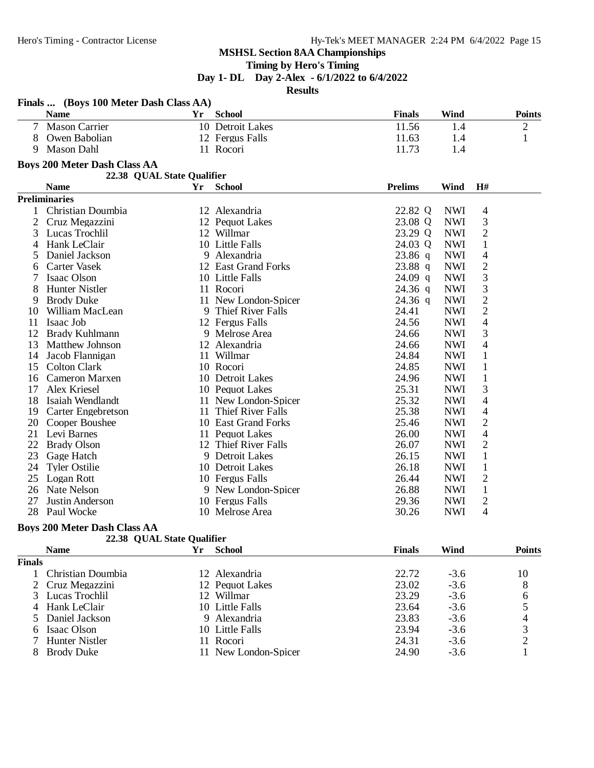# **Timing by Hero's Timing**

**Day 1- DL Day 2-Alex - 6/1/2022 to 6/4/2022**

**Results**

|                | Finals  (Boys 100 Meter Dash Class AA) |    |                      |                |             |                |                |
|----------------|----------------------------------------|----|----------------------|----------------|-------------|----------------|----------------|
|                | <b>Name</b>                            | Yr | <b>School</b>        | <b>Finals</b>  | <b>Wind</b> |                | <b>Points</b>  |
| $\tau$         | <b>Mason Carrier</b>                   |    | 10 Detroit Lakes     | 11.56          | 1.4         |                | $\overline{c}$ |
| 8              | Owen Babolian                          |    | 12 Fergus Falls      | 11.63          | 1.4         |                | $\mathbf{1}$   |
| 9              | <b>Mason Dahl</b>                      |    | 11 Rocori            | 11.73          | 1.4         |                |                |
|                | <b>Boys 200 Meter Dash Class AA</b>    |    |                      |                |             |                |                |
|                | 22.38 QUAL State Qualifier             |    |                      |                |             |                |                |
|                | <b>Name</b>                            | Yr | <b>School</b>        | <b>Prelims</b> | Wind        | H#             |                |
|                | <b>Preliminaries</b>                   |    |                      |                |             |                |                |
| $\mathbf{1}$   | Christian Doumbia                      |    | 12 Alexandria        | 22.82 Q        | <b>NWI</b>  | $\overline{4}$ |                |
| $\overline{2}$ | Cruz Megazzini                         |    | 12 Pequot Lakes      | 23.08 Q        | <b>NWI</b>  | 3              |                |
| 3              | Lucas Trochlil                         |    | 12 Willmar           | 23.29 Q        | <b>NWI</b>  | $\overline{2}$ |                |
| 4              | Hank LeClair                           |    | 10 Little Falls      | 24.03 Q        | <b>NWI</b>  | $\mathbf{1}$   |                |
| 5              | Daniel Jackson                         |    | 9 Alexandria         | $23.86$ q      | <b>NWI</b>  | 4              |                |
| 6              | Carter Vasek                           |    | 12 East Grand Forks  | $23.88$ q      | <b>NWI</b>  | $\overline{2}$ |                |
| 7              | Isaac Olson                            |    | 10 Little Falls      | $24.09$ q      | <b>NWI</b>  | 3              |                |
| 8              | <b>Hunter Nistler</b>                  |    | 11 Rocori            | $24.36$ q      | <b>NWI</b>  | 3              |                |
| 9              | <b>Brody Duke</b>                      |    | 11 New London-Spicer | $24.36$ q      | <b>NWI</b>  | $\overline{c}$ |                |
| 10             | William MacLean                        |    | 9 Thief River Falls  | 24.41          | <b>NWI</b>  | $\overline{2}$ |                |
| 11             | Isaac Job                              |    | 12 Fergus Falls      | 24.56          | <b>NWI</b>  | 4              |                |
| 12             | Brady Kuhlmann                         |    | 9 Melrose Area       | 24.66          | <b>NWI</b>  | 3              |                |
| 13             | Matthew Johnson                        |    | 12 Alexandria        | 24.66          | <b>NWI</b>  | 4              |                |
| 14             | Jacob Flannigan                        |    | 11 Willmar           | 24.84          | <b>NWI</b>  | $\mathbf{1}$   |                |
| 15             | <b>Colton Clark</b>                    |    | 10 Rocori            | 24.85          | <b>NWI</b>  | $\mathbf{1}$   |                |
| 16             | Cameron Marxen                         |    | 10 Detroit Lakes     | 24.96          | <b>NWI</b>  | $\mathbf{1}$   |                |
| 17             | Alex Kriesel                           |    | 10 Pequot Lakes      | 25.31          | <b>NWI</b>  | 3              |                |
| 18             | Isaiah Wendlandt                       |    | 11 New London-Spicer | 25.32          | <b>NWI</b>  | 4              |                |
| 19             | <b>Carter Engebretson</b>              |    | 11 Thief River Falls | 25.38          | <b>NWI</b>  | 4              |                |
| 20             | Cooper Boushee                         |    | 10 East Grand Forks  | 25.46          | <b>NWI</b>  | $\overline{c}$ |                |
| 21             | Levi Barnes                            |    | 11 Pequot Lakes      | 26.00          | <b>NWI</b>  | 4              |                |
| 22             | <b>Brady Olson</b>                     |    | 12 Thief River Falls | 26.07          | <b>NWI</b>  | $\overline{c}$ |                |
| 23             | Gage Hatch                             |    | 9 Detroit Lakes      | 26.15          | <b>NWI</b>  | $\,1$          |                |
| 24             | <b>Tyler Ostilie</b>                   |    | 10 Detroit Lakes     | 26.18          | <b>NWI</b>  | $\mathbf{1}$   |                |
| 25             | Logan Rott                             |    | 10 Fergus Falls      | 26.44          | <b>NWI</b>  | $\overline{c}$ |                |
|                | 26 Nate Nelson                         |    | 9 New London-Spicer  | 26.88          | <b>NWI</b>  | $\mathbf{1}$   |                |
| 27             | Justin Anderson                        |    | 10 Fergus Falls      | 29.36          | <b>NWI</b>  | $\overline{2}$ |                |
|                | 28 Paul Wocke                          |    | 10 Melrose Area      | 30.26          | <b>NWI</b>  | $\overline{4}$ |                |

# **Boys 200 Meter Dash Class AA**

|  |  |  | 22.38 QUAL State Qualifier |
|--|--|--|----------------------------|
|--|--|--|----------------------------|

|               | <b>Name</b>       | <b>School</b>        | <b>Finals</b> | Wind   | <b>Points</b> |
|---------------|-------------------|----------------------|---------------|--------|---------------|
| <b>Finals</b> |                   |                      |               |        |               |
|               | Christian Doumbia | 12 Alexandria        | 22.72         | $-3.6$ | 10            |
|               | 2 Cruz Megazzini  | 12 Pequot Lakes      | 23.02         | $-3.6$ | 8             |
|               | 3 Lucas Trochlil  | 12 Willmar           | 23.29         | $-3.6$ | 6             |
|               | 4 Hank LeClair    | 10 Little Falls      | 23.64         | $-3.6$ |               |
|               | 5 Daniel Jackson  | 9 Alexandria         | 23.83         | $-3.6$ |               |
|               | 6 Isaac Olson     | 10 Little Falls      | 23.94         | $-3.6$ |               |
|               | 7 Hunter Nistler  | 11 Rocori            | 24.31         | $-3.6$ |               |
|               | <b>Brody Duke</b> | 11 New London-Spicer | 24.90         | $-3.6$ |               |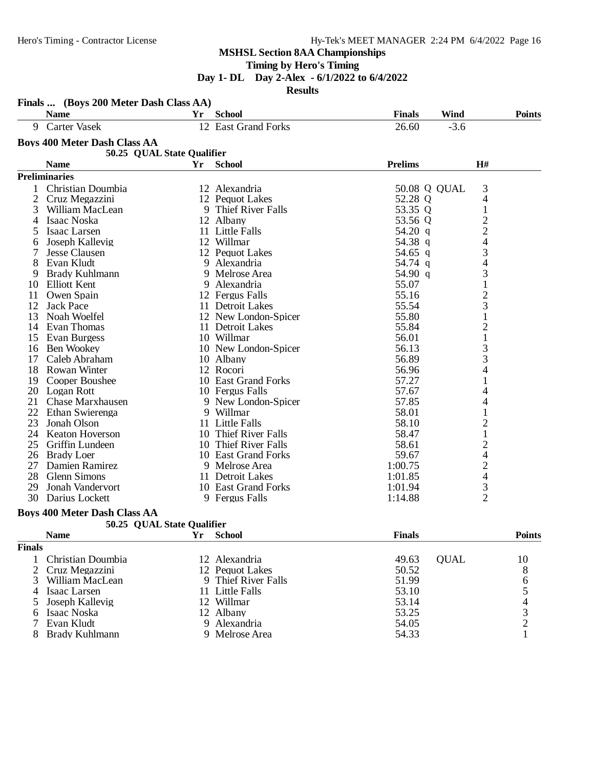**Timing by Hero's Timing**

**Day 1- DL Day 2-Alex - 6/1/2022 to 6/4/2022**

**Results**

|    | Finals  (Boys 200 Meter Dash Class AA)<br><b>Name</b> | Yr. | <b>School</b>        | <b>Finals</b>  | Wind         | <b>Points</b>            |
|----|-------------------------------------------------------|-----|----------------------|----------------|--------------|--------------------------|
| 9  | <b>Carter Vasek</b>                                   |     | 12 East Grand Forks  | 26.60          | $-3.6$       |                          |
|    | <b>Boys 400 Meter Dash Class AA</b>                   |     |                      |                |              |                          |
|    | 50.25 QUAL State Qualifier                            |     |                      |                |              |                          |
|    | <b>Name</b>                                           | Yr  | <b>School</b>        | <b>Prelims</b> | H#           |                          |
|    | <b>Preliminaries</b>                                  |     |                      |                |              |                          |
| 1  | Christian Doumbia                                     |     | 12 Alexandria        |                | 50.08 Q QUAL | 3                        |
| 2  | Cruz Megazzini                                        |     | 12 Pequot Lakes      | 52.28 Q        |              | 4                        |
| 3  | William MacLean                                       | 9   | Thief River Falls    | 53.35 Q        |              | $\mathbf{1}$             |
| 4  | Isaac Noska                                           |     | 12 Albany            | 53.56 Q        |              |                          |
| 5  | Isaac Larsen                                          |     | 11 Little Falls      | 54.20 q        |              | $\frac{2}{4}$            |
| 6  | Joseph Kallevig                                       |     | 12 Willmar           | 54.38 q        |              |                          |
|    | <b>Jesse Clausen</b>                                  |     | 12 Pequot Lakes      | 54.65 q        |              | 3                        |
| 8  | Evan Kludt                                            |     | 9 Alexandria         | 54.74 q        |              | $\overline{\mathcal{L}}$ |
| 9  | <b>Brady Kuhlmann</b>                                 |     | 9 Melrose Area       | 54.90 q        |              | 3                        |
| 10 | <b>Elliott Kent</b>                                   |     | 9 Alexandria         | 55.07          |              | $\mathbf{1}$             |
| 11 | Owen Spain                                            |     | 12 Fergus Falls      | 55.16          |              | $\overline{\mathbf{c}}$  |
| 12 | <b>Jack Pace</b>                                      |     | 11 Detroit Lakes     | 55.54          |              | 3                        |
| 13 | Noah Woelfel                                          |     | 12 New London-Spicer | 55.80          |              | $\mathbf{1}$             |
| 14 | Evan Thomas                                           |     | 11 Detroit Lakes     | 55.84          |              | $\overline{c}$           |
| 15 | Evan Burgess                                          |     | 10 Willmar           | 56.01          |              | $\mathbf{1}$             |
| 16 | <b>Ben Wookey</b>                                     |     | 10 New London-Spicer | 56.13          |              | 3                        |
| 17 | Caleb Abraham                                         |     | 10 Albany            | 56.89          |              | 3                        |
| 18 | Rowan Winter                                          |     | 12 Rocori            | 56.96          |              | 4                        |
| 19 | Cooper Boushee                                        |     | 10 East Grand Forks  | 57.27          |              | $\mathbf{1}$             |
|    | 20 Logan Rott                                         |     | 10 Fergus Falls      | 57.67          |              | 4                        |
| 21 | <b>Chase Marxhausen</b>                               |     | 9 New London-Spicer  | 57.85          |              | 4                        |
| 22 | Ethan Swierenga                                       |     | 9 Willmar            | 58.01          |              | 1                        |
| 23 | Jonah Olson                                           |     | 11 Little Falls      | 58.10          |              | $\frac{2}{1}$            |
| 24 | <b>Keaton Hoverson</b>                                |     | 10 Thief River Falls | 58.47          |              |                          |
| 25 | Griffin Lundeen                                       |     | 10 Thief River Falls | 58.61          |              | $\overline{\mathbf{c}}$  |
| 26 | <b>Brady Loer</b>                                     |     | 10 East Grand Forks  | 59.67          |              | 4                        |
| 27 | Damien Ramirez                                        | 9   | Melrose Area         | 1:00.75        |              | $\frac{2}{4}$            |
| 28 | <b>Glenn Simons</b>                                   |     | 11 Detroit Lakes     | 1:01.85        |              |                          |
| 29 | Jonah Vandervort                                      |     | 10 East Grand Forks  | 1:01.94        |              | $\frac{3}{2}$            |
| 30 | Darius Lockett                                        |     | 9 Fergus Falls       | 1:14.88        |              |                          |
|    |                                                       |     |                      |                |              |                          |

#### **Boys 400 Meter Dash Class AA**

|               | 50.25 QUAL State Qualifier |    |                     |               |             |               |
|---------------|----------------------------|----|---------------------|---------------|-------------|---------------|
|               | <b>Name</b>                | Yr | <b>School</b>       | <b>Finals</b> |             | <b>Points</b> |
| <b>Finals</b> |                            |    |                     |               |             |               |
|               | Christian Doumbia          |    | 12 Alexandria       | 49.63         | <b>OUAL</b> | 10            |
|               | 2 Cruz Megazzini           |    | 12 Pequot Lakes     | 50.52         |             | 8             |
|               | William MacLean            |    | 9 Thief River Falls | 51.99         |             | 6             |
| 4             | Isaac Larsen               |    | 11 Little Falls     | 53.10         |             |               |
|               | 5 Joseph Kallevig          |    | 12 Willmar          | 53.14         |             |               |
| 6             | Isaac Noska                |    | 12 Albany           | 53.25         |             |               |
|               | Evan Kludt                 |    | 9 Alexandria        | 54.05         |             |               |
| 8             | Brady Kuhlmann             |    | 9 Melrose Area      | 54.33         |             |               |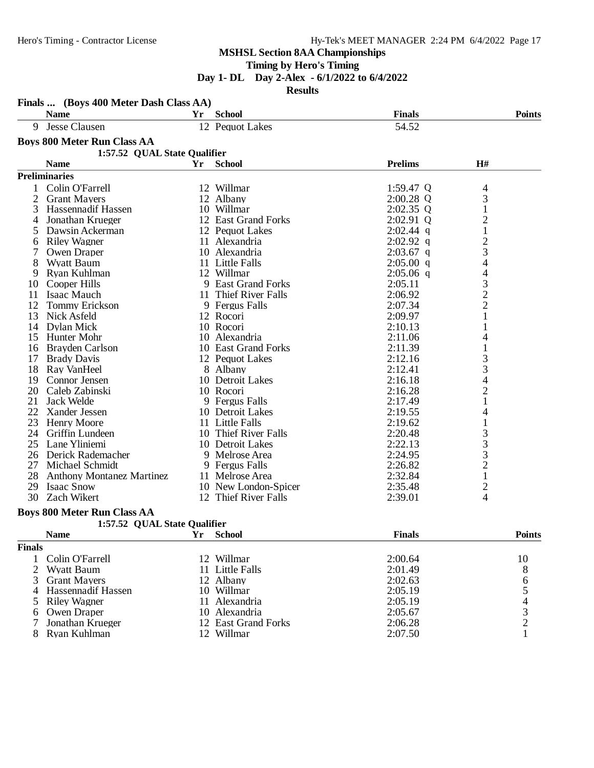**Timing by Hero's Timing**

**Day 1- DL Day 2-Alex - 6/1/2022 to 6/4/2022**

**Results**

|                | Finals  (Boys 400 Meter Dash Class AA) |    |                      |                |                                            |
|----------------|----------------------------------------|----|----------------------|----------------|--------------------------------------------|
|                | <b>Name</b>                            | Yr | <b>School</b>        | <b>Finals</b>  | <b>Points</b>                              |
| 9              | Jesse Clausen                          |    | 12 Pequot Lakes      | 54.52          |                                            |
|                | <b>Boys 800 Meter Run Class AA</b>     |    |                      |                |                                            |
|                | 1:57.52 QUAL State Qualifier           |    |                      |                |                                            |
|                | <b>Name</b>                            | Yr | <b>School</b>        | <b>Prelims</b> | H#                                         |
|                | <b>Preliminaries</b>                   |    |                      |                |                                            |
| 1              | Colin O'Farrell                        |    | 12 Willmar           | 1:59.47 Q      | 4                                          |
| $\overline{2}$ | <b>Grant Mayers</b>                    |    | 12 Albany            | 2:00.28 Q      | 3                                          |
| 3              | Hassennadif Hassen                     |    | 10 Willmar           | $2:02.35$ Q    | $\mathbf{1}$                               |
| 4              | Jonathan Krueger                       |    | 12 East Grand Forks  | 2:02.91 Q      | $\overline{c}$                             |
| 5              | Dawsin Ackerman                        |    | 12 Pequot Lakes      | $2:02.44$ q    | $\mathbf 1$                                |
| 6              | <b>Riley Wagner</b>                    |    | 11 Alexandria        | $2:02.92$ q    |                                            |
| 7              | Owen Draper                            |    | 10 Alexandria        | $2:03.67$ q    | $\frac{2}{3}$                              |
| 8              | <b>Wyatt Baum</b>                      |    | 11 Little Falls      | $2:05.00$ q    | $\overline{4}$                             |
| 9              | Ryan Kuhlman                           |    | 12 Willmar           | $2:05.06$ q    | $\overline{\mathcal{L}}$                   |
| 10             | Cooper Hills                           |    | 9 East Grand Forks   | 2:05.11        |                                            |
| 11             | <b>Isaac Mauch</b>                     |    | 11 Thief River Falls | 2:06.92        | $\begin{array}{c} 3 \\ 2 \\ 2 \end{array}$ |
| 12             | <b>Tommy Erickson</b>                  |    | 9 Fergus Falls       | 2:07.34        |                                            |
| 13             | Nick Asfeld                            |    | 12 Rocori            | 2:09.97        | 1                                          |
| 14             | Dylan Mick                             |    | 10 Rocori            | 2:10.13        |                                            |
| 15             | Hunter Mohr                            |    | 10 Alexandria        | 2:11.06        | 4                                          |
| 16             | Brayden Carlson                        |    | 10 East Grand Forks  | 2:11.39        | 1                                          |
| 17             | <b>Brady Davis</b>                     |    | 12 Pequot Lakes      | 2:12.16        |                                            |
| 18             | Ray VanHeel                            |    | 8 Albany             | 2:12.41        | $\frac{3}{3}$                              |
| 19             | Connor Jensen                          |    | 10 Detroit Lakes     | 2:16.18        | $\overline{\mathcal{L}}$                   |
| 20             | Caleb Zabinski                         |    | 10 Rocori            | 2:16.28        | $\overline{c}$                             |
| 21             | <b>Jack Welde</b>                      |    | 9 Fergus Falls       | 2:17.49        | $\mathbf{1}$                               |
| 22             | Xander Jessen                          |    | 10 Detroit Lakes     | 2:19.55        | 4                                          |
| 23             | <b>Henry Moore</b>                     |    | 11 Little Falls      | 2:19.62        | $\mathbf{1}$                               |
| 24             | Griffin Lundeen                        |    | 10 Thief River Falls | 2:20.48        |                                            |
| 25             | Lane Yliniemi                          |    | 10 Detroit Lakes     | 2:22.13        |                                            |
| 26             | Derick Rademacher                      |    | 9 Melrose Area       | 2:24.95        | $\begin{array}{c} 3 \\ 3 \\ 2 \end{array}$ |
| 27             | Michael Schmidt                        |    | 9 Fergus Falls       | 2:26.82        |                                            |
| 28             | <b>Anthony Montanez Martinez</b>       |    | 11 Melrose Area      | 2:32.84        | $\mathbf{1}$                               |
| 29             | <b>Isaac Snow</b>                      |    | 10 New London-Spicer | 2:35.48        | $\overline{c}$                             |
| 30             | Zach Wikert                            |    | 12 Thief River Falls | 2:39.01        | 4                                          |

# **Boys 800 Meter Run Class AA**

|  | 00 Meter Run Class AA |                              |  |
|--|-----------------------|------------------------------|--|
|  |                       | 1:57.52 OUAL State Oualifier |  |

|               | <b>Name</b>          | <b>School</b>       | <b>Finals</b> | <b>Points</b> |
|---------------|----------------------|---------------------|---------------|---------------|
| <b>Finals</b> |                      |                     |               |               |
|               | 1 Colin O'Farrell    | 12 Willmar          | 2:00.64       | 10            |
|               | 2 Wyatt Baum         | 11 Little Falls     | 2:01.49       | 8             |
|               | 3 Grant Mayers       | 12 Albany           | 2:02.63       | 6             |
|               | 4 Hassennadif Hassen | 10 Willmar          | 2:05.19       |               |
|               | 5 Riley Wagner       | 11 Alexandria       | 2:05.19       |               |
|               | 6 Owen Draper        | 10 Alexandria       | 2:05.67       |               |
|               | 7 Jonathan Krueger   | 12 East Grand Forks | 2:06.28       |               |
|               | 8 Ryan Kuhlman       | 12 Willmar          | 2:07.50       |               |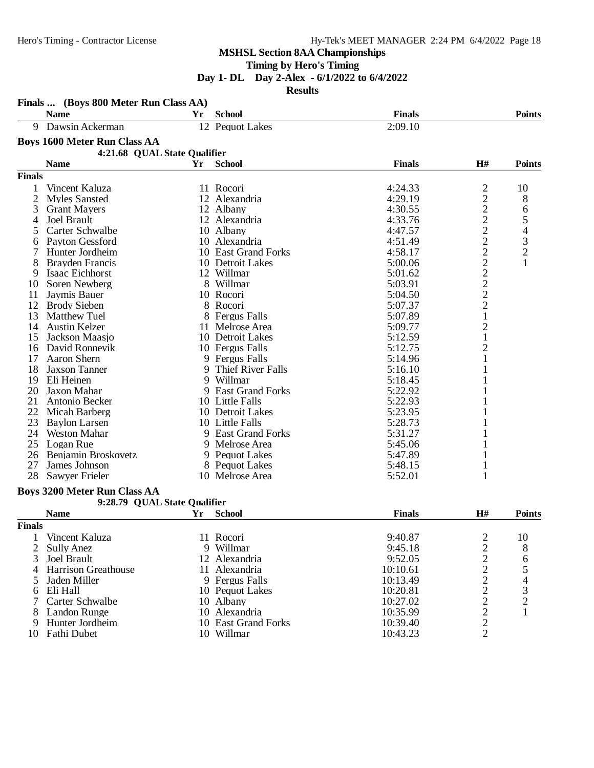**Timing by Hero's Timing**

**Day 1- DL Day 2-Alex - 6/1/2022 to 6/4/2022**

**Results**

|                | Finals  (Boys 800 Meter Run Class AA) |    |                         |               |                                                   |                                                 |
|----------------|---------------------------------------|----|-------------------------|---------------|---------------------------------------------------|-------------------------------------------------|
|                | <b>Name</b><br>Yr                     |    | <b>School</b>           | <b>Finals</b> |                                                   | <b>Points</b>                                   |
| 9              | Dawsin Ackerman                       |    | 12 Pequot Lakes         | 2:09.10       |                                                   |                                                 |
|                | <b>Boys 1600 Meter Run Class AA</b>   |    |                         |               |                                                   |                                                 |
|                | 4:21.68 QUAL State Qualifier          |    |                         |               |                                                   |                                                 |
|                | <b>Name</b><br>Yr                     |    | <b>School</b>           | <b>Finals</b> | H#                                                | <b>Points</b>                                   |
| <b>Finals</b>  |                                       |    |                         |               |                                                   |                                                 |
| 1              | Vincent Kaluza                        |    | 11 Rocori               | 4:24.33       | $\overline{c}$                                    | 10                                              |
| $\overline{2}$ | <b>Myles Sansted</b>                  |    | 12 Alexandria           | 4:29.19       | $\overline{c}$                                    | 8                                               |
| 3              | <b>Grant Mayers</b>                   |    | 12 Albany               | 4:30.55       | $\overline{c}$                                    | 6                                               |
| 4              | Joel Brault                           |    | 12 Alexandria           | 4:33.76       |                                                   | 5                                               |
| 5              | Carter Schwalbe                       |    | 10 Albany               | 4:47.57       | $\frac{2}{2}$                                     | $\overline{\mathcal{L}}$                        |
| 6              | Payton Gessford                       |    | 10 Alexandria           | 4:51.49       |                                                   |                                                 |
|                | Hunter Jordheim                       |    | 10 East Grand Forks     | 4:58.17       | $\overline{c}$                                    | $\frac{3}{2}$                                   |
| 8              | Brayden Francis                       |    | 10 Detroit Lakes        | 5:00.06       |                                                   | $\mathbf{1}$                                    |
| 9              | Isaac Eichhorst                       |    | 12 Willmar              | 5:01.62       |                                                   |                                                 |
| 10             | Soren Newberg                         |    | 8 Willmar               | 5:03.91       |                                                   |                                                 |
| 11             | Jaymis Bauer                          |    | 10 Rocori               | 5:04.50       | $\begin{array}{c}\n2 \\ 2 \\ 2 \\ 2\n\end{array}$ |                                                 |
| 12             | <b>Brody Sieben</b>                   |    | 8 Rocori                | 5:07.37       |                                                   |                                                 |
| 13             | <b>Matthew Tuel</b>                   |    | 8 Fergus Falls          | 5:07.89       | $\,1$                                             |                                                 |
| 14             | <b>Austin Kelzer</b>                  |    | 11 Melrose Area         | 5:09.77       | $\overline{\mathbf{c}}$                           |                                                 |
| 15             | Jackson Maasjo                        |    | 10 Detroit Lakes        | 5:12.59       | $\mathbf{1}$                                      |                                                 |
| 16             | David Ronnevik                        |    | 10 Fergus Falls         | 5:12.75       | $\overline{2}$                                    |                                                 |
| 17             | Aaron Shern                           |    | 9 Fergus Falls          | 5:14.96       | 1                                                 |                                                 |
| 18             | <b>Jaxson Tanner</b>                  | 9. | Thief River Falls       | 5:16.10       |                                                   |                                                 |
| 19             | Eli Heinen                            | 9  | Willmar                 | 5:18.45       |                                                   |                                                 |
| 20             | Jaxon Mahar                           | 9. | <b>East Grand Forks</b> | 5:22.92       |                                                   |                                                 |
| 21             | Antonio Becker                        |    | 10 Little Falls         | 5:22.93       |                                                   |                                                 |
| 22             | Micah Barberg                         |    | 10 Detroit Lakes        | 5:23.95       |                                                   |                                                 |
| 23             | <b>Baylon Larsen</b>                  |    | 10 Little Falls         | 5:28.73       |                                                   |                                                 |
| 24             | <b>Weston Mahar</b>                   |    | 9 East Grand Forks      | 5:31.27       |                                                   |                                                 |
| 25             | Logan Rue                             |    | 9 Melrose Area          | 5:45.06       | 1                                                 |                                                 |
| 26             | Benjamin Broskovetz                   |    | 9 Pequot Lakes          | 5:47.89       | 1                                                 |                                                 |
| 27             | James Johnson                         |    | 8 Pequot Lakes          | 5:48.15       | $\mathbf{1}$                                      |                                                 |
| 28             | Sawyer Frieler                        |    | 10 Melrose Area         | 5:52.01       | 1                                                 |                                                 |
|                | <b>Boys 3200 Meter Run Class AA</b>   |    |                         |               |                                                   |                                                 |
|                | 9:28.79 QUAL State Qualifier          |    |                         |               |                                                   |                                                 |
|                | <b>Name</b><br>Yr                     |    | <b>School</b>           | <b>Finals</b> | H#                                                | <b>Points</b>                                   |
| <b>Finals</b>  |                                       |    |                         |               |                                                   |                                                 |
|                | Vincent Kaluza                        |    | 11 Rocori               | 9:40.87       | $\overline{c}$                                    | 10                                              |
| 2              | <b>Sully Anez</b>                     |    | 9 Willmar               | 9:45.18       | $\overline{c}$                                    | 8                                               |
| 3              | <b>Joel Brault</b>                    |    | 12 Alexandria           | 9:52.05       |                                                   | 6                                               |
| 4              | <b>Harrison Greathouse</b>            |    | 11 Alexandria           | 10:10.61      |                                                   |                                                 |
| 5              | Jaden Miller                          |    | 9 Fergus Falls          | 10:13.49      | $\begin{array}{c} 2 \\ 2 \\ 2 \end{array}$        | $\begin{array}{c} 5 \\ 4 \\ 3 \\ 2 \end{array}$ |
| 6              | Eli Hall                              |    | 10 Pequot Lakes         | 10:20.81      |                                                   |                                                 |
| 7              | Carter Schwalbe                       |    | 10 Albany               | 10:27.02      | $\overline{c}$                                    |                                                 |
| 8              | Landon Runge                          |    | 10 Alexandria           | 10:35.99      | $\overline{c}$                                    | $\mathbf{1}$                                    |
| 9              | Hunter Jordheim                       |    | 10 East Grand Forks     | 10:39.40      | $\overline{c}$                                    |                                                 |
|                | 10 Fathi Dubet                        |    | 10 Willmar              | 10:43.23      | $\overline{2}$                                    |                                                 |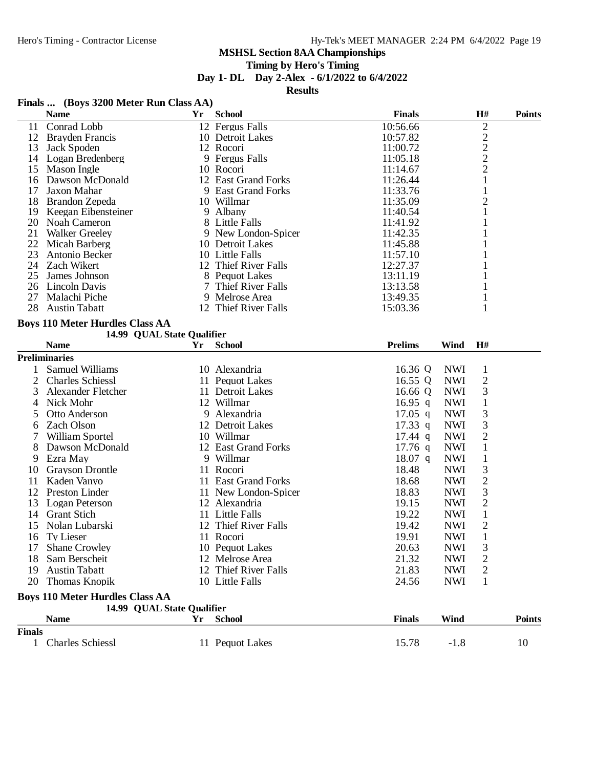# **Timing by Hero's Timing**

**Day 1- DL Day 2-Alex - 6/1/2022 to 6/4/2022**

**Results**

# **Finals ... (Boys 3200 Meter Run Class AA)**

|               | <b>Name</b>                                                          | Yr     | <b>School</b>        | <b>Finals</b>  |             | $\mathbf{H}$ # | <b>Points</b> |
|---------------|----------------------------------------------------------------------|--------|----------------------|----------------|-------------|----------------|---------------|
| 11            | Conrad Lobb                                                          |        | 12 Fergus Falls      | 10:56.66       |             | $\mathbf{2}$   |               |
| 12            | <b>Brayden Francis</b>                                               |        | 10 Detroit Lakes     | 10:57.82       |             |                |               |
| 13            | Jack Spoden                                                          |        | 12 Rocori            | 11:00.72       |             | $\frac{2}{2}$  |               |
| 14            | Logan Bredenberg                                                     |        | 9 Fergus Falls       | 11:05.18       |             |                |               |
| 15            | Mason Ingle                                                          |        | 10 Rocori            | 11:14.67       |             | $\overline{2}$ |               |
| 16            | Dawson McDonald                                                      |        | 12 East Grand Forks  | 11:26.44       |             | 1              |               |
| 17            | Jaxon Mahar                                                          |        | 9 East Grand Forks   | 11:33.76       |             | $\mathbf{1}$   |               |
| 18            | Brandon Zepeda                                                       |        | 10 Willmar           | 11:35.09       |             | $\overline{c}$ |               |
| 19            | Keegan Eibensteiner                                                  |        | 9 Albany             | 11:40.54       |             | 1              |               |
| 20            | Noah Cameron                                                         |        | 8 Little Falls       | 11:41.92       |             |                |               |
| 21            | <b>Walker Greeley</b>                                                |        | 9 New London-Spicer  | 11:42.35       |             |                |               |
| 22            | Micah Barberg                                                        |        | 10 Detroit Lakes     | 11:45.88       |             |                |               |
| 23            | Antonio Becker                                                       |        | 10 Little Falls      | 11:57.10       |             |                |               |
|               | 24 Zach Wikert                                                       |        | 12 Thief River Falls | 12:27.37       |             |                |               |
| 25            | James Johnson                                                        |        | 8 Pequot Lakes       | 13:11.19       |             |                |               |
|               | 26 Lincoln Davis                                                     | $\tau$ | Thief River Falls    | 13:13.58       |             |                |               |
| 27            | Malachi Piche                                                        | 9      | Melrose Area         | 13:49.35       |             | 1              |               |
| 28            | <b>Austin Tabatt</b>                                                 |        | 12 Thief River Falls | 15:03.36       |             | 1              |               |
|               | <b>Boys 110 Meter Hurdles Class AA</b>                               |        |                      |                |             |                |               |
|               | 14.99 QUAL State Qualifier                                           |        |                      |                |             |                |               |
|               | <b>Name</b>                                                          | Yr     | <b>School</b>        | <b>Prelims</b> | Wind        | H#             |               |
|               | <b>Preliminaries</b>                                                 |        |                      |                |             |                |               |
| 1             | <b>Samuel Williams</b>                                               |        | 10 Alexandria        | 16.36 Q        | <b>NWI</b>  | $\mathbf{1}$   |               |
| 2             | <b>Charles Schiessl</b>                                              |        | 11 Pequot Lakes      | 16.55 Q        | <b>NWI</b>  | $\mathbf{2}$   |               |
| 3             | Alexander Fletcher                                                   |        | 11 Detroit Lakes     | 16.66 $Q$      | <b>NWI</b>  | 3              |               |
| 4             | Nick Mohr                                                            |        | 12 Willmar           | 16.95 q        | <b>NWI</b>  | $\mathbf{1}$   |               |
| 5             | Otto Anderson                                                        | 9      | Alexandria           | $17.05$ q      | <b>NWI</b>  | 3              |               |
| 6             | <b>Zach Olson</b>                                                    |        | 12 Detroit Lakes     | $17.33$ q      | <b>NWI</b>  | 3              |               |
| 7             | William Sportel                                                      |        | 10 Willmar           | $17.44$ q      | <b>NWI</b>  | $\overline{2}$ |               |
| 8             | Dawson McDonald                                                      |        | 12 East Grand Forks  | $17.76$ q      | <b>NWI</b>  | $\mathbf{1}$   |               |
| 9             | Ezra May                                                             |        | 9 Willmar            | $18.07$ q      | <b>NWI</b>  | $\mathbf{1}$   |               |
| 10            | <b>Grayson Drontle</b>                                               |        | 11 Rocori            | 18.48          | <b>NWI</b>  | 3              |               |
| 11            | Kaden Vanyo                                                          |        | 11 East Grand Forks  | 18.68          | <b>NWI</b>  | $\overline{2}$ |               |
| 12            | <b>Preston Linder</b>                                                |        | 11 New London-Spicer | 18.83          | <b>NWI</b>  | 3              |               |
| 13            | Logan Peterson                                                       |        | 12 Alexandria        | 19.15          | <b>NWI</b>  | $\overline{c}$ |               |
| 14            | <b>Grant Stich</b>                                                   |        | 11 Little Falls      | 19.22          | <b>NWI</b>  | $\mathbf{1}$   |               |
| 15            | Nolan Lubarski                                                       |        | 12 Thief River Falls | 19.42          | <b>NWI</b>  | $\overline{c}$ |               |
| 16            | Ty Lieser                                                            |        | 11 Rocori            | 19.91          | <b>NWI</b>  | $\mathbf{1}$   |               |
|               | <b>Shane Crowley</b>                                                 |        | 10 Pequot Lakes      | 20.63          | <b>NWI</b>  | 3              |               |
| 18            | Sam Berscheit                                                        |        | 12 Melrose Area      | 21.32          | <b>NWI</b>  | $\overline{c}$ |               |
| 19            | <b>Austin Tabatt</b>                                                 |        | 12 Thief River Falls | 21.83          | <b>NWI</b>  | $\overline{c}$ |               |
| 20            | Thomas Knopik                                                        |        | 10 Little Falls      | 24.56          | <b>NWI</b>  | 1              |               |
|               |                                                                      |        |                      |                |             |                |               |
|               | <b>Boys 110 Meter Hurdles Class AA</b><br>14.99 QUAL State Qualifier |        |                      |                |             |                |               |
|               | <b>Name</b>                                                          | Yr     | <b>School</b>        | <b>Finals</b>  | <b>Wind</b> |                | <b>Points</b> |
| <b>Finals</b> |                                                                      |        |                      |                |             |                |               |
|               | 1 Charles Schiess1                                                   |        | 11 Pequot Lakes      | 15.78          | $-1.8$      |                | 10            |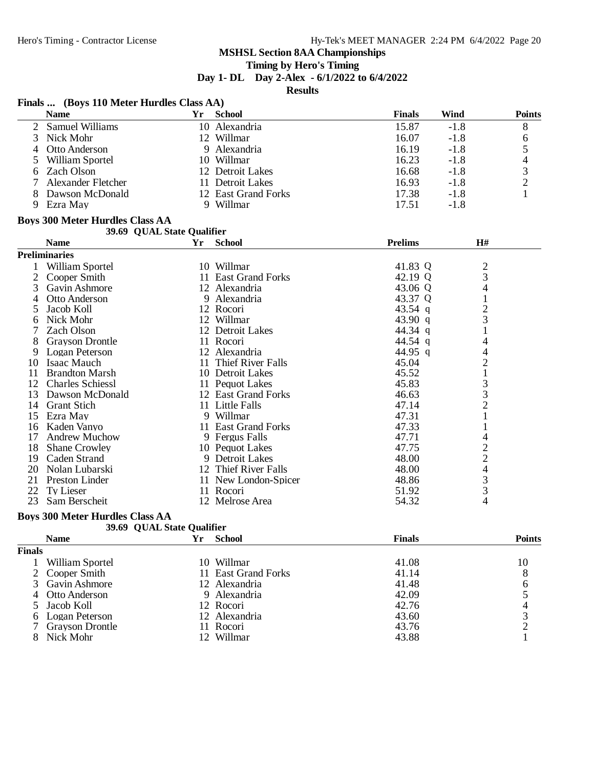# **Timing by Hero's Timing**

**Day 1- DL Day 2-Alex - 6/1/2022 to 6/4/2022**

**Results**

|                | <b>Name</b>                            |                            | Yr School            | <b>Finals</b>  | <b>Wind</b>                                | <b>Points</b>            |
|----------------|----------------------------------------|----------------------------|----------------------|----------------|--------------------------------------------|--------------------------|
| 2              | <b>Samuel Williams</b>                 |                            | 10 Alexandria        | 15.87          | $-1.8$                                     | $8\,$                    |
| 3              | Nick Mohr                              |                            | 12 Willmar           | 16.07          | $-1.8$                                     | 6                        |
| $\overline{4}$ | Otto Anderson                          |                            | 9 Alexandria         | 16.19          | $-1.8$                                     | 5                        |
| 5              | William Sportel                        |                            | 10 Willmar           | 16.23          | $-1.8$                                     | $\overline{\mathcal{A}}$ |
| 6              | Zach Olson                             |                            | 12 Detroit Lakes     | 16.68          | $-1.8$                                     | 3                        |
|                | Alexander Fletcher                     |                            | 11 Detroit Lakes     | 16.93          | $-1.8$                                     | $\overline{c}$           |
| 8              | Dawson McDonald                        |                            | 12 East Grand Forks  | 17.38          | $-1.8$                                     | 1                        |
| 9              | Ezra May                               |                            | 9 Willmar            | 17.51          | $-1.8$                                     |                          |
|                | <b>Boys 300 Meter Hurdles Class AA</b> |                            |                      |                |                                            |                          |
|                |                                        | 39.69 QUAL State Qualifier |                      |                |                                            |                          |
|                | <b>Name</b>                            | Yr                         | <b>School</b>        | <b>Prelims</b> | H#                                         |                          |
|                | <b>Preliminaries</b>                   |                            |                      |                |                                            |                          |
|                | 1 William Sportel                      |                            | 10 Willmar           | 41.83 Q        |                                            |                          |
| 2              | Cooper Smith                           |                            | 11 East Grand Forks  | 42.19 Q        | $\frac{2}{3}$                              |                          |
| 3              | Gavin Ashmore                          |                            | 12 Alexandria        | 43.06 Q        | 4                                          |                          |
| $\overline{4}$ | Otto Anderson                          |                            | 9 Alexandria         | 43.37 Q        | $\mathbf{1}$                               |                          |
| 5              | Jacob Koll                             |                            | 12 Rocori            | 43.54 q        | $\overline{c}$                             |                          |
| 6              | Nick Mohr                              |                            | 12 Willmar           | 43.90 q        | $\overline{3}$                             |                          |
| 7              | Zach Olson                             |                            | 12 Detroit Lakes     | 44.34 q        |                                            |                          |
| 8              | <b>Grayson Drontle</b>                 |                            | 11 Rocori            | 44.54 q        | 4                                          |                          |
| 9              | Logan Peterson                         |                            | 12 Alexandria        | 44.95 q        | 4                                          |                          |
| 10             | Isaac Mauch                            |                            | 11 Thief River Falls | 45.04          | $\overline{2}$                             |                          |
| 11             | <b>Brandton Marsh</b>                  |                            | 10 Detroit Lakes     | 45.52          | $\mathbf{1}$                               |                          |
| 12             | <b>Charles Schiessl</b>                |                            | 11 Pequot Lakes      | 45.83          | $\mathfrak{Z}$                             |                          |
| 13             | Dawson McDonald                        |                            | 12 East Grand Forks  | 46.63          | $\overline{\mathbf{3}}$                    |                          |
| 14             | <b>Grant Stich</b>                     |                            | 11 Little Falls      | 47.14          | $\overline{c}$                             |                          |
| 15             | Ezra May                               |                            | 9 Willmar            | 47.31          | $\mathbf{1}$                               |                          |
| 16             | Kaden Vanyo                            |                            | 11 East Grand Forks  | 47.33          | 1                                          |                          |
| 17             | <b>Andrew Muchow</b>                   |                            | 9 Fergus Falls       | 47.71          | 4                                          |                          |
| 18             | <b>Shane Crowley</b>                   |                            | 10 Pequot Lakes      | 47.75          | $\begin{array}{c} 2 \\ 2 \\ 4 \end{array}$ |                          |
| 19             | Caden Strand                           |                            | 9 Detroit Lakes      | 48.00          |                                            |                          |
| 20             | Nolan Lubarski                         |                            | 12 Thief River Falls | 48.00          |                                            |                          |
| 21             | <b>Preston Linder</b>                  |                            | 11 New London-Spicer | 48.86          | 3                                          |                          |
| 22             | Ty Lieser                              |                            | 11 Rocori            | 51.92          | 3                                          |                          |
| 23             | Sam Berscheit                          |                            | 12 Melrose Area      | 54.32          | 4                                          |                          |

#### **Boys 300 Meter Hurdles Class AA**

|               | 39.69 QUAL State Qualifier |    |                     |               |               |
|---------------|----------------------------|----|---------------------|---------------|---------------|
|               | <b>Name</b>                | Yr | <b>School</b>       | <b>Finals</b> | <b>Points</b> |
| <b>Finals</b> |                            |    |                     |               |               |
|               | William Sportel            |    | 10 Willmar          | 41.08         | 10            |
|               | 2 Cooper Smith             |    | 11 East Grand Forks | 41.14         | 8             |
|               | 3 Gavin Ashmore            |    | 12 Alexandria       | 41.48         | 6             |
|               | 4 Otto Anderson            |    | 9 Alexandria        | 42.09         |               |
|               | 5 Jacob Koll               |    | 12 Rocori           | 42.76         |               |
|               | 6 Logan Peterson           |    | 12 Alexandria       | 43.60         |               |
|               | <b>Grayson Drontle</b>     |    | 11 Rocori           | 43.76         |               |
|               | Nick Mohr                  |    | Willmar             | 43.88         |               |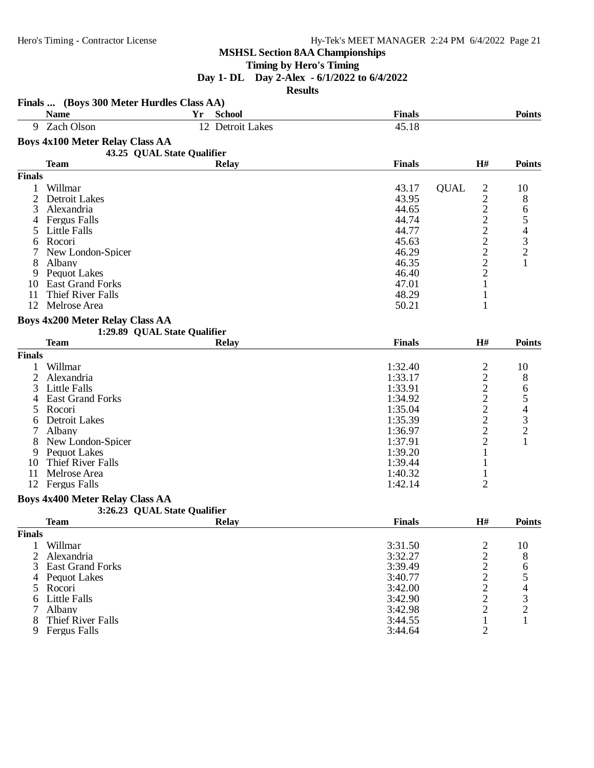# **Timing by Hero's Timing**

# **Day 1- DL Day 2-Alex - 6/1/2022 to 6/4/2022**

**Results**

|                | Finals  (Boys 300 Meter Hurdles Class AA) |                              |               |                               |                                                 |
|----------------|-------------------------------------------|------------------------------|---------------|-------------------------------|-------------------------------------------------|
|                | <b>Name</b>                               | Yr<br><b>School</b>          | <b>Finals</b> |                               | <b>Points</b>                                   |
| 9              | Zach Olson                                | 12 Detroit Lakes             | 45.18         |                               |                                                 |
|                | <b>Boys 4x100 Meter Relay Class AA</b>    |                              |               |                               |                                                 |
|                |                                           | 43.25 QUAL State Qualifier   |               |                               |                                                 |
|                | <b>Team</b>                               | <b>Relay</b>                 | <b>Finals</b> | H#                            | <b>Points</b>                                   |
| <b>Finals</b>  |                                           |                              |               |                               |                                                 |
| 1              | Willmar                                   |                              | 43.17         | $\overline{c}$<br><b>QUAL</b> | 10                                              |
| 2              | Detroit Lakes                             |                              | 43.95         | $\boldsymbol{2}$              | 8                                               |
| 3              | Alexandria                                |                              | 44.65         |                               | 6                                               |
| 4              | <b>Fergus Falls</b>                       |                              | 44.74         |                               | 5                                               |
|                | Little Falls                              |                              | 44.77         |                               |                                                 |
| 6              | Rocori                                    |                              | 45.63         |                               | $\frac{4}{3}$                                   |
|                | New London-Spicer                         |                              | 46.29         | $\frac{2}{2}$ $\frac{2}{2}$   | $\overline{c}$                                  |
| 8              | Albany                                    |                              | 46.35         | $\overline{c}$                | $\mathbf{1}$                                    |
| 9              | <b>Pequot Lakes</b>                       |                              | 46.40         | $\overline{c}$                |                                                 |
| 10             | <b>East Grand Forks</b>                   |                              | 47.01         | 1                             |                                                 |
| 11             | Thief River Falls                         |                              | 48.29         | 1                             |                                                 |
| 12             | Melrose Area                              |                              | 50.21         | 1                             |                                                 |
|                |                                           |                              |               |                               |                                                 |
|                | <b>Boys 4x200 Meter Relay Class AA</b>    |                              |               |                               |                                                 |
|                |                                           | 1:29.89 QUAL State Qualifier |               |                               |                                                 |
|                | <b>Team</b>                               | <b>Relay</b>                 | <b>Finals</b> | H#                            | <b>Points</b>                                   |
| <b>Finals</b>  |                                           |                              |               |                               |                                                 |
| 1              | Willmar                                   |                              | 1:32.40       | $\overline{c}$                | 10                                              |
| $\overline{c}$ | Alexandria                                |                              | 1:33.17       | $\overline{\mathbf{c}}$       | 8                                               |
| 3              | Little Falls                              |                              | 1:33.91       | $\overline{c}$                | 6                                               |
| 4              | <b>East Grand Forks</b>                   |                              | 1:34.92       | $\overline{c}$                |                                                 |
| 5              | Rocori                                    |                              | 1:35.04       | $\overline{c}$                | $\begin{array}{c} 5 \\ 4 \\ 3 \\ 2 \end{array}$ |
| 6              | Detroit Lakes                             |                              | 1:35.39       | $\overline{c}$                |                                                 |
| 7              | Albany                                    |                              | 1:36.97       | $\overline{c}$                |                                                 |
|                | New London-Spicer                         |                              | 1:37.91       | $\overline{2}$                | $\mathbf{1}$                                    |
| 9              | Pequot Lakes                              |                              | 1:39.20       | 1                             |                                                 |
| 10             | Thief River Falls                         |                              | 1:39.44       | 1                             |                                                 |
| 11             | Melrose Area                              |                              | 1:40.32       | $\mathbf{1}$                  |                                                 |
| 12             | <b>Fergus Falls</b>                       |                              | 1:42.14       | $\overline{2}$                |                                                 |
|                | <b>Boys 4x400 Meter Relay Class AA</b>    |                              |               |                               |                                                 |
|                |                                           | 3:26.23 QUAL State Qualifier |               |                               |                                                 |
|                | <b>Team</b>                               | <b>Relay</b>                 | <b>Finals</b> | H#                            | <b>Points</b>                                   |
| <b>Finals</b>  |                                           |                              |               |                               |                                                 |
|                |                                           |                              |               |                               |                                                 |
| 1              | Willmar                                   |                              | 3:31.50       | 2                             | 10                                              |
| 2              | Alexandria                                |                              | 3:32.27       | $\sqrt{2}$                    | 8                                               |
| 3              | <b>East Grand Forks</b>                   |                              | 3:39.49       | $\frac{2}{2}$                 | $\begin{array}{c} 6 \\ 5 \end{array}$           |
| 4              | <b>Pequot Lakes</b>                       |                              | 3:40.77       |                               |                                                 |
| 5              | Rocori                                    |                              | 3:42.00       | $\frac{2}{2}$                 |                                                 |
| 6              | Little Falls                              |                              | 3:42.90       |                               | $\begin{array}{c} 4 \\ 3 \\ 2 \end{array}$      |
| 7              | Albany                                    |                              | 3:42.98       | $\overline{2}$                |                                                 |
| 8              | <b>Thief River Falls</b>                  |                              | 3:44.55       | $\mathbf{1}$                  | $\mathbf{1}$                                    |
| 9              | <b>Fergus Falls</b>                       |                              | 3:44.64       | $\overline{2}$                |                                                 |
|                |                                           |                              |               |                               |                                                 |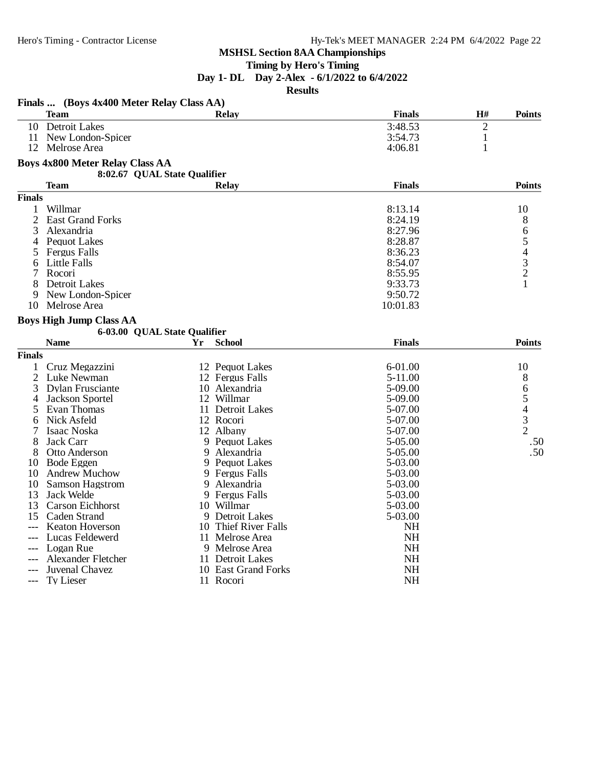#### **Timing by Hero's Timing**

**Day 1- DL Day 2-Alex - 6/1/2022 to 6/4/2022**

**Results**

|                | Finals  (Boys 4x400 Meter Relay Class AA) |                              |               |                |                                                 |
|----------------|-------------------------------------------|------------------------------|---------------|----------------|-------------------------------------------------|
|                | <b>Team</b>                               | <b>Relay</b>                 | <b>Finals</b> | H#             | <b>Points</b>                                   |
| 10             | <b>Detroit Lakes</b>                      |                              | 3:48.53       | $\overline{2}$ |                                                 |
| 11             | New London-Spicer                         |                              | 3:54.73       | $\mathbf{1}$   |                                                 |
| 12             | Melrose Area                              |                              | 4:06.81       | 1              |                                                 |
|                | <b>Boys 4x800 Meter Relay Class AA</b>    |                              |               |                |                                                 |
|                |                                           | 8:02.67 QUAL State Qualifier |               |                |                                                 |
|                | Team                                      | Relay                        | <b>Finals</b> |                | <b>Points</b>                                   |
| <b>Finals</b>  |                                           |                              |               |                |                                                 |
| 1              | Willmar                                   |                              | 8:13.14       |                | 10                                              |
| $\overline{c}$ | <b>East Grand Forks</b>                   |                              | 8:24.19       |                | 8                                               |
| 3              | Alexandria                                |                              | 8:27.96       |                | 6                                               |
| 4              | Pequot Lakes                              |                              | 8:28.87       |                | 5                                               |
| 5              | <b>Fergus Falls</b>                       |                              | 8:36.23       |                |                                                 |
| 6              | Little Falls                              |                              | 8:54.07       |                | $rac{4}{3}$                                     |
| 7              | Rocori                                    |                              | 8:55.95       |                | $\overline{2}$                                  |
| 8              | <b>Detroit Lakes</b>                      |                              | 9:33.73       |                | 1                                               |
| 9              | New London-Spicer                         |                              | 9:50.72       |                |                                                 |
| 10             | Melrose Area                              |                              | 10:01.83      |                |                                                 |
|                | <b>Boys High Jump Class AA</b>            |                              |               |                |                                                 |
|                |                                           | 6-03.00 QUAL State Qualifier |               |                |                                                 |
|                | <b>Name</b>                               | <b>School</b><br>Yr          | <b>Finals</b> |                | <b>Points</b>                                   |
| <b>Finals</b>  |                                           |                              |               |                |                                                 |
| 1              | Cruz Megazzini                            | 12 Pequot Lakes              | 6-01.00       |                | 10                                              |
| 2              | Luke Newman                               | 12 Fergus Falls              | $5 - 11.00$   |                | 8                                               |
| 3              | Dylan Frusciante                          | 10 Alexandria                | 5-09.00       |                | 6                                               |
| 4              | Jackson Sportel                           | 12 Willmar                   | 5-09.00       |                |                                                 |
| 5              | Evan Thomas                               | 11 Detroit Lakes             | 5-07.00       |                | $\begin{array}{c} 5 \\ 4 \\ 3 \\ 2 \end{array}$ |
| 6              | Nick Asfeld                               | 12 Rocori                    | 5-07.00       |                |                                                 |
| 7              | Isaac Noska                               | 12 Albany                    | 5-07.00       |                |                                                 |
| 8              | Jack Carr                                 | 9 Pequot Lakes               | 5-05.00       |                | .50                                             |
| 8              | Otto Anderson                             | 9 Alexandria                 | 5-05.00       |                | .50                                             |
| 10             | <b>Bode Eggen</b>                         | 9 Pequot Lakes               | 5-03.00       |                |                                                 |
| 10             | <b>Andrew Muchow</b>                      | 9 Fergus Falls               | 5-03.00       |                |                                                 |
| 10             | Samson Hagstrom                           | 9 Alexandria                 | 5-03.00       |                |                                                 |
| 13             | Jack Welde                                | 9 Fergus Falls               | 5-03.00       |                |                                                 |
| 13             | <b>Carson Eichhorst</b>                   | 10 Willmar                   | 5-03.00       |                |                                                 |
| 15             | Caden Strand                              | 9 Detroit Lakes              | 5-03.00       |                |                                                 |
|                | Keaton Hoverson                           | 10 Thief River Falls         | <b>NH</b>     |                |                                                 |
|                | Lucas Feldewerd                           | 11 Melrose Area              | <b>NH</b>     |                |                                                 |
|                | Logan Rue                                 | 9 Melrose Area               | <b>NH</b>     |                |                                                 |
|                | <b>Alexander Fletcher</b>                 | 11 Detroit Lakes             | <b>NH</b>     |                |                                                 |
|                | Juvenal Chavez                            | 10 East Grand Forks          | <b>NH</b>     |                |                                                 |
| $---$          | Ty Lieser                                 | 11 Rocori                    | <b>NH</b>     |                |                                                 |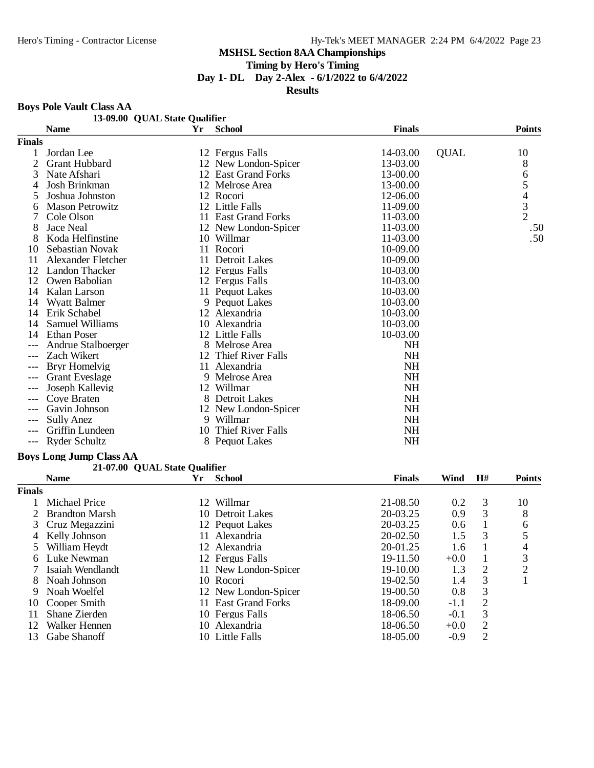**Timing by Hero's Timing**

**Day 1- DL Day 2-Alex - 6/1/2022 to 6/4/2022**

#### **Results**

#### **Boys Pole Vault Class AA**

|               | 13-09.00 QUAL State Qualifier |            |                          |               |             |                                            |
|---------------|-------------------------------|------------|--------------------------|---------------|-------------|--------------------------------------------|
|               | <b>Name</b>                   | ${\bf Yr}$ | <b>School</b>            | <b>Finals</b> |             | <b>Points</b>                              |
| <b>Finals</b> |                               |            |                          |               |             |                                            |
|               | Jordan Lee                    |            | 12 Fergus Falls          | 14-03.00      | <b>QUAL</b> | 10                                         |
| 2             | <b>Grant Hubbard</b>          |            | 12 New London-Spicer     | 13-03.00      |             | 8                                          |
| 3             | Nate Afshari                  |            | 12 East Grand Forks      | 13-00.00      |             | 6                                          |
| 4             | Josh Brinkman                 |            | 12 Melrose Area          | 13-00.00      |             | 5                                          |
| 5             | Joshua Johnston               |            | 12 Rocori                | 12-06.00      |             |                                            |
| 6             | <b>Mason Petrowitz</b>        |            | 12 Little Falls          | 11-09.00      |             | $\begin{array}{c} 4 \\ 3 \\ 2 \end{array}$ |
|               | Cole Olson                    |            | 11 East Grand Forks      | 11-03.00      |             |                                            |
| 8             | Jace Neal                     |            | 12 New London-Spicer     | 11-03.00      |             | .50                                        |
| 8             | Koda Helfinstine              |            | 10 Willmar               | 11-03.00      |             | .50                                        |
| 10            | Sebastian Novak               |            | 11 Rocori                | 10-09.00      |             |                                            |
| 11            | Alexander Fletcher            | 11         | Detroit Lakes            | 10-09.00      |             |                                            |
| 12            | Landon Thacker                |            | 12 Fergus Falls          | $10-03.00$    |             |                                            |
| 12            | Owen Babolian                 |            | 12 Fergus Falls          | 10-03.00      |             |                                            |
| 14            | Kalan Larson                  |            | 11 Pequot Lakes          | 10-03.00      |             |                                            |
| 14            | <b>Wyatt Balmer</b>           |            | 9 Pequot Lakes           | 10-03.00      |             |                                            |
| 14            | Erik Schabel                  |            | 12 Alexandria            | 10-03.00      |             |                                            |
| 14            | Samuel Williams               |            | 10 Alexandria            | 10-03.00      |             |                                            |
| 14            | Ethan Poser                   |            | 12 Little Falls          | 10-03.00      |             |                                            |
|               | Andrue Stalboerger            |            | 8 Melrose Area           | <b>NH</b>     |             |                                            |
| ---           | Zach Wikert                   | 12         | <b>Thief River Falls</b> | NH            |             |                                            |
| ---           | Bryr Homelvig                 |            | 11 Alexandria            | <b>NH</b>     |             |                                            |
|               | <b>Grant Eveslage</b>         | 9          | Melrose Area             | <b>NH</b>     |             |                                            |
| ---           | Joseph Kallevig               |            | 12 Willmar               | <b>NH</b>     |             |                                            |
| ---           | Cove Braten                   |            | 8 Detroit Lakes          | <b>NH</b>     |             |                                            |
| $---$         | Gavin Johnson                 |            | 12 New London-Spicer     | <b>NH</b>     |             |                                            |
| ---           | Sully Anez                    |            | 9 Willmar                | <b>NH</b>     |             |                                            |
|               | Griffin Lundeen               | 10         | Thief River Falls        | NH            |             |                                            |
| $---$         | Ryder Schultz                 |            | 8 Pequot Lakes           | NH            |             |                                            |

# **Boys Long Jump Class AA**

#### **21-07.00 QUAL State Qualifier**

|               | <b>Name</b>           | Yr  | <b>School</b>           | <b>Finals</b> | Wind   | H#             | <b>Points</b> |
|---------------|-----------------------|-----|-------------------------|---------------|--------|----------------|---------------|
| <b>Finals</b> |                       |     |                         |               |        |                |               |
|               | Michael Price         | 12. | Willmar                 | 21-08.50      | 0.2    | 3              | 10            |
|               | <b>Brandton Marsh</b> | 10. | <b>Detroit Lakes</b>    | 20-03.25      | 0.9    | 3              | 8             |
|               | 3 Cruz Megazzini      |     | 12 Pequot Lakes         | 20-03.25      | 0.6    |                | 6             |
| 4             | Kelly Johnson         | 11  | Alexandria              | $20 - 02.50$  | 1.5    | 3              |               |
|               | William Hevdt         |     | 12 Alexandria           | 20-01.25      | 1.6    |                | 4             |
| 6             | Luke Newman           |     | 12 Fergus Falls         | 19-11.50      | $+0.0$ |                | 3             |
|               | Isaiah Wendlandt      |     | 11 New London-Spicer    | $19-10.00$    | 1.3    | 2              | ◠             |
| 8             | Noah Johnson          |     | 10 Rocori               | 19-02.50      | 1.4    | 3              |               |
| 9             | Noah Woelfel          |     | 12 New London-Spicer    | $19-00.50$    | 0.8    | 3              |               |
| 10            | Cooper Smith          | 11. | <b>East Grand Forks</b> | 18-09.00      | $-1.1$ | $\overline{2}$ |               |
| 11            | Shane Zierden         |     | 10 Fergus Falls         | 18-06.50      | $-0.1$ | 3              |               |
| 12            | Walker Hennen         | 10- | Alexandria              | 18-06.50      | $+0.0$ | 2              |               |
| 13            | Gabe Shanoff          | 10  | Little Falls            | 18-05.00      | $-0.9$ | 2              |               |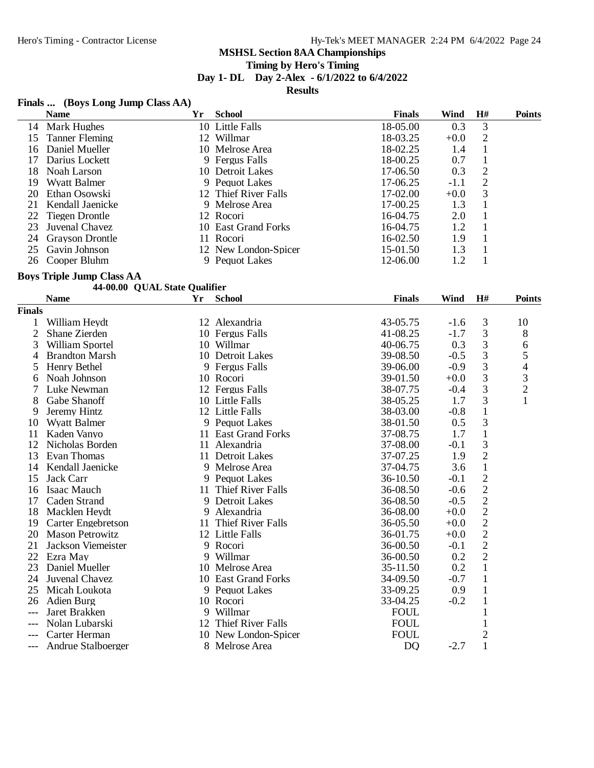# **Timing by Hero's Timing**

**Day 1- DL Day 2-Alex - 6/1/2022 to 6/4/2022**

**Results**

#### **Finals ... (Boys Long Jump Class AA)**

|               | <b>Name</b>                      | Yr                            | <b>School</b>        | <b>Finals</b> | Wind   | H#             | <b>Points</b>  |
|---------------|----------------------------------|-------------------------------|----------------------|---------------|--------|----------------|----------------|
| 14            | Mark Hughes                      |                               | 10 Little Falls      | 18-05.00      | 0.3    | 3              |                |
| 15            | <b>Tanner Fleming</b>            |                               | 12 Willmar           | 18-03.25      | $+0.0$ | $\sqrt{2}$     |                |
| 16            | Daniel Mueller                   |                               | 10 Melrose Area      | 18-02.25      | 1.4    | $\mathbf{1}$   |                |
| 17            | Darius Lockett                   |                               | 9 Fergus Falls       | 18-00.25      | 0.7    | $\mathbf{1}$   |                |
| 18            | Noah Larson                      |                               | 10 Detroit Lakes     | 17-06.50      | 0.3    | $\sqrt{2}$     |                |
| 19            | <b>Wyatt Balmer</b>              |                               | 9 Pequot Lakes       | 17-06.25      | $-1.1$ | $\overline{c}$ |                |
| 20            | Ethan Osowski                    |                               | 12 Thief River Falls | 17-02.00      | $+0.0$ | $\mathfrak{Z}$ |                |
| 21            | Kendall Jaenicke                 |                               | 9 Melrose Area       | 17-00.25      | 1.3    | $\mathbf{1}$   |                |
| 22            | <b>Tiegen Drontle</b>            |                               | 12 Rocori            | 16-04.75      | 2.0    | $\mathbf{1}$   |                |
| 23            | Juvenal Chavez                   |                               | 10 East Grand Forks  | 16-04.75      | 1.2    | $\mathbf{1}$   |                |
| 24            | <b>Grayson Drontle</b>           |                               | 11 Rocori            | 16-02.50      | 1.9    | 1              |                |
| 25            | Gavin Johnson                    |                               | 12 New London-Spicer | 15-01.50      | 1.3    | $\mathbf{1}$   |                |
| 26            | Cooper Bluhm                     |                               | 9 Pequot Lakes       | 12-06.00      | 1.2    | $\mathbf{1}$   |                |
|               | <b>Boys Triple Jump Class AA</b> |                               |                      |               |        |                |                |
|               |                                  | 44-00.00 QUAL State Qualifier |                      |               |        |                |                |
|               | <b>Name</b>                      | Yr                            | <b>School</b>        | <b>Finals</b> | Wind   | H#             | <b>Points</b>  |
| <b>Finals</b> |                                  |                               |                      |               |        |                |                |
| 1             | William Heydt                    |                               | 12 Alexandria        | 43-05.75      | $-1.6$ | 3              | 10             |
| 2             | Shane Zierden                    |                               | 10 Fergus Falls      | 41-08.25      | $-1.7$ | 3              | 8              |
| 3             | William Sportel                  |                               | 10 Willmar           | 40-06.75      | 0.3    | $\sqrt{3}$     | 6              |
| 4             | <b>Brandton Marsh</b>            |                               | 10 Detroit Lakes     | 39-08.50      | $-0.5$ | $\sqrt{3}$     | 5              |
| 5             | Henry Bethel                     |                               | 9 Fergus Falls       | 39-06.00      | $-0.9$ | 3              | 4              |
| 6             | Noah Johnson                     |                               | 10 Rocori            | 39-01.50      | $+0.0$ | 3              | $\mathfrak{Z}$ |
| 7             | Luke Newman                      |                               | 12 Fergus Falls      | 38-07.75      | $-0.4$ | 3              | $\overline{c}$ |
| 8             | Gabe Shanoff                     |                               | 10 Little Falls      | 38-05.25      | 1.7    | 3              | $\mathbf{1}$   |
| 9             | Jeremy Hintz                     |                               | 12 Little Falls      | 38-03.00      | $-0.8$ | $\mathbf 1$    |                |
| 10            | <b>Wyatt Balmer</b>              |                               | 9 Pequot Lakes       | 38-01.50      | 0.5    | 3              |                |
| 11            | Kaden Vanyo                      |                               | 11 East Grand Forks  | 37-08.75      | 1.7    | $\mathbf{1}$   |                |
| 12            | Nicholas Borden                  |                               | 11 Alexandria        | 37-08.00      | $-0.1$ | 3              |                |
| 13            | Evan Thomas                      |                               | 11 Detroit Lakes     | 37-07.25      | 1.9    | $\overline{2}$ |                |
| 14            | Kendall Jaenicke                 |                               | 9 Melrose Area       | 37-04.75      | 3.6    | $\,1\,$        |                |
| 15            | Jack Carr                        |                               | 9 Pequot Lakes       | 36-10.50      | $-0.1$ | $\overline{c}$ |                |
| 16            | <b>Isaac Mauch</b>               |                               | 11 Thief River Falls | 36-08.50      | $-0.6$ | $\overline{c}$ |                |
| 17            | Caden Strand                     |                               | 9 Detroit Lakes      | 36-08.50      | $-0.5$ | $\overline{c}$ |                |
| 18            | Macklen Heydt                    |                               | 9 Alexandria         | 36-08.00      | $+0.0$ | $\overline{c}$ |                |
| 19            | <b>Carter Engebretson</b>        |                               | 11 Thief River Falls | 36-05.50      | $+0.0$ | $\overline{c}$ |                |
| 20            | <b>Mason Petrowitz</b>           |                               | 12 Little Falls      | 36-01.75      | $+0.0$ | $\overline{2}$ |                |
| 21            | Jackson Viemeister               |                               | 9 Rocori             | 36-00.50      | $-0.1$ | 2              |                |
| 22            | Ezra May                         |                               | 9 Willmar            | 36-00.50      | 0.2    | $\overline{2}$ |                |
| 23            | Daniel Mueller                   |                               | 10 Melrose Area      | 35-11.50      | 0.2    | $\mathbf{1}$   |                |
| 24            | Juvenal Chavez                   |                               | 10 East Grand Forks  | 34-09.50      | $-0.7$ | $\mathbf{1}$   |                |
| 25            | Micah Loukota                    |                               | 9 Pequot Lakes       | 33-09.25      | 0.9    | $\mathbf{1}$   |                |
| 26            | Adien Burg                       |                               | 10 Rocori            | 33-04.25      | $-0.2$ | $\mathbf{1}$   |                |
| $---$         | Jaret Brakken                    |                               | 9 Willmar            | <b>FOUL</b>   |        | 1              |                |
|               | Nolan Lubarski                   |                               | 12 Thief River Falls | <b>FOUL</b>   |        | 1              |                |
| $---$         | Carter Herman                    |                               | 10 New London-Spicer | <b>FOUL</b>   |        | $\overline{2}$ |                |

10 New London-Spicer FOUL 2<br>
8 Melrose Area DQ -2.7 1

- 
- --- Andrue Stalboerger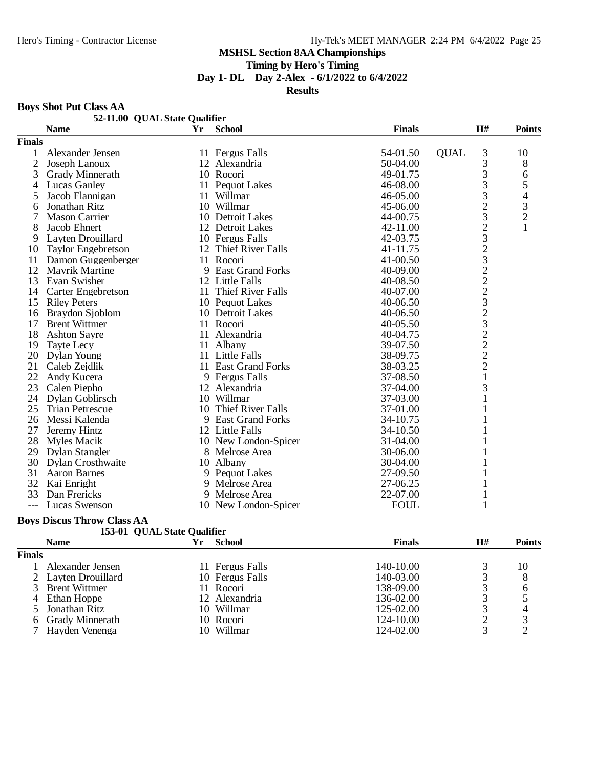**Timing by Hero's Timing**

**Day 1- DL Day 2-Alex - 6/1/2022 to 6/4/2022**

**Results**

#### **Boys Shot Put Class AA**

|        | 52-11.00 QUAL State Qualifier |    |                         |               |                                                 |                |
|--------|-------------------------------|----|-------------------------|---------------|-------------------------------------------------|----------------|
|        | <b>Name</b>                   | Yr | <b>School</b>           | <b>Finals</b> | H#                                              | <b>Points</b>  |
| Finals |                               |    |                         |               |                                                 |                |
| 1      | Alexander Jensen              |    | 11 Fergus Falls         | 54-01.50      | 3<br><b>QUAL</b>                                | 10             |
| 2      | Joseph Lanoux                 |    | 12 Alexandria           | 50-04.00      | 3                                               | $8\,$          |
| 3      | Grady Minnerath               |    | 10 Rocori               | 49-01.75      | 3                                               | 6              |
| 4      | <b>Lucas Ganley</b>           |    | 11 Pequot Lakes         | 46-08.00      | 3                                               | 5              |
| 5      | Jacob Flannigan               | 11 | Willmar                 | 46-05.00      | $\overline{3}$                                  | $\overline{4}$ |
| 6      | Jonathan Ritz                 |    | 10 Willmar              | 45-06.00      | $\frac{2}{3}$                                   | $\frac{3}{2}$  |
| 7      | <b>Mason Carrier</b>          |    | 10 Detroit Lakes        | 44-00.75      |                                                 |                |
| 8      | Jacob Ehnert                  |    | 12 Detroit Lakes        | 42-11.00      | $\begin{array}{c} 2 \\ 3 \\ 2 \\ 3 \end{array}$ | $\mathbf{1}$   |
| 9      | Layten Drouillard             |    | 10 Fergus Falls         | 42-03.75      |                                                 |                |
| 10     | <b>Taylor Engebretson</b>     |    | 12 Thief River Falls    | 41-11.75      |                                                 |                |
| 11     | Damon Guggenberger            |    | 11 Rocori               | 41-00.50      |                                                 |                |
| 12     | <b>Mayrik Martine</b>         | 9  | <b>East Grand Forks</b> | 40-09.00      | $2223$<br>$323$                                 |                |
| 13     | Evan Swisher                  |    | 12 Little Falls         | 40-08.50      |                                                 |                |
| 14     | <b>Carter Engebretson</b>     |    | 11 Thief River Falls    | 40-07.00      |                                                 |                |
| 15     | <b>Riley Peters</b>           |    | 10 Pequot Lakes         | 40-06.50      |                                                 |                |
| 16     | Braydon Sjoblom               |    | 10 Detroit Lakes        | 40-06.50      |                                                 |                |
| 17     | <b>Brent Wittmer</b>          |    | 11 Rocori               | 40-05.50      |                                                 |                |
| 18     | <b>Ashton Sayre</b>           |    | 11 Alexandria           | 40-04.75      | $\frac{2}{2}$                                   |                |
| 19     | <b>Tayte Lecy</b>             |    | 11 Albany               | 39-07.50      |                                                 |                |
| 20     | Dylan Young                   |    | 11 Little Falls         | 38-09.75      |                                                 |                |
| 21     | Caleb Zejdlik                 |    | 11 East Grand Forks     | 38-03.25      | $\overline{c}$                                  |                |
| 22     | Andy Kucera                   |    | 9 Fergus Falls          | 37-08.50      | $\mathbf{1}$                                    |                |
| 23     | Calen Piepho                  |    | 12 Alexandria           | 37-04.00      | 3                                               |                |
| 24     | Dylan Goblirsch               |    | 10 Willmar              | 37-03.00      | 1                                               |                |
| 25     | <b>Trian Petrescue</b>        | 10 | Thief River Falls       | 37-01.00      | 1                                               |                |
| 26     | Messi Kalenda                 |    | 9 East Grand Forks      | 34-10.75      |                                                 |                |
| 27     | Jeremy Hintz                  |    | 12 Little Falls         | 34-10.50      |                                                 |                |
| 28     | Myles Macik                   |    | 10 New London-Spicer    | 31-04.00      |                                                 |                |
| 29     | Dylan Stangler                |    | 8 Melrose Area          | 30-06.00      |                                                 |                |
| 30     | <b>Dylan Crosthwaite</b>      |    | 10 Albany               | 30-04.00      |                                                 |                |
| 31     | <b>Aaron Barnes</b>           |    | 9 Pequot Lakes          | 27-09.50      |                                                 |                |
| 32     | Kai Enright                   | 9  | Melrose Area            | 27-06.25      |                                                 |                |
| 33     | Dan Frericks                  |    | Melrose Area            | 22-07.00      | 1                                               |                |
|        | Lucas Swenson                 |    | 10 New London-Spicer    | <b>FOUL</b>   | $\mathbf{1}$                                    |                |

#### **Boys Discus Throw Class AA**

|  | 153-01 QUAL State Qualifier |  |
|--|-----------------------------|--|
|--|-----------------------------|--|

|        | <b>Name</b>          | Yг  | <b>School</b>   | <b>Finals</b> | H# | <b>Points</b> |
|--------|----------------------|-----|-----------------|---------------|----|---------------|
| Finals |                      |     |                 |               |    |               |
|        | Alexander Jensen     |     | 11 Fergus Falls | 140-10.00     |    | 10            |
|        | 2 Layten Drouillard  |     | 10 Fergus Falls | 140-03.00     |    | 8             |
|        | <b>Brent Wittmer</b> |     | 11 Rocori       | 138-09.00     |    | h             |
| 4      | Ethan Hoppe          |     | 12 Alexandria   | 136-02.00     |    |               |
|        | Jonathan Ritz        |     | 10 Willmar      | 125-02.00     |    |               |
| 6      | Grady Minnerath      |     | 10 Rocori       | 124-10.00     |    |               |
|        | Hayden Venenga       | 10. | Willmar         | 124-02.00     |    |               |
|        |                      |     |                 |               |    |               |